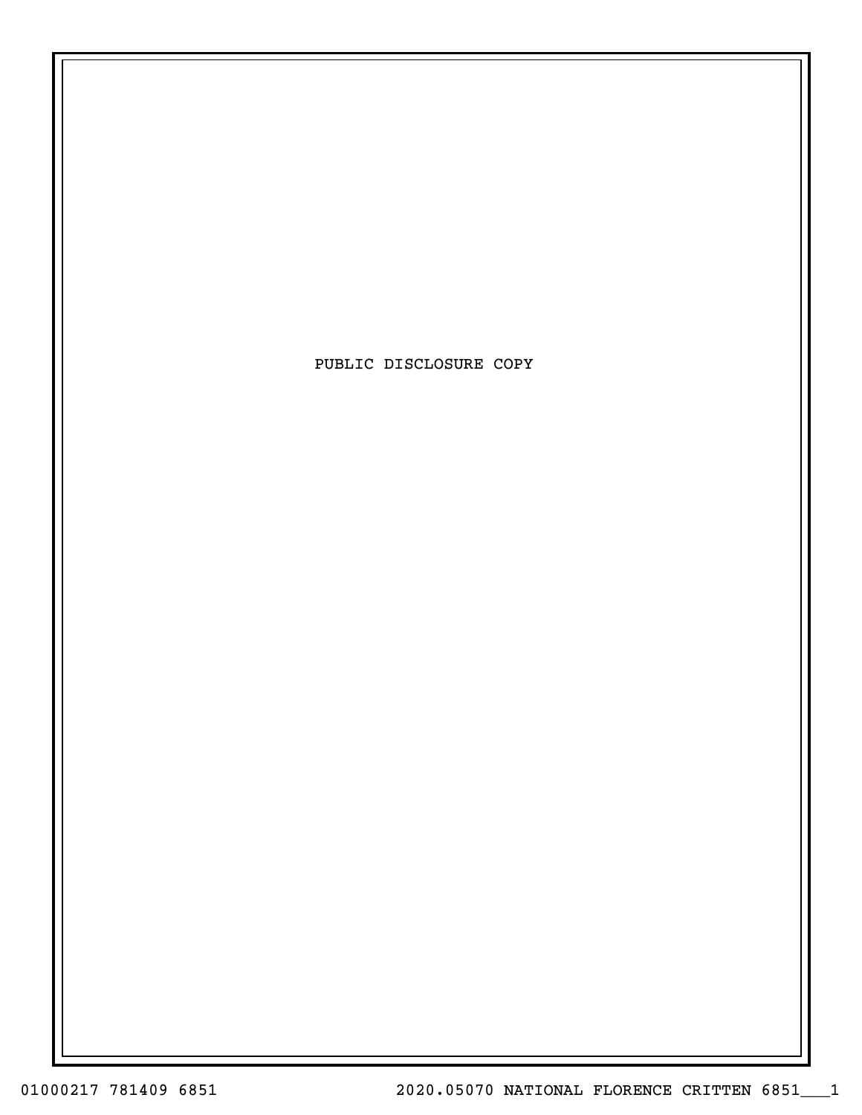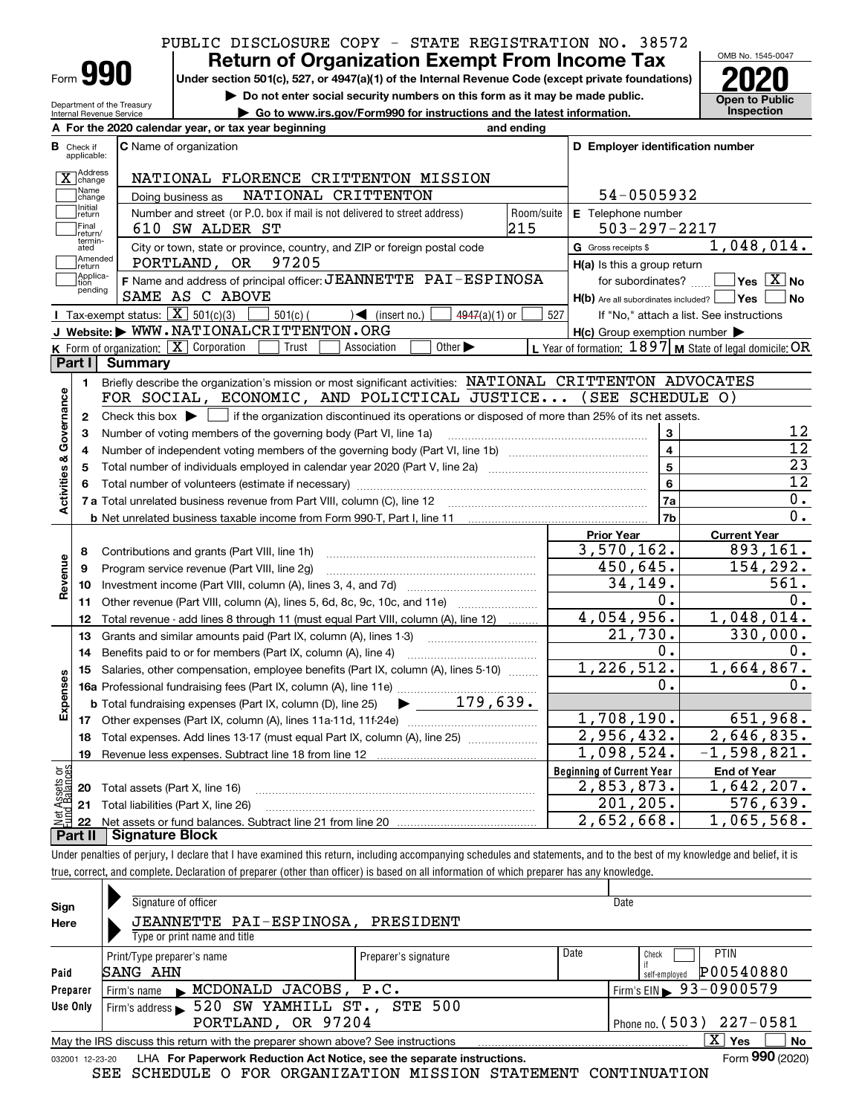# PUBLIC DISCLOSURE COPY - STATE REGISTRATION NO. 38572

Form**990**

# **Return of Organization Exempt From Income Tax**

**Under section 501(c), 527, or 4947(a)(1) of the Internal Revenue Code (except private foundations) 2020**

**| Do not enter social security numbers on this form as it may be made public.**



Department of the Treasury **Internal Re** 

|            |                                                 | Internal Revenue Service                            | Go to www.irs.gov/Form990 for instructions and the latest information.                                                                    |                   |                                                                                                                                                                                | Inspection |  |  |
|------------|-------------------------------------------------|-----------------------------------------------------|-------------------------------------------------------------------------------------------------------------------------------------------|-------------------|--------------------------------------------------------------------------------------------------------------------------------------------------------------------------------|------------|--|--|
|            |                                                 |                                                     | A For the 2020 calendar year, or tax year beginning<br>and ending                                                                         |                   |                                                                                                                                                                                |            |  |  |
|            | <b>B</b> Check if<br>applicable:                |                                                     | <b>C</b> Name of organization                                                                                                             |                   | D Employer identification number                                                                                                                                               |            |  |  |
|            | <b>Address</b><br>$\overline{X}$ change<br>Name |                                                     | NATIONAL FLORENCE CRITTENTON MISSION                                                                                                      |                   |                                                                                                                                                                                |            |  |  |
|            | change<br>1 Initial                             |                                                     | NATIONAL CRITTENTON<br>Doing business as                                                                                                  |                   | 54-0505932                                                                                                                                                                     |            |  |  |
|            | return<br>1Final<br>return/                     |                                                     | Number and street (or P.O. box if mail is not delivered to street address)<br>610 SW ALDER ST                                             | Room/suite<br>215 | <b>E</b> Telephone number<br>$503 - 297 - 2217$                                                                                                                                |            |  |  |
|            | termin-<br>ated<br>1Amended                     |                                                     | City or town, state or province, country, and ZIP or foreign postal code<br>97205<br>PORTLAND, OR                                         |                   | <b>G</b> Gross receipts \$                                                                                                                                                     | 1,048,01   |  |  |
|            | <b>Treturn</b><br>Applica-<br>Ition<br>pending  |                                                     | F Name and address of principal officer: JEANNETTE PAI-ESPINOSA<br>SAME AS C ABOVE                                                        |                   | $H(a)$ is this a group return<br>$\overline{\mid}$ Yes $\overline{\mid}$ $\overline{\text{X}}$<br>for subordinates?<br>∣Yes<br>$H(b)$ Are all subordinates included? $\lfloor$ |            |  |  |
|            |                                                 | Tax-exempt status: $X \mid 501(c)(3)$               | (insert no.)<br>$4947(a)(1)$ or<br>$501(c)$ (                                                                                             | 527               | If "No," attach a list. See instructions                                                                                                                                       |            |  |  |
|            |                                                 |                                                     | J Website: WWW.NATIONALCRITTENTON.ORG                                                                                                     |                   | $H(c)$ Group exemption number $\blacktriangleright$                                                                                                                            |            |  |  |
|            |                                                 | <b>K</b> Form of organization: $\boxed{\mathbf{X}}$ | Corporation<br>Other $\blacktriangleright$<br>Association<br>Trust                                                                        |                   | L Year of formation: $1897$ M State of legal domicile                                                                                                                          |            |  |  |
|            | Part I                                          | <b>Summary</b>                                      |                                                                                                                                           |                   |                                                                                                                                                                                |            |  |  |
|            |                                                 |                                                     | Briefly describe the organization's mission or most significant activities: NATIONAL                                                      |                   | CRITTENTON                                                                                                                                                                     | ADVOCATES  |  |  |
|            |                                                 |                                                     | FOR SOCIAL, ECONOMIC, AND POLICTICAL JUSTICE (SEE SCHEDULE O)                                                                             |                   |                                                                                                                                                                                |            |  |  |
| Governance | 2                                               |                                                     | Check this box $\blacktriangleright \Box$ if the organization discontinued its operations or disposed of more than 25% of its net assets. |                   |                                                                                                                                                                                |            |  |  |
|            | з                                               |                                                     | Number of voting members of the governing body (Part VI, line 1a)                                                                         |                   | 3                                                                                                                                                                              |            |  |  |
| య          | 4                                               |                                                     |                                                                                                                                           |                   | 4                                                                                                                                                                              |            |  |  |
| ties       | 5                                               |                                                     | Total number of individuals employed in calendar year 2020 (Part V, line 2a)                                                              |                   | 5                                                                                                                                                                              |            |  |  |
|            |                                                 |                                                     | Total number of volunteers (estimate if necessary)                                                                                        | 6                 |                                                                                                                                                                                |            |  |  |

Initial<br>Treturn  $\Box$ Final 610 SW ALDER ST 215 503-297-2217 termin-ated1,048,014.  $\rm{E}_{\rm{G}}$   $\rm{G}$  City or town, state or province, country, and ZIP or foreign postal code  $\rm{G}$  Gross receipts \$ **Amended**<br>return Is this a group return  $\Box$  tion  $\Box$  F Name and address of principal officer:  $\mathtt{JEANNETTE}$  PAI-ESPINOSA | for subordinates?  $\Box$  Yes  $\Box$  Yes Applica-tion  $\sqrt{}$ Yes $\sqrt{}$ X $\sqrt{}$ No Name and address of principal officer: <code>JEANNETTE PAI-ESPINOSA</code>  $\qquad$  for subordinates?  $\quad$ **F** Name and address of principal officer: **J LANNL'I''I'L PAI-LSPINOSA** | for subordinates? ...... L **Yes** | X | No pending**Yes No** uded?  $\mathsf{l}$ Tax-e st. See instructions  $number$   $\blacktriangleright$ **JWebsite: |** Form of organization:  $\boxed{\textbf{X}}$  Corporation  $\boxed{\phantom{\textbf{X}}}$  Trust  $\boxed{\phantom{\textbf{X}}}$  Association  $\boxed{\phantom{\textbf{X}}}$  Other  $\blacktriangleright$   $\phantom{\textbf{X}}$  L Year of formation:  $1897$  **M** State of legal domicile:  $\textbf{OR}$ **KPart I** VOCATES **1Activities & Governance Activities & Governance** FOR SOCIAL, ECONOMIC, AND POLICTICAL JUSTICE... (SEE SCHEDULE O) **2**Check this box  $\blacktriangleright\ \blacksquare$  if the organization discontinued its operations or disposed of more than 25% of its net assets. 12 **3**12 **4**23 **5**12 **6**Total number of volunteers (estimate if necessary) **6**0. **7a7a**Total unrelated business revenue from Part VIII, column (C), line 12 **7b**0. **b** Net unrelated business taxable income from Form 990-T, Part I, line 11 **Prior Year Current Year** 3,570,162. 893,161. Contributions and grants (Part VIII, line 1h) ~~~~~~~~~~~~~~~~~~~~~ **8**Revenue **Revenue** 450,645. 154,292. **9**Program service revenue (Part VIII, line 2g) ~~~~~~~~~~~~~~~~~~~~~ 34,149. 561. **10**Investment income (Part VIII, column (A), lines 3, 4, and 7d) ~~~~~~~~~~~~~ **11**Other revenue (Part VIII, column (A), lines 5, 6d, 8c, 9c, 10c, and 11e) *[[[[[[[[[[[[[[]]]]*] 0. 0.  $4,054,956.$  1,048,014. Total revenue - add lines 8 through 11 (must equal Part VIII, column (A), line 12) ......... **12**21,730. 330,000. **13**Grants and similar amounts paid (Part IX, column (A), lines 1-3) ~~~~~~~~~~~ $0$ .  $0.$ Benefits paid to or for members (Part IX, column (A), line 4) **14**1,226,512. 1,664,867. **15**Salaries, other compensation, employee benefits (Part IX, column (A), lines 5-10)  $\,$  , , , , , , , **Expenses** 0. 0. **16 a** Professional fundraising fees (Part IX, column (A), line 11e) ~~~~~~~~~~~~~~ 179,639.  $\blacktriangleright$ **b**Total fundraising expenses (Part IX, column (D), line 25) 1,708,190.651,968. **17**Other expenses (Part IX, column (A), lines 11a 11d, 11f 24e) ……………………………… 2,956,432. 2,646,835. **18**Total expenses. Add lines 13-17 (must equal Part IX, column (A), line 25) ~~~~~~~ $1,098,524.$   $-1,598,821.$ **19**Revenue less expenses. Subtract line 18 from line 12 vet Assets or<br>und Balances **Beginning of Current Year End of Year** Total assets (Part X, line 16) 2,853,873. 1,642,207. **20**201,205. 576,639. **21**Total liabilities (Part X, line 26) **22**Net assets or fund balances. Subtract line 21 from line 20 2,652,668. 1,065,568. **Part II Signature Block**

Under penalties of perjury, I declare that I have examined this return, including accompanying schedules and statements, and to the best of my knowledge and belief, it is true, correct, and complete. Declaration of preparer (other than officer) is based on all information of which preparer has any knowledge.

| Sign                                                                                                                        | Signature of officer                          |                      |                              | Date                                   |  |  |  |  |  |
|-----------------------------------------------------------------------------------------------------------------------------|-----------------------------------------------|----------------------|------------------------------|----------------------------------------|--|--|--|--|--|
| Here                                                                                                                        | JEANNETTE PAI-ESPINOSA,                       | PRESIDENT            |                              |                                        |  |  |  |  |  |
|                                                                                                                             | Type or print name and title                  |                      |                              |                                        |  |  |  |  |  |
|                                                                                                                             | Print/Type preparer's name                    | Preparer's signature | Date                         | PTIN<br>Check                          |  |  |  |  |  |
| Paid                                                                                                                        | SANG AHN                                      |                      |                              | P00540880<br>self-emploved             |  |  |  |  |  |
| Preparer                                                                                                                    | Firm's name MCDONALD JACOBS, P.C.             |                      |                              | Firm's EIN $\triangleright$ 93-0900579 |  |  |  |  |  |
| Use Only                                                                                                                    | 520 SW YAMHILL ST., STE 500<br>Firm's address |                      |                              |                                        |  |  |  |  |  |
|                                                                                                                             | PORTLAND, OR 97204                            |                      | Phone no. $(503)$ $227-0581$ |                                        |  |  |  |  |  |
| $\overline{\mathrm{X}}$ Yes<br><b>No</b><br>May the IRS discuss this return with the preparer shown above? See instructions |                                               |                      |                              |                                        |  |  |  |  |  |
| Form 990 (2020)<br>LHA For Paperwork Reduction Act Notice, see the separate instructions.<br>032001 12-23-20                |                                               |                      |                              |                                        |  |  |  |  |  |

SEE SCHEDULE O FOR ORGANIZATION MISSION STATEMENT CONTINUATION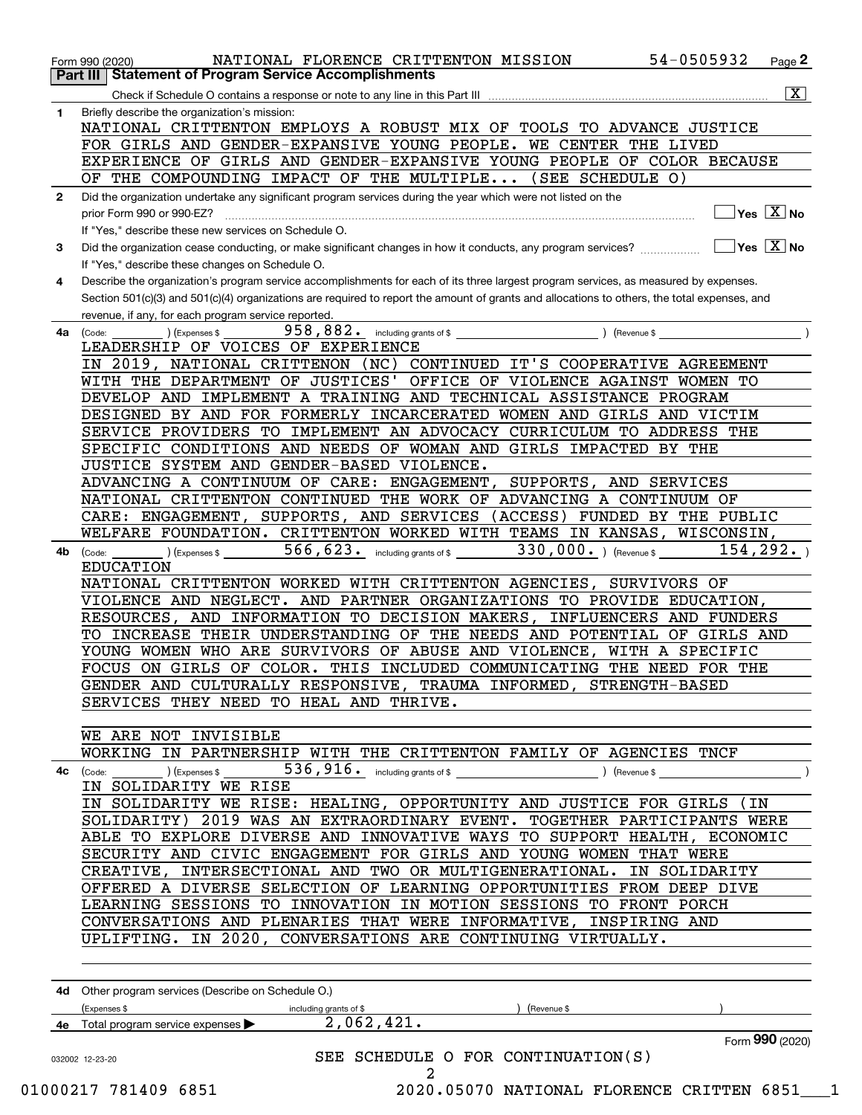|              | 54-0505932<br>NATIONAL FLORENCE CRITTENTON MISSION<br>Page 2<br>Form 990 (2020)<br><b>Part III   Statement of Program Service Accomplishments</b> |
|--------------|---------------------------------------------------------------------------------------------------------------------------------------------------|
|              | $ \mathbf{X} $                                                                                                                                    |
| 1.           | Check if Schedule O contains a response or note to any line in this Part III<br>Briefly describe the organization's mission:                      |
|              | NATIONAL CRITTENTON EMPLOYS A ROBUST MIX OF TOOLS TO ADVANCE JUSTICE                                                                              |
|              | FOR GIRLS AND GENDER-EXPANSIVE YOUNG PEOPLE. WE CENTER THE LIVED                                                                                  |
|              | EXPERIENCE OF GIRLS AND GENDER-EXPANSIVE YOUNG PEOPLE OF COLOR BECAUSE                                                                            |
|              | OF THE COMPOUNDING IMPACT OF THE MULTIPLE (SEE SCHEDULE O)                                                                                        |
| $\mathbf{2}$ | Did the organization undertake any significant program services during the year which were not listed on the                                      |
|              | $\overline{\ }$ Yes $\overline{\phantom{X}}$ No<br>prior Form 990 or 990-EZ?                                                                      |
|              | If "Yes," describe these new services on Schedule O.                                                                                              |
| 3            |                                                                                                                                                   |
|              | If "Yes," describe these changes on Schedule O.                                                                                                   |
| 4            | Describe the organization's program service accomplishments for each of its three largest program services, as measured by expenses.              |
|              | Section 501(c)(3) and 501(c)(4) organizations are required to report the amount of grants and allocations to others, the total expenses, and      |
|              | revenue, if any, for each program service reported.                                                                                               |
| 4a           | (Code:<br>) (Expenses \$                                                                                                                          |
|              | LEADERSHIP OF VOICES OF EXPERIENCE                                                                                                                |
|              | IN 2019, NATIONAL CRITTENON (NC) CONTINUED IT'S COOPERATIVE AGREEMENT                                                                             |
|              | WITH THE DEPARTMENT OF JUSTICES' OFFICE OF VIOLENCE AGAINST WOMEN TO                                                                              |
|              | DEVELOP AND IMPLEMENT A TRAINING AND TECHNICAL ASSISTANCE PROGRAM                                                                                 |
|              | DESIGNED BY AND FOR FORMERLY INCARCERATED WOMEN AND GIRLS AND VICTIM                                                                              |
|              | SERVICE PROVIDERS TO IMPLEMENT AN ADVOCACY CURRICULUM TO ADDRESS THE                                                                              |
|              | SPECIFIC CONDITIONS AND NEEDS OF WOMAN AND GIRLS IMPACTED BY THE                                                                                  |
|              | JUSTICE SYSTEM AND GENDER-BASED VIOLENCE.                                                                                                         |
|              | ADVANCING A CONTINUUM OF CARE: ENGAGEMENT, SUPPORTS, AND SERVICES                                                                                 |
|              | NATIONAL CRITTENTON CONTINUED THE WORK OF ADVANCING A CONTINUUM OF                                                                                |
|              | CARE: ENGAGEMENT, SUPPORTS, AND SERVICES (ACCESS) FUNDED BY THE PUBLIC                                                                            |
|              | WELFARE FOUNDATION. CRITTENTON WORKED WITH TEAMS IN KANSAS, WISCONSIN,                                                                            |
| 4b           | $566, 623$ including grants of \$ 330,000. ) (Revenue \$<br>154, 292.<br>$(\textsf{Expenses}$<br>(Code:                                           |
|              | <b>EDUCATION</b>                                                                                                                                  |
|              | NATIONAL CRITTENTON WORKED WITH CRITTENTON AGENCIES, SURVIVORS OF                                                                                 |
|              | VIOLENCE AND NEGLECT. AND PARTNER ORGANIZATIONS TO PROVIDE EDUCATION,                                                                             |
|              | RESOURCES, AND INFORMATION TO DECISION MAKERS, INFLUENCERS AND FUNDERS                                                                            |
|              | TO INCREASE THEIR UNDERSTANDING OF THE NEEDS AND POTENTIAL OF GIRLS AND                                                                           |
|              | YOUNG WOMEN WHO ARE SURVIVORS OF ABUSE AND VIOLENCE, WITH A SPECIFIC                                                                              |
|              | FOCUS ON GIRLS OF COLOR. THIS INCLUDED COMMUNICATING THE NEED FOR THE                                                                             |
|              | GENDER AND CULTURALLY RESPONSIVE, TRAUMA INFORMED, STRENGTH-BASED<br>SERVICES THEY NEED TO HEAL AND THRIVE.                                       |
|              |                                                                                                                                                   |
|              | WE ARE NOT INVISIBLE                                                                                                                              |
|              | WORKING IN PARTNERSHIP WITH THE CRITTENTON FAMILY OF AGENCIES TNCF                                                                                |
|              | <b>4c</b> (Code: ) (Expenses $\sqrt{s}$ ) $\sqrt{s}$ 536, 916. including grants of $\sqrt{s}$<br>(Revenue \$                                      |
|              | IN SOLIDARITY WE RISE                                                                                                                             |
|              | IN SOLIDARITY WE RISE: HEALING, OPPORTUNITY AND JUSTICE FOR GIRLS (IN                                                                             |
|              | SOLIDARITY) 2019 WAS AN EXTRAORDINARY EVENT. TOGETHER PARTICIPANTS WERE                                                                           |
|              | ABLE TO EXPLORE DIVERSE AND INNOVATIVE WAYS TO SUPPORT HEALTH, ECONOMIC                                                                           |
|              | SECURITY AND CIVIC ENGAGEMENT FOR GIRLS AND YOUNG WOMEN THAT WERE                                                                                 |
|              | CREATIVE, INTERSECTIONAL AND TWO OR MULTIGENERATIONAL. IN SOLIDARITY                                                                              |
|              | OFFERED A DIVERSE SELECTION OF LEARNING OPPORTUNITIES FROM DEEP DIVE                                                                              |
|              | LEARNING SESSIONS TO INNOVATION IN MOTION SESSIONS TO FRONT PORCH                                                                                 |
|              | CONVERSATIONS AND PLENARIES THAT WERE INFORMATIVE, INSPIRING AND                                                                                  |
|              | UPLIFTING. IN 2020, CONVERSATIONS ARE CONTINUING VIRTUALLY.                                                                                       |
|              |                                                                                                                                                   |
|              | 4d Other program services (Describe on Schedule O.)                                                                                               |
|              | including grants of \$<br>(Expenses \$<br>) (Revenue \$                                                                                           |
|              | $2,062,421$ .<br>4e Total program service expenses >                                                                                              |
|              | Form 990 (2020)                                                                                                                                   |
|              | SEE SCHEDULE O FOR CONTINUATION(S)<br>032002 12-23-20                                                                                             |
|              | 2<br>2020.05070 NATIONAL FLORENCE CRITTEN 6851 1<br>01000217 781409 6851                                                                          |
|              |                                                                                                                                                   |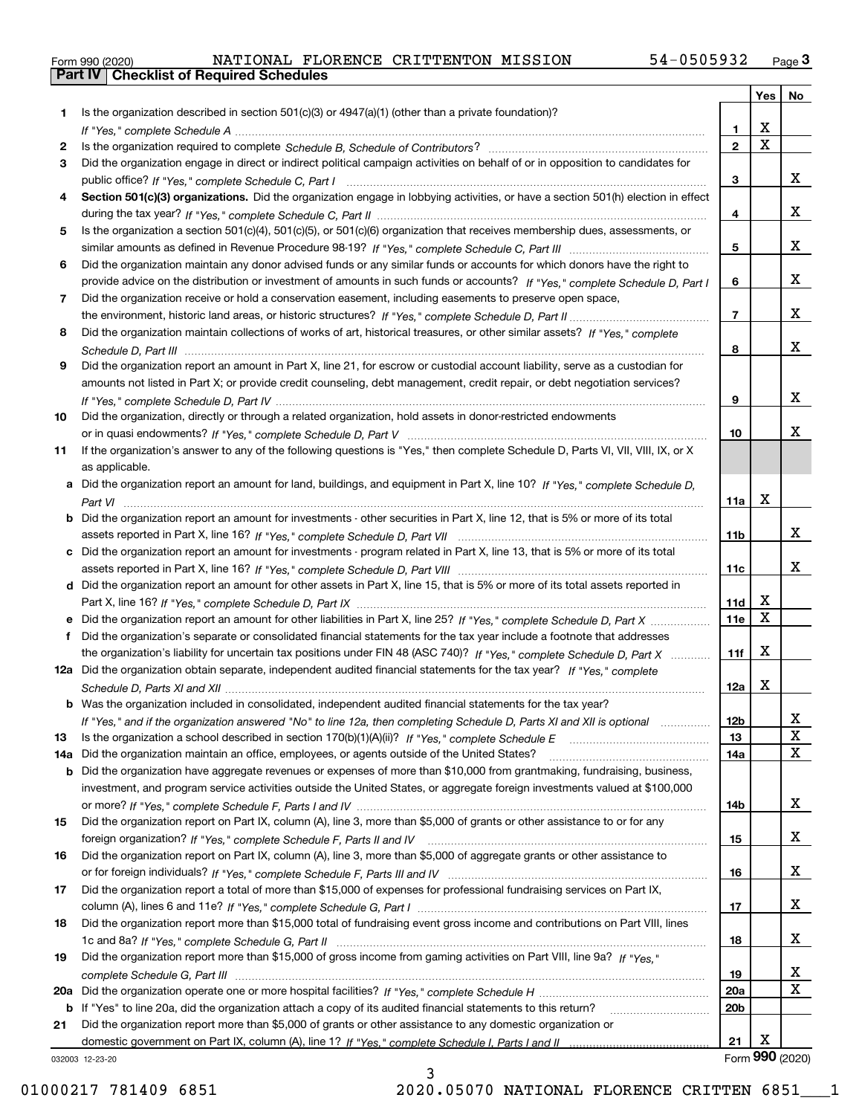|  | Form 990 (2020) |
|--|-----------------|

|     |                                                                                                                                  |                 | Yes             | No     |
|-----|----------------------------------------------------------------------------------------------------------------------------------|-----------------|-----------------|--------|
| 1   | Is the organization described in section $501(c)(3)$ or $4947(a)(1)$ (other than a private foundation)?                          |                 |                 |        |
|     |                                                                                                                                  | 1               | X               |        |
| 2   |                                                                                                                                  | $\overline{2}$  | $\mathbf X$     |        |
| 3   | Did the organization engage in direct or indirect political campaign activities on behalf of or in opposition to candidates for  |                 |                 |        |
|     |                                                                                                                                  | 3               |                 | x      |
| 4   | Section 501(c)(3) organizations. Did the organization engage in lobbying activities, or have a section 501(h) election in effect |                 |                 |        |
|     |                                                                                                                                  | 4               |                 | x      |
| 5   | Is the organization a section 501(c)(4), 501(c)(5), or 501(c)(6) organization that receives membership dues, assessments, or     |                 |                 |        |
|     |                                                                                                                                  | 5               |                 | x      |
| 6   | Did the organization maintain any donor advised funds or any similar funds or accounts for which donors have the right to        |                 |                 |        |
|     | provide advice on the distribution or investment of amounts in such funds or accounts? If "Yes," complete Schedule D, Part I     | 6               |                 | x      |
| 7   | Did the organization receive or hold a conservation easement, including easements to preserve open space,                        |                 |                 |        |
|     |                                                                                                                                  | $\overline{7}$  |                 | x      |
| 8   | Did the organization maintain collections of works of art, historical treasures, or other similar assets? If "Yes," complete     |                 |                 | X      |
|     |                                                                                                                                  | 8               |                 |        |
| 9   | Did the organization report an amount in Part X, line 21, for escrow or custodial account liability, serve as a custodian for    |                 |                 |        |
|     | amounts not listed in Part X; or provide credit counseling, debt management, credit repair, or debt negotiation services?        |                 |                 |        |
|     |                                                                                                                                  | 9               |                 | X      |
| 10  | Did the organization, directly or through a related organization, hold assets in donor-restricted endowments                     |                 |                 | Х      |
|     |                                                                                                                                  | 10              |                 |        |
| 11  | If the organization's answer to any of the following questions is "Yes," then complete Schedule D, Parts VI, VII, VIII, IX, or X |                 |                 |        |
|     | as applicable.                                                                                                                   |                 |                 |        |
|     | a Did the organization report an amount for land, buildings, and equipment in Part X, line 10? If "Yes," complete Schedule D.    |                 | X               |        |
|     |                                                                                                                                  | 11a             |                 |        |
| b   | Did the organization report an amount for investments - other securities in Part X, line 12, that is 5% or more of its total     | 11 <sub>b</sub> |                 | x      |
| c   |                                                                                                                                  |                 |                 |        |
|     | Did the organization report an amount for investments - program related in Part X, line 13, that is 5% or more of its total      | 11c             |                 | x      |
|     |                                                                                                                                  |                 |                 |        |
|     | d Did the organization report an amount for other assets in Part X, line 15, that is 5% or more of its total assets reported in  | 11d             | х               |        |
|     | Did the organization report an amount for other liabilities in Part X, line 25? If "Yes," complete Schedule D, Part X            | 11e             | X               |        |
| f   | Did the organization's separate or consolidated financial statements for the tax year include a footnote that addresses          |                 |                 |        |
|     | the organization's liability for uncertain tax positions under FIN 48 (ASC 740)? If "Yes," complete Schedule D, Part X           | 11f             | X               |        |
|     | 12a Did the organization obtain separate, independent audited financial statements for the tax year? If "Yes," complete          |                 |                 |        |
|     |                                                                                                                                  | 12a             | x               |        |
|     | <b>b</b> Was the organization included in consolidated, independent audited financial statements for the tax year?               |                 |                 |        |
|     | If "Yes," and if the organization answered "No" to line 12a, then completing Schedule D, Parts XI and XII is optional            |                 |                 |        |
| 13  | Is the organization a school described in section $170(b)(1)(A)(ii)?$ If "Yes," complete Schedule E                              | 12D<br>13       |                 | ᅀ<br>X |
| 14a | Did the organization maintain an office, employees, or agents outside of the United States?                                      | 14a             |                 | X      |
| b   | Did the organization have aggregate revenues or expenses of more than \$10,000 from grantmaking, fundraising, business,          |                 |                 |        |
|     | investment, and program service activities outside the United States, or aggregate foreign investments valued at \$100,000       |                 |                 |        |
|     |                                                                                                                                  | 14b             |                 | x      |
| 15  | Did the organization report on Part IX, column (A), line 3, more than \$5,000 of grants or other assistance to or for any        |                 |                 |        |
|     |                                                                                                                                  | 15              |                 | x      |
| 16  | Did the organization report on Part IX, column (A), line 3, more than \$5,000 of aggregate grants or other assistance to         |                 |                 |        |
|     |                                                                                                                                  | 16              |                 | x      |
| 17  | Did the organization report a total of more than \$15,000 of expenses for professional fundraising services on Part IX,          |                 |                 |        |
|     |                                                                                                                                  | 17              |                 | x      |
| 18  | Did the organization report more than \$15,000 total of fundraising event gross income and contributions on Part VIII, lines     |                 |                 |        |
|     |                                                                                                                                  | 18              |                 | x      |
| 19  | Did the organization report more than \$15,000 of gross income from gaming activities on Part VIII, line 9a? If "Yes."           |                 |                 |        |
|     |                                                                                                                                  | 19              |                 | x      |
| 20a |                                                                                                                                  | 20a             |                 | X      |
| b   | If "Yes" to line 20a, did the organization attach a copy of its audited financial statements to this return?                     | 20 <sub>b</sub> |                 |        |
| 21  | Did the organization report more than \$5,000 of grants or other assistance to any domestic organization or                      |                 |                 |        |
|     |                                                                                                                                  | 21              | Х               |        |
|     | 032003 12-23-20                                                                                                                  |                 | Form 990 (2020) |        |

032003 12-23-20

3 01000217 781409 6851 2020.05070 NATIONAL FLORENCE CRITTEN 6851 1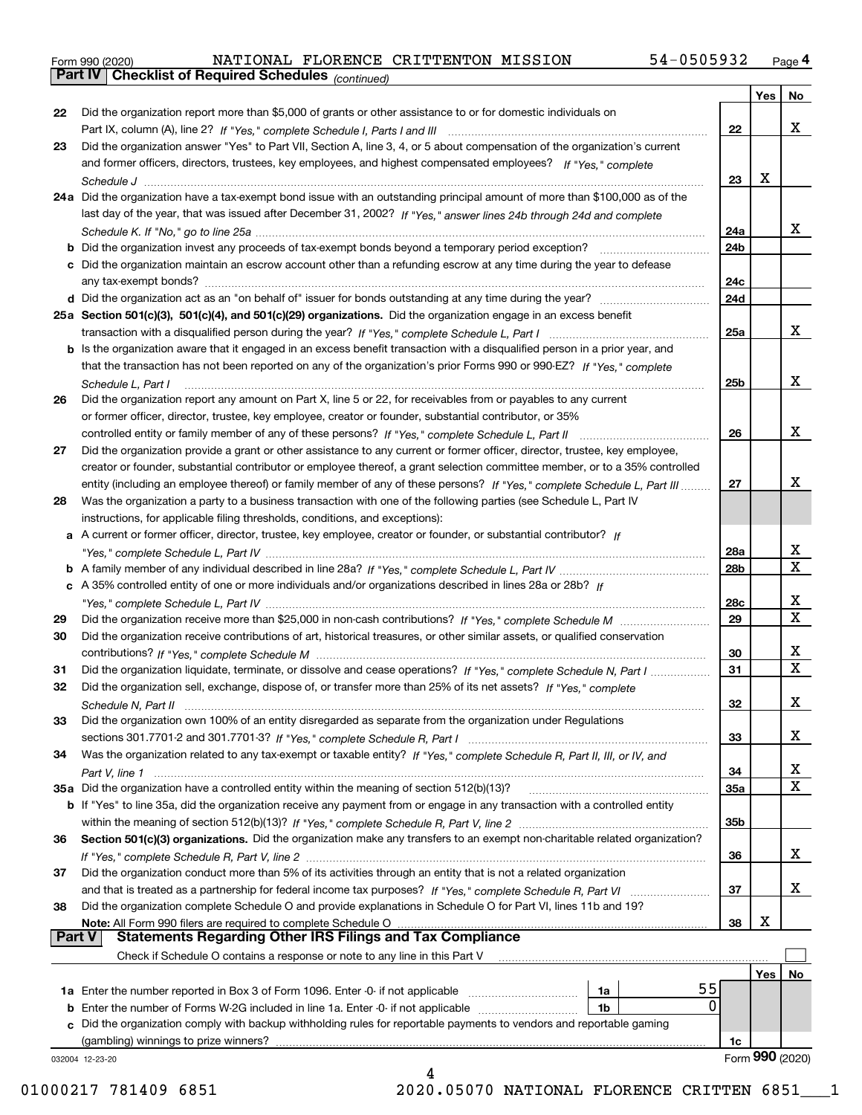|  | Form 990 (2020) |
|--|-----------------|
|  |                 |

*(continued)*

|               |                                                                                                                                    |                 | Yes | No              |  |  |
|---------------|------------------------------------------------------------------------------------------------------------------------------------|-----------------|-----|-----------------|--|--|
| 22            | Did the organization report more than \$5,000 of grants or other assistance to or for domestic individuals on                      |                 |     |                 |  |  |
|               |                                                                                                                                    | 22              |     | x               |  |  |
| 23            | Did the organization answer "Yes" to Part VII, Section A, line 3, 4, or 5 about compensation of the organization's current         |                 |     |                 |  |  |
|               | and former officers, directors, trustees, key employees, and highest compensated employees? If "Yes," complete                     |                 |     |                 |  |  |
|               |                                                                                                                                    | 23              | X   |                 |  |  |
|               | 24a Did the organization have a tax-exempt bond issue with an outstanding principal amount of more than \$100,000 as of the        |                 |     |                 |  |  |
|               | last day of the year, that was issued after December 31, 2002? If "Yes," answer lines 24b through 24d and complete                 |                 |     |                 |  |  |
|               |                                                                                                                                    | 24a             |     | X.              |  |  |
|               | <b>b</b> Did the organization invest any proceeds of tax-exempt bonds beyond a temporary period exception?                         | 24b             |     |                 |  |  |
|               | c Did the organization maintain an escrow account other than a refunding escrow at any time during the year to defease             |                 |     |                 |  |  |
|               |                                                                                                                                    | 24c             |     |                 |  |  |
|               |                                                                                                                                    | 24d             |     |                 |  |  |
|               | 25a Section 501(c)(3), 501(c)(4), and 501(c)(29) organizations. Did the organization engage in an excess benefit                   |                 |     |                 |  |  |
|               |                                                                                                                                    | 25a             |     | x               |  |  |
|               | b Is the organization aware that it engaged in an excess benefit transaction with a disqualified person in a prior year, and       |                 |     |                 |  |  |
|               | that the transaction has not been reported on any of the organization's prior Forms 990 or 990-EZ? If "Yes," complete              |                 |     |                 |  |  |
|               | Schedule L, Part I                                                                                                                 | 25b             |     | x               |  |  |
| 26            | Did the organization report any amount on Part X, line 5 or 22, for receivables from or payables to any current                    |                 |     |                 |  |  |
|               | or former officer, director, trustee, key employee, creator or founder, substantial contributor, or 35%                            |                 |     |                 |  |  |
|               |                                                                                                                                    | 26              |     | x               |  |  |
| 27            | Did the organization provide a grant or other assistance to any current or former officer, director, trustee, key employee,        |                 |     |                 |  |  |
|               | creator or founder, substantial contributor or employee thereof, a grant selection committee member, or to a 35% controlled        |                 |     |                 |  |  |
|               | entity (including an employee thereof) or family member of any of these persons? If "Yes," complete Schedule L, Part III           | 27              |     | x               |  |  |
| 28            | Was the organization a party to a business transaction with one of the following parties (see Schedule L, Part IV                  |                 |     |                 |  |  |
|               | instructions, for applicable filing thresholds, conditions, and exceptions):                                                       |                 |     |                 |  |  |
|               | a A current or former officer, director, trustee, key employee, creator or founder, or substantial contributor? If                 |                 |     |                 |  |  |
|               |                                                                                                                                    | 28a             |     | x               |  |  |
|               |                                                                                                                                    | 28 <sub>b</sub> |     | X               |  |  |
|               | c A 35% controlled entity of one or more individuals and/or organizations described in lines 28a or 28b? If                        |                 |     |                 |  |  |
|               |                                                                                                                                    | 28c             |     | x<br>X          |  |  |
| 29            |                                                                                                                                    |                 |     |                 |  |  |
| 30            | Did the organization receive contributions of art, historical treasures, or other similar assets, or qualified conservation        |                 |     |                 |  |  |
|               |                                                                                                                                    | 30              |     | x               |  |  |
| 31            | Did the organization liquidate, terminate, or dissolve and cease operations? If "Yes," complete Schedule N, Part I                 | 31              |     | х               |  |  |
| 32            | Did the organization sell, exchange, dispose of, or transfer more than 25% of its net assets? If "Yes," complete                   |                 |     |                 |  |  |
|               |                                                                                                                                    | 32              |     | x               |  |  |
| 33            | Did the organization own 100% of an entity disregarded as separate from the organization under Regulations                         |                 |     |                 |  |  |
|               |                                                                                                                                    | 33              |     | x               |  |  |
| 34            | Was the organization related to any tax-exempt or taxable entity? If "Yes," complete Schedule R, Part II, III, or IV, and          |                 |     |                 |  |  |
|               |                                                                                                                                    | 34              |     | x               |  |  |
|               | 35a Did the organization have a controlled entity within the meaning of section 512(b)(13)?                                        | 35a             |     | X               |  |  |
|               | <b>b</b> If "Yes" to line 35a, did the organization receive any payment from or engage in any transaction with a controlled entity |                 |     |                 |  |  |
|               |                                                                                                                                    | 35b             |     |                 |  |  |
| 36            | Section 501(c)(3) organizations. Did the organization make any transfers to an exempt non-charitable related organization?         |                 |     |                 |  |  |
|               |                                                                                                                                    | 36              |     | x               |  |  |
| 37            | Did the organization conduct more than 5% of its activities through an entity that is not a related organization                   |                 |     |                 |  |  |
|               |                                                                                                                                    | 37              |     | x               |  |  |
| 38            | Did the organization complete Schedule O and provide explanations in Schedule O for Part VI, lines 11b and 19?                     |                 |     |                 |  |  |
|               | Note: All Form 990 filers are required to complete Schedule O                                                                      | 38              | х   |                 |  |  |
| <b>Part V</b> | <b>Statements Regarding Other IRS Filings and Tax Compliance</b>                                                                   |                 |     |                 |  |  |
|               | Check if Schedule O contains a response or note to any line in this Part V                                                         |                 |     |                 |  |  |
|               |                                                                                                                                    |                 | Yes | No              |  |  |
|               | 55<br>1a                                                                                                                           |                 |     |                 |  |  |
|               | $\Omega$<br><b>b</b> Enter the number of Forms W-2G included in line 1a. Enter -0- if not applicable <i>manumumumum</i><br>1b      |                 |     |                 |  |  |
|               | c Did the organization comply with backup withholding rules for reportable payments to vendors and reportable gaming               |                 |     |                 |  |  |
|               | (gambling) winnings to prize winners?                                                                                              | 1c              |     |                 |  |  |
|               | 032004 12-23-20                                                                                                                    |                 |     | Form 990 (2020) |  |  |
|               | 4                                                                                                                                  |                 |     |                 |  |  |

01000217 781409 6851 2020.05070 NATIONAL FLORENCE CRITTEN 6851 1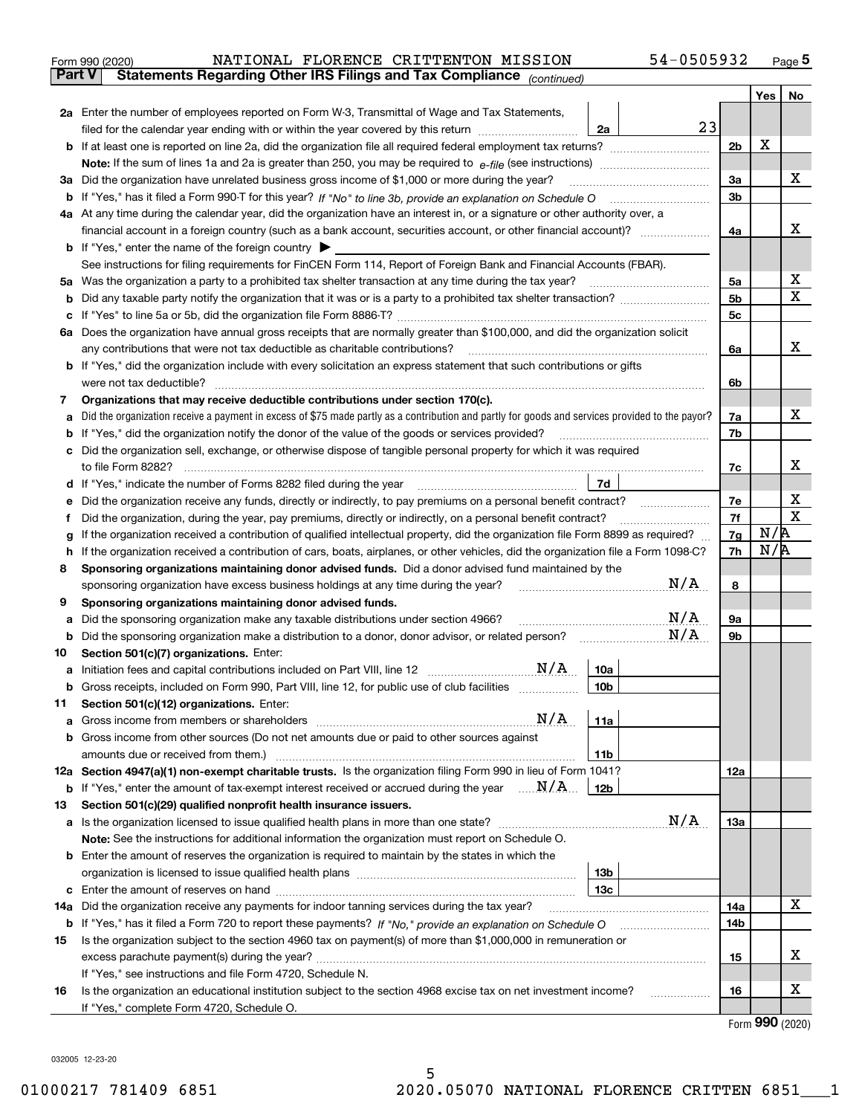| Form 990 (2020) |  | NATIONAL FLORENCE CRITTENTON MISSION                                                           | 54-0505932 | Page 5 |
|-----------------|--|------------------------------------------------------------------------------------------------|------------|--------|
|                 |  | <b>Part V</b> Statements Regarding Other IRS Filings and Tax Compliance <sub>(continued)</sub> |            |        |

|     |                                                                                                                                                 |                | <b>Yes</b> | No                      |  |  |  |  |  |
|-----|-------------------------------------------------------------------------------------------------------------------------------------------------|----------------|------------|-------------------------|--|--|--|--|--|
|     | 2a Enter the number of employees reported on Form W-3, Transmittal of Wage and Tax Statements,                                                  |                |            |                         |  |  |  |  |  |
|     | 23<br>filed for the calendar year ending with or within the year covered by this return<br>2a                                                   |                |            |                         |  |  |  |  |  |
|     | <b>b</b> If at least one is reported on line 2a, did the organization file all required federal employment tax returns?                         |                |            |                         |  |  |  |  |  |
|     | Note: If the sum of lines 1a and 2a is greater than 250, you may be required to $e$ -file (see instructions) <i>marrouum</i> manu-              |                |            |                         |  |  |  |  |  |
|     | 3a Did the organization have unrelated business gross income of \$1,000 or more during the year?                                                | 3a             |            | х                       |  |  |  |  |  |
|     |                                                                                                                                                 | 3b             |            |                         |  |  |  |  |  |
|     | 4a At any time during the calendar year, did the organization have an interest in, or a signature or other authority over, a                    |                |            |                         |  |  |  |  |  |
|     |                                                                                                                                                 | 4a             |            | х                       |  |  |  |  |  |
|     | <b>b</b> If "Yes," enter the name of the foreign country $\blacktriangleright$                                                                  |                |            |                         |  |  |  |  |  |
|     | See instructions for filing requirements for FinCEN Form 114, Report of Foreign Bank and Financial Accounts (FBAR).                             |                |            |                         |  |  |  |  |  |
|     | 5a Was the organization a party to a prohibited tax shelter transaction at any time during the tax year?                                        |                |            |                         |  |  |  |  |  |
| b   | Did any taxable party notify the organization that it was or is a party to a prohibited tax shelter transaction?                                | 5 <sub>b</sub> |            | $\overline{\mathbf{x}}$ |  |  |  |  |  |
| с   |                                                                                                                                                 | 5 <sub>c</sub> |            |                         |  |  |  |  |  |
|     | 6a Does the organization have annual gross receipts that are normally greater than \$100,000, and did the organization solicit                  |                |            |                         |  |  |  |  |  |
|     | any contributions that were not tax deductible as charitable contributions?                                                                     | 6a             |            | х                       |  |  |  |  |  |
|     | <b>b</b> If "Yes," did the organization include with every solicitation an express statement that such contributions or gifts                   |                |            |                         |  |  |  |  |  |
|     | were not tax deductible?                                                                                                                        | 6b             |            |                         |  |  |  |  |  |
| 7   | Organizations that may receive deductible contributions under section 170(c).                                                                   |                |            |                         |  |  |  |  |  |
| а   | Did the organization receive a payment in excess of \$75 made partly as a contribution and partly for goods and services provided to the payor? | 7a             |            | X                       |  |  |  |  |  |
| b   | If "Yes," did the organization notify the donor of the value of the goods or services provided?                                                 | 7b             |            |                         |  |  |  |  |  |
| c   | Did the organization sell, exchange, or otherwise dispose of tangible personal property for which it was required                               |                |            |                         |  |  |  |  |  |
|     |                                                                                                                                                 | 7c             |            | х                       |  |  |  |  |  |
| d   | 7d                                                                                                                                              |                |            |                         |  |  |  |  |  |
| е   | Did the organization receive any funds, directly or indirectly, to pay premiums on a personal benefit contract?                                 |                |            |                         |  |  |  |  |  |
|     | Did the organization, during the year, pay premiums, directly or indirectly, on a personal benefit contract?                                    |                |            |                         |  |  |  |  |  |
| g   | If the organization received a contribution of qualified intellectual property, did the organization file Form 8899 as required?                |                |            |                         |  |  |  |  |  |
| h   | If the organization received a contribution of cars, boats, airplanes, or other vehicles, did the organization file a Form 1098-C?              |                |            |                         |  |  |  |  |  |
| 8   | Sponsoring organizations maintaining donor advised funds. Did a donor advised fund maintained by the                                            |                |            |                         |  |  |  |  |  |
|     | N/A<br>sponsoring organization have excess business holdings at any time during the year?                                                       |                |            |                         |  |  |  |  |  |
| 9   | Sponsoring organizations maintaining donor advised funds.                                                                                       |                |            |                         |  |  |  |  |  |
| а   | N/A<br>Did the sponsoring organization make any taxable distributions under section 4966?                                                       | 9а             |            |                         |  |  |  |  |  |
| b   | N/A<br>Did the sponsoring organization make a distribution to a donor, donor advisor, or related person?                                        | 9b             |            |                         |  |  |  |  |  |
| 10  | Section 501(c)(7) organizations. Enter:                                                                                                         |                |            |                         |  |  |  |  |  |
| а   | 10a                                                                                                                                             |                |            |                         |  |  |  |  |  |
|     | 10 <sub>b</sub><br>Gross receipts, included on Form 990, Part VIII, line 12, for public use of club facilities                                  |                |            |                         |  |  |  |  |  |
| 11  | Section 501(c)(12) organizations. Enter:                                                                                                        |                |            |                         |  |  |  |  |  |
| а   | Gross income from members or shareholders $\mathbf{N}/\mathbf{A}$<br>11a                                                                        |                |            |                         |  |  |  |  |  |
| b   | Gross income from other sources (Do not net amounts due or paid to other sources against                                                        |                |            |                         |  |  |  |  |  |
|     | amounts due or received from them.)<br>11b                                                                                                      |                |            |                         |  |  |  |  |  |
|     | 12a Section 4947(a)(1) non-exempt charitable trusts. Is the organization filing Form 990 in lieu of Form 1041?                                  | 12a            |            |                         |  |  |  |  |  |
| b   | If "Yes," enter the amount of tax-exempt interest received or accrued during the year $\ldots \ldots N/A$<br>12b                                |                |            |                         |  |  |  |  |  |
| 13  | Section 501(c)(29) qualified nonprofit health insurance issuers.                                                                                |                |            |                         |  |  |  |  |  |
| а   | N/A                                                                                                                                             | 13a            |            |                         |  |  |  |  |  |
|     | Note: See the instructions for additional information the organization must report on Schedule O.                                               |                |            |                         |  |  |  |  |  |
| b   | Enter the amount of reserves the organization is required to maintain by the states in which the                                                |                |            |                         |  |  |  |  |  |
|     | 13 <sub>b</sub>                                                                                                                                 |                |            |                         |  |  |  |  |  |
| с   | 13c                                                                                                                                             |                |            |                         |  |  |  |  |  |
| 14a | Did the organization receive any payments for indoor tanning services during the tax year?                                                      | 14a            |            | х                       |  |  |  |  |  |
| b   |                                                                                                                                                 | 14b            |            |                         |  |  |  |  |  |
| 15  | Is the organization subject to the section 4960 tax on payment(s) of more than \$1,000,000 in remuneration or                                   |                |            |                         |  |  |  |  |  |
|     |                                                                                                                                                 | 15             |            | х                       |  |  |  |  |  |
|     | If "Yes," see instructions and file Form 4720, Schedule N.                                                                                      |                |            |                         |  |  |  |  |  |
| 16  | Is the organization an educational institution subject to the section 4968 excise tax on net investment income?                                 | 16             |            | х                       |  |  |  |  |  |
|     | If "Yes," complete Form 4720, Schedule O.                                                                                                       |                |            |                         |  |  |  |  |  |

Form (2020) **990**

032005 12-23-20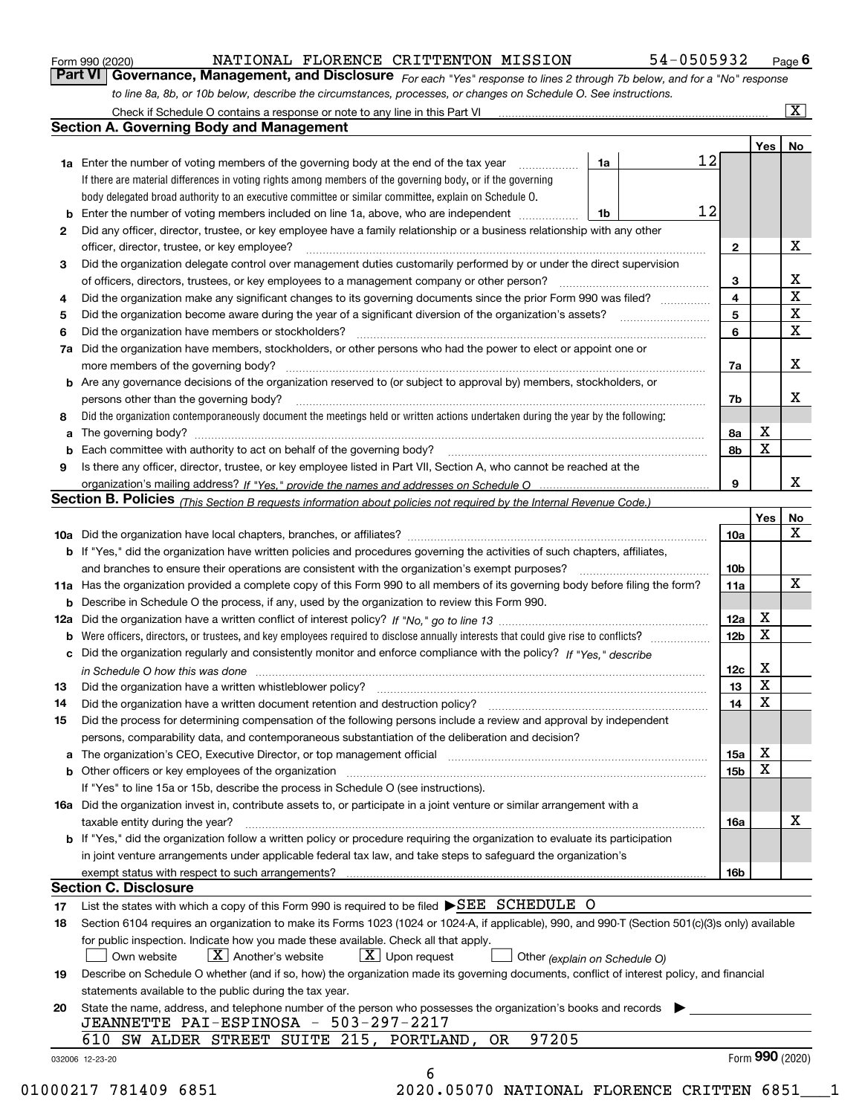|  | Form 990 (2020) |
|--|-----------------|
|  |                 |

#### NATIONAL FLORENCE CRITTENTON MISSION 54-0505932

*For each "Yes" response to lines 2 through 7b below, and for a "No" response to line 8a, 8b, or 10b below, describe the circumstances, processes, or changes on Schedule O. See instructions.* Form 990 (2020) **MATIONAL FLORENCE CRITTENTON MISSION** 54-0505932 Page 6<br>**Part VI Governance, Management, and Disclosure** For each "Yes" response to lines 2 through 7b below, and for a "No" response

|    |                                                                                                                                                                            |                                                                                                        |  |    |                 | Yes         | No                                     |  |
|----|----------------------------------------------------------------------------------------------------------------------------------------------------------------------------|--------------------------------------------------------------------------------------------------------|--|----|-----------------|-------------|----------------------------------------|--|
|    | <b>1a</b> Enter the number of voting members of the governing body at the end of the tax year <i>manumum</i>                                                               | 1a                                                                                                     |  | 12 |                 |             |                                        |  |
|    | If there are material differences in voting rights among members of the governing body, or if the governing                                                                |                                                                                                        |  |    |                 |             |                                        |  |
|    | body delegated broad authority to an executive committee or similar committee, explain on Schedule O.                                                                      |                                                                                                        |  |    |                 |             |                                        |  |
|    |                                                                                                                                                                            | 1b                                                                                                     |  | 12 |                 |             |                                        |  |
| 2  | Did any officer, director, trustee, or key employee have a family relationship or a business relationship with any other                                                   |                                                                                                        |  |    |                 |             |                                        |  |
|    | officer, director, trustee, or key employee?                                                                                                                               |                                                                                                        |  |    | $\mathbf{2}$    |             | X                                      |  |
| 3  | Did the organization delegate control over management duties customarily performed by or under the direct supervision                                                      |                                                                                                        |  |    |                 |             |                                        |  |
|    |                                                                                                                                                                            |                                                                                                        |  |    | 3               |             | X                                      |  |
| 4  | Did the organization make any significant changes to its governing documents since the prior Form 990 was filed?                                                           |                                                                                                        |  |    | 4               |             | $\overline{\mathbf{x}}$<br>$\mathbf X$ |  |
| 5  |                                                                                                                                                                            |                                                                                                        |  |    |                 |             |                                        |  |
| 6  | Did the organization have members or stockholders?                                                                                                                         |                                                                                                        |  |    | 6               |             | $\mathbf X$                            |  |
|    | 7a Did the organization have members, stockholders, or other persons who had the power to elect or appoint one or                                                          |                                                                                                        |  |    |                 |             |                                        |  |
|    |                                                                                                                                                                            |                                                                                                        |  |    | 7a              |             | X                                      |  |
|    | <b>b</b> Are any governance decisions of the organization reserved to (or subject to approval by) members, stockholders, or                                                |                                                                                                        |  |    |                 |             |                                        |  |
|    | persons other than the governing body?                                                                                                                                     |                                                                                                        |  |    | 7b              |             | X                                      |  |
| 8  | Did the organization contemporaneously document the meetings held or written actions undertaken during the year by the following:                                          |                                                                                                        |  |    |                 |             |                                        |  |
| a  |                                                                                                                                                                            |                                                                                                        |  |    | 8a              | X           |                                        |  |
|    |                                                                                                                                                                            |                                                                                                        |  |    | 8b              | X           |                                        |  |
| 9  | Is there any officer, director, trustee, or key employee listed in Part VII, Section A, who cannot be reached at the                                                       |                                                                                                        |  |    |                 |             |                                        |  |
|    |                                                                                                                                                                            |                                                                                                        |  |    | 9               |             | X                                      |  |
|    | Section B. Policies (This Section B requests information about policies not required by the Internal Revenue Code.)                                                        |                                                                                                        |  |    |                 |             |                                        |  |
|    |                                                                                                                                                                            |                                                                                                        |  |    |                 | Yes         | No                                     |  |
|    |                                                                                                                                                                            |                                                                                                        |  |    | 10a             |             | x                                      |  |
|    | <b>b</b> If "Yes," did the organization have written policies and procedures governing the activities of such chapters, affiliates,                                        |                                                                                                        |  |    |                 |             |                                        |  |
|    |                                                                                                                                                                            |                                                                                                        |  |    | 10 <sub>b</sub> |             |                                        |  |
|    | 11a Has the organization provided a complete copy of this Form 990 to all members of its governing body before filing the form?                                            |                                                                                                        |  |    |                 |             |                                        |  |
|    |                                                                                                                                                                            |                                                                                                        |  |    | 11a             |             | X                                      |  |
|    |                                                                                                                                                                            | <b>b</b> Describe in Schedule O the process, if any, used by the organization to review this Form 990. |  |    |                 |             |                                        |  |
|    |                                                                                                                                                                            |                                                                                                        |  |    | 12a             | X<br>X      |                                        |  |
| b  |                                                                                                                                                                            |                                                                                                        |  |    | 12b             |             |                                        |  |
|    | c Did the organization regularly and consistently monitor and enforce compliance with the policy? If "Yes," describe                                                       |                                                                                                        |  |    |                 | X           |                                        |  |
|    | in Schedule O how this was done measured and contained a state of the state of the state of the state of the s                                                             |                                                                                                        |  |    | 12c             |             |                                        |  |
| 13 |                                                                                                                                                                            |                                                                                                        |  |    | 13              | X           |                                        |  |
| 14 | Did the organization have a written document retention and destruction policy? manufactured and the organization have a written document retention and destruction policy? |                                                                                                        |  |    | 14              | $\mathbf X$ |                                        |  |
| 15 | Did the process for determining compensation of the following persons include a review and approval by independent                                                         |                                                                                                        |  |    |                 |             |                                        |  |
|    | persons, comparability data, and contemporaneous substantiation of the deliberation and decision?                                                                          |                                                                                                        |  |    |                 |             |                                        |  |
|    |                                                                                                                                                                            |                                                                                                        |  |    | 15a             | X           |                                        |  |
|    | <b>b</b> Other officers or key employees of the organization                                                                                                               |                                                                                                        |  |    | 15b             | X           |                                        |  |
|    | If "Yes" to line 15a or 15b, describe the process in Schedule O (see instructions).                                                                                        |                                                                                                        |  |    |                 |             |                                        |  |
|    | 16a Did the organization invest in, contribute assets to, or participate in a joint venture or similar arrangement with a                                                  |                                                                                                        |  |    |                 |             |                                        |  |
|    | taxable entity during the year?                                                                                                                                            |                                                                                                        |  |    | 16a             |             | X                                      |  |
|    | <b>b</b> If "Yes," did the organization follow a written policy or procedure requiring the organization to evaluate its participation                                      |                                                                                                        |  |    |                 |             |                                        |  |
|    | in joint venture arrangements under applicable federal tax law, and take steps to safeguard the organization's                                                             |                                                                                                        |  |    |                 |             |                                        |  |
|    | exempt status with respect to such arrangements?                                                                                                                           |                                                                                                        |  |    | 16b             |             |                                        |  |
|    | <b>Section C. Disclosure</b>                                                                                                                                               |                                                                                                        |  |    |                 |             |                                        |  |
| 17 | List the states with which a copy of this Form 990 is required to be filed $\blacktriangleright$ SEE SCHEDULE O                                                            |                                                                                                        |  |    |                 |             |                                        |  |
| 18 | Section 6104 requires an organization to make its Forms 1023 (1024 or 1024-A, if applicable), 990, and 990-T (Section 501(c)(3)s only) available                           |                                                                                                        |  |    |                 |             |                                        |  |
|    | for public inspection. Indicate how you made these available. Check all that apply.                                                                                        |                                                                                                        |  |    |                 |             |                                        |  |
|    | $X$ Upon request<br>$X$ Another's website<br>Own website<br>Other (explain on Schedule O)                                                                                  |                                                                                                        |  |    |                 |             |                                        |  |
| 19 | Describe on Schedule O whether (and if so, how) the organization made its governing documents, conflict of interest policy, and financial                                  |                                                                                                        |  |    |                 |             |                                        |  |
|    | statements available to the public during the tax year.                                                                                                                    |                                                                                                        |  |    |                 |             |                                        |  |
| 20 | State the name, address, and telephone number of the person who possesses the organization's books and records                                                             |                                                                                                        |  |    |                 |             |                                        |  |
|    | JEANNETTE PAI-ESPINOSA - 503-297-2217                                                                                                                                      |                                                                                                        |  |    |                 |             |                                        |  |
|    |                                                                                                                                                                            |                                                                                                        |  |    |                 |             |                                        |  |
|    | 97205<br>610 SW ALDER STREET SUITE 215, PORTLAND, OR                                                                                                                       |                                                                                                        |  |    |                 |             |                                        |  |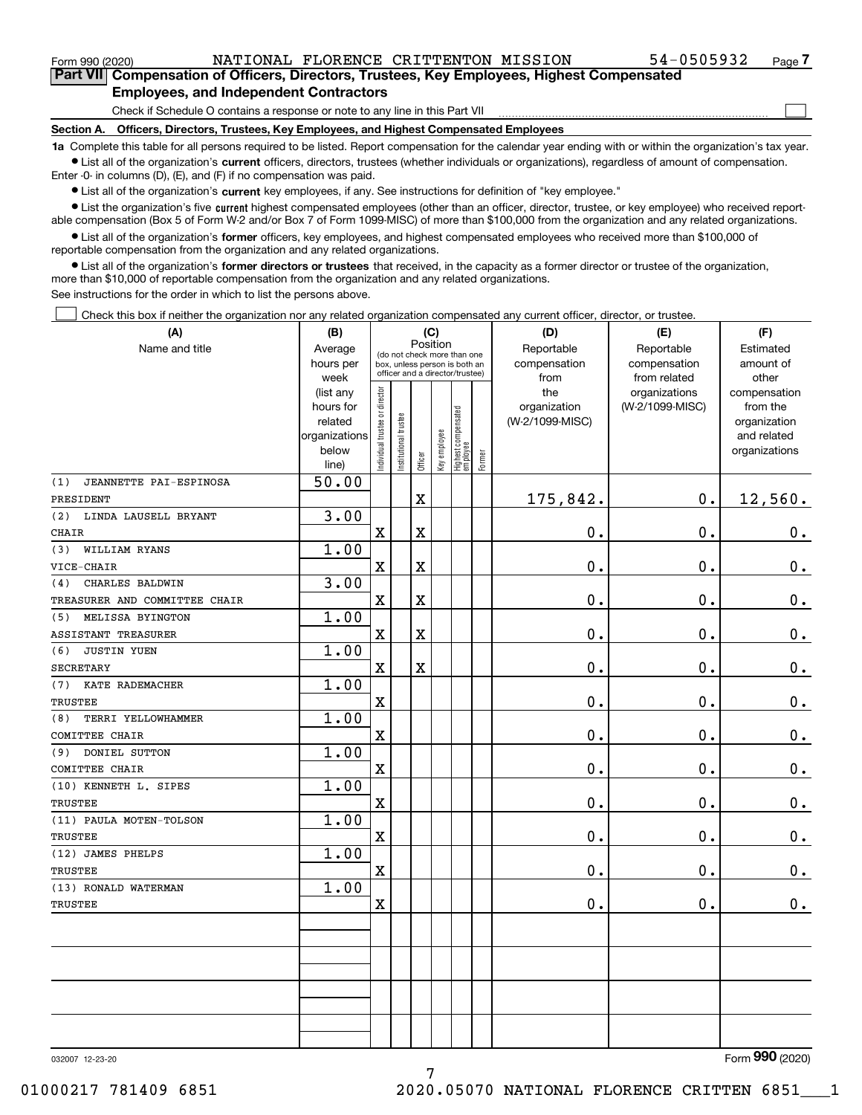$\mathcal{L}^{\text{max}}$ 

**7Part VII Compensation of Officers, Directors, Trustees, Key Employees, Highest Compensated Employees, and Independent Contractors**

Check if Schedule O contains a response or note to any line in this Part VII

**Section A. Officers, Directors, Trustees, Key Employees, and Highest Compensated Employees**

**1a**  Complete this table for all persons required to be listed. Report compensation for the calendar year ending with or within the organization's tax year. **•** List all of the organization's current officers, directors, trustees (whether individuals or organizations), regardless of amount of compensation.

Enter -0- in columns (D), (E), and (F) if no compensation was paid.

 $\bullet$  List all of the organization's  $\,$ current key employees, if any. See instructions for definition of "key employee."

**•** List the organization's five current highest compensated employees (other than an officer, director, trustee, or key employee) who received reportable compensation (Box 5 of Form W-2 and/or Box 7 of Form 1099-MISC) of more than \$100,000 from the organization and any related organizations.

**•** List all of the organization's former officers, key employees, and highest compensated employees who received more than \$100,000 of reportable compensation from the organization and any related organizations.

**former directors or trustees**  ¥ List all of the organization's that received, in the capacity as a former director or trustee of the organization, more than \$10,000 of reportable compensation from the organization and any related organizations.

See instructions for the order in which to list the persons above.

Check this box if neither the organization nor any related organization compensated any current officer, director, or trustee.  $\mathcal{L}^{\text{max}}$ 

| (A)                           | (B)                                                                           | (C)                                     |                       |             |              |                                  |              | (D)             | (E)             | (F)           |
|-------------------------------|-------------------------------------------------------------------------------|-----------------------------------------|-----------------------|-------------|--------------|----------------------------------|--------------|-----------------|-----------------|---------------|
| Name and title                | Average                                                                       | Position<br>(do not check more than one |                       |             |              |                                  |              | Reportable      | Reportable      | Estimated     |
|                               | hours per<br>box, unless person is both an<br>officer and a director/trustee) |                                         |                       |             |              |                                  | compensation | compensation    | amount of       |               |
|                               | week                                                                          |                                         |                       |             |              |                                  |              | from            | from related    | other         |
|                               | (list any                                                                     |                                         |                       |             |              |                                  |              | the             | organizations   | compensation  |
|                               | hours for                                                                     |                                         |                       |             |              |                                  |              | organization    | (W-2/1099-MISC) | from the      |
|                               | related                                                                       |                                         |                       |             |              |                                  |              | (W-2/1099-MISC) |                 | organization  |
|                               | organizations                                                                 |                                         |                       |             |              |                                  |              |                 |                 | and related   |
|                               | below<br>line)                                                                | ndividual trustee or director           | Institutional trustee | Officer     | Key employee | Highest compensated<br> employee | Former       |                 |                 | organizations |
| (1)<br>JEANNETTE PAI-ESPINOSA | 50.00                                                                         |                                         |                       |             |              |                                  |              |                 |                 |               |
| PRESIDENT                     |                                                                               |                                         |                       | $\rm X$     |              |                                  |              | 175,842.        | $\mathbf 0$ .   | 12,560.       |
| LINDA LAUSELL BRYANT<br>(2)   | 3.00                                                                          |                                         |                       |             |              |                                  |              |                 |                 |               |
| CHAIR                         |                                                                               | $\overline{\textbf{X}}$                 |                       | $\mathbf X$ |              |                                  |              | 0.              | $\mathbf 0$ .   | $0$ .         |
| (3)<br>WILLIAM RYANS          | 1.00                                                                          |                                         |                       |             |              |                                  |              |                 |                 |               |
| VICE-CHAIR                    |                                                                               | $\mathbf X$                             |                       | $\mathbf X$ |              |                                  |              | 0.              | 0.              | $\mathbf 0$ . |
| CHARLES BALDWIN<br>(4)        | 3.00                                                                          |                                         |                       |             |              |                                  |              |                 |                 |               |
| TREASURER AND COMMITTEE CHAIR |                                                                               | $\mathbf X$                             |                       | $\mathbf X$ |              |                                  |              | 0.              | $\mathbf 0$ .   | $\mathbf 0$ . |
| MELISSA BYINGTON<br>(5)       | 1.00                                                                          |                                         |                       |             |              |                                  |              |                 |                 |               |
| ASSISTANT TREASURER           |                                                                               | $\mathbf X$                             |                       | $\mathbf X$ |              |                                  |              | 0.              | 0.              | $\mathbf 0$ . |
| JUSTIN YUEN<br>(6)            | 1.00                                                                          |                                         |                       |             |              |                                  |              |                 |                 |               |
| <b>SECRETARY</b>              |                                                                               | $\mathbf X$                             |                       | $\rm X$     |              |                                  |              | 0.              | $\mathbf{0}$ .  | $\mathbf 0$ . |
| KATE RADEMACHER<br>(7)        | 1.00                                                                          |                                         |                       |             |              |                                  |              |                 |                 |               |
| <b>TRUSTEE</b>                |                                                                               | $\mathbf X$                             |                       |             |              |                                  |              | 0.              | $\mathbf 0$ .   | $0_{.}$       |
| TERRI YELLOWHAMMER<br>(8)     | 1.00                                                                          |                                         |                       |             |              |                                  |              |                 |                 |               |
| COMITTEE CHAIR                |                                                                               | $\overline{\mathbf{X}}$                 |                       |             |              |                                  |              | 0.              | $\mathbf 0$ .   | $\mathbf 0$ . |
| DONIEL SUTTON<br>(9)          | 1.00                                                                          |                                         |                       |             |              |                                  |              |                 |                 |               |
| COMITTEE CHAIR                |                                                                               | $\overline{\textbf{X}}$                 |                       |             |              |                                  |              | 0.              | $\mathbf 0$ .   | $0_{.}$       |
| (10) KENNETH L. SIPES         | 1.00                                                                          |                                         |                       |             |              |                                  |              |                 |                 |               |
| <b>TRUSTEE</b>                |                                                                               | $\overline{\mathbf{X}}$                 |                       |             |              |                                  |              | 0.              | 0.              | $\mathbf 0$ . |
| (11) PAULA MOTEN-TOLSON       | 1.00                                                                          |                                         |                       |             |              |                                  |              |                 |                 |               |
| <b>TRUSTEE</b>                |                                                                               | $\overline{\textbf{X}}$                 |                       |             |              |                                  |              | 0.              | $\mathbf 0$ .   | $\mathbf 0$ . |
| (12) JAMES PHELPS             | 1.00                                                                          |                                         |                       |             |              |                                  |              |                 |                 |               |
| <b>TRUSTEE</b>                |                                                                               | $\overline{\mathbf{X}}$                 |                       |             |              |                                  |              | 0.              | $\mathbf 0$ .   | $\mathbf 0$ . |
| (13) RONALD WATERMAN          | 1.00                                                                          |                                         |                       |             |              |                                  |              |                 |                 |               |
| <b>TRUSTEE</b>                |                                                                               | $\mathbf X$                             |                       |             |              |                                  |              | 0.              | $\mathbf 0$ .   | 0.            |
|                               |                                                                               |                                         |                       |             |              |                                  |              |                 |                 |               |
|                               |                                                                               |                                         |                       |             |              |                                  |              |                 |                 |               |
|                               |                                                                               |                                         |                       |             |              |                                  |              |                 |                 |               |
|                               |                                                                               |                                         |                       |             |              |                                  |              |                 |                 |               |
|                               |                                                                               |                                         |                       |             |              |                                  |              |                 |                 |               |
|                               |                                                                               |                                         |                       |             |              |                                  |              |                 |                 |               |
|                               |                                                                               |                                         |                       |             |              |                                  |              |                 |                 |               |

032007 12-23-20

Form (2020) **990**

7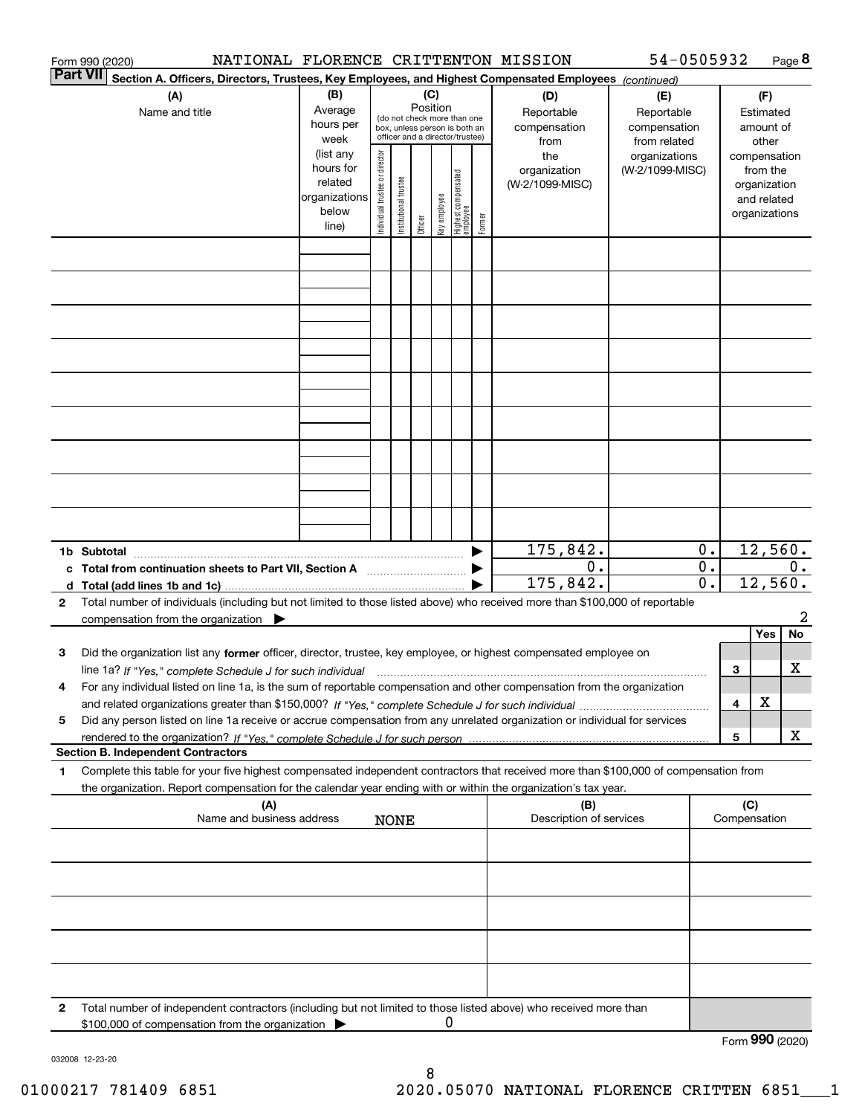|                 | NATIONAL FLORENCE CRITTENTON MISSION<br>Form 990 (2020)                                                                                         |                          |                                |                       |          |              |                                                              |        |                         | 54-0505932      |                  |                 |               | Page 8 |
|-----------------|-------------------------------------------------------------------------------------------------------------------------------------------------|--------------------------|--------------------------------|-----------------------|----------|--------------|--------------------------------------------------------------|--------|-------------------------|-----------------|------------------|-----------------|---------------|--------|
| <b>Part VII</b> | Section A. Officers, Directors, Trustees, Key Employees, and Highest Compensated Employees (continued)                                          |                          |                                |                       |          |              |                                                              |        |                         |                 |                  |                 |               |        |
|                 | (A)                                                                                                                                             | (B)                      |                                |                       | (C)      |              |                                                              |        | (D)                     | (E)             |                  |                 | (F)           |        |
|                 | Name and title                                                                                                                                  | Average                  |                                |                       | Position |              |                                                              |        | Reportable              | Reportable      |                  |                 | Estimated     |        |
|                 |                                                                                                                                                 | hours per                |                                |                       |          |              | (do not check more than one<br>box, unless person is both an |        | compensation            | compensation    |                  |                 | amount of     |        |
|                 |                                                                                                                                                 | week                     |                                |                       |          |              | officer and a director/trustee)                              |        | from                    | from related    |                  |                 | other         |        |
|                 |                                                                                                                                                 | (list any                |                                |                       |          |              |                                                              |        | the                     | organizations   |                  |                 | compensation  |        |
|                 |                                                                                                                                                 | hours for                |                                |                       |          |              |                                                              |        | organization            | (W-2/1099-MISC) |                  |                 | from the      |        |
|                 |                                                                                                                                                 | related<br>organizations |                                |                       |          |              |                                                              |        | (W-2/1099-MISC)         |                 |                  |                 | organization  |        |
|                 |                                                                                                                                                 | below                    |                                |                       |          |              |                                                              |        |                         |                 |                  |                 | and related   |        |
|                 |                                                                                                                                                 | line)                    | Individual trustee or director | Institutional trustee | Officer  | Key employee | Highest compensated<br> employee                             | Former |                         |                 |                  |                 | organizations |        |
|                 |                                                                                                                                                 |                          |                                |                       |          |              |                                                              |        |                         |                 |                  |                 |               |        |
|                 |                                                                                                                                                 |                          |                                |                       |          |              |                                                              |        |                         |                 |                  |                 |               |        |
|                 |                                                                                                                                                 |                          |                                |                       |          |              |                                                              |        |                         |                 |                  |                 |               |        |
|                 |                                                                                                                                                 |                          |                                |                       |          |              |                                                              |        |                         |                 |                  |                 |               |        |
|                 |                                                                                                                                                 |                          |                                |                       |          |              |                                                              |        |                         |                 |                  |                 |               |        |
|                 |                                                                                                                                                 |                          |                                |                       |          |              |                                                              |        |                         |                 |                  |                 |               |        |
|                 |                                                                                                                                                 |                          |                                |                       |          |              |                                                              |        |                         |                 |                  |                 |               |        |
|                 |                                                                                                                                                 |                          |                                |                       |          |              |                                                              |        |                         |                 |                  |                 |               |        |
|                 |                                                                                                                                                 |                          |                                |                       |          |              |                                                              |        |                         |                 |                  |                 |               |        |
|                 |                                                                                                                                                 |                          |                                |                       |          |              |                                                              |        |                         |                 |                  |                 |               |        |
|                 |                                                                                                                                                 |                          |                                |                       |          |              |                                                              |        |                         |                 |                  |                 |               |        |
|                 |                                                                                                                                                 |                          |                                |                       |          |              |                                                              |        |                         |                 |                  |                 |               |        |
|                 |                                                                                                                                                 |                          |                                |                       |          |              |                                                              |        |                         |                 |                  |                 |               |        |
|                 |                                                                                                                                                 |                          |                                |                       |          |              |                                                              |        |                         |                 |                  |                 |               |        |
|                 |                                                                                                                                                 |                          |                                |                       |          |              |                                                              |        |                         |                 |                  |                 |               |        |
|                 |                                                                                                                                                 |                          |                                |                       |          |              |                                                              |        |                         |                 |                  |                 |               |        |
|                 |                                                                                                                                                 |                          |                                |                       |          |              |                                                              |        |                         |                 |                  |                 |               |        |
|                 |                                                                                                                                                 |                          |                                |                       |          |              |                                                              |        |                         |                 |                  |                 |               |        |
|                 |                                                                                                                                                 |                          |                                |                       |          |              |                                                              |        |                         |                 |                  |                 |               |        |
|                 |                                                                                                                                                 |                          |                                |                       |          |              |                                                              |        | 175,842.                |                 | $\mathbf 0$ .    |                 | 12,560.       |        |
|                 | c Total from continuation sheets to Part VII, Section A                                                                                         |                          |                                |                       |          |              |                                                              |        | 0.                      |                 | $\overline{0}$ . |                 |               | $0$ .  |
|                 |                                                                                                                                                 |                          |                                |                       |          |              |                                                              |        | 175,842.                |                 | 0.               |                 | 12,560.       |        |
| $\mathbf{2}$    | Total number of individuals (including but not limited to those listed above) who received more than \$100,000 of reportable                    |                          |                                |                       |          |              |                                                              |        |                         |                 |                  |                 |               |        |
|                 | compensation from the organization $\blacktriangleright$                                                                                        |                          |                                |                       |          |              |                                                              |        |                         |                 |                  |                 |               | 2      |
|                 |                                                                                                                                                 |                          |                                |                       |          |              |                                                              |        |                         |                 |                  |                 | Yes           | No     |
| 3               | Did the organization list any former officer, director, trustee, key employee, or highest compensated employee on                               |                          |                                |                       |          |              |                                                              |        |                         |                 |                  |                 |               |        |
|                 | line 1a? If "Yes," complete Schedule J for such individual manufactured contained and the 1a? If "Yes," complete Schedule J for such individual |                          |                                |                       |          |              |                                                              |        |                         |                 |                  | 3               |               | X      |
|                 | For any individual listed on line 1a, is the sum of reportable compensation and other compensation from the organization                        |                          |                                |                       |          |              |                                                              |        |                         |                 |                  |                 |               |        |
|                 |                                                                                                                                                 |                          |                                |                       |          |              |                                                              |        |                         |                 |                  | 4               | X             |        |
| 5               | Did any person listed on line 1a receive or accrue compensation from any unrelated organization or individual for services                      |                          |                                |                       |          |              |                                                              |        |                         |                 |                  |                 |               |        |
|                 |                                                                                                                                                 |                          |                                |                       |          |              |                                                              |        |                         |                 |                  | 5               |               | х      |
|                 | <b>Section B. Independent Contractors</b>                                                                                                       |                          |                                |                       |          |              |                                                              |        |                         |                 |                  |                 |               |        |
| 1               | Complete this table for your five highest compensated independent contractors that received more than \$100,000 of compensation from            |                          |                                |                       |          |              |                                                              |        |                         |                 |                  |                 |               |        |
|                 | the organization. Report compensation for the calendar year ending with or within the organization's tax year.                                  |                          |                                |                       |          |              |                                                              |        |                         |                 |                  |                 |               |        |
|                 | (A)                                                                                                                                             |                          |                                |                       |          |              |                                                              |        | (B)                     |                 |                  | (C)             |               |        |
|                 | Name and business address                                                                                                                       |                          |                                | <b>NONE</b>           |          |              |                                                              |        | Description of services |                 |                  | Compensation    |               |        |
|                 |                                                                                                                                                 |                          |                                |                       |          |              |                                                              |        |                         |                 |                  |                 |               |        |
|                 |                                                                                                                                                 |                          |                                |                       |          |              |                                                              |        |                         |                 |                  |                 |               |        |
|                 |                                                                                                                                                 |                          |                                |                       |          |              |                                                              |        |                         |                 |                  |                 |               |        |
|                 |                                                                                                                                                 |                          |                                |                       |          |              |                                                              |        |                         |                 |                  |                 |               |        |
|                 |                                                                                                                                                 |                          |                                |                       |          |              |                                                              |        |                         |                 |                  |                 |               |        |
|                 |                                                                                                                                                 |                          |                                |                       |          |              |                                                              |        |                         |                 |                  |                 |               |        |
|                 |                                                                                                                                                 |                          |                                |                       |          |              |                                                              |        |                         |                 |                  |                 |               |        |
|                 |                                                                                                                                                 |                          |                                |                       |          |              |                                                              |        |                         |                 |                  |                 |               |        |
|                 |                                                                                                                                                 |                          |                                |                       |          |              |                                                              |        |                         |                 |                  |                 |               |        |
|                 |                                                                                                                                                 |                          |                                |                       |          |              |                                                              |        |                         |                 |                  |                 |               |        |
| 2               | Total number of independent contractors (including but not limited to those listed above) who received more than                                |                          |                                |                       |          |              |                                                              |        |                         |                 |                  |                 |               |        |
|                 | \$100,000 of compensation from the organization                                                                                                 |                          |                                |                       |          | 0            |                                                              |        |                         |                 |                  |                 |               |        |
|                 |                                                                                                                                                 |                          |                                |                       |          |              |                                                              |        |                         |                 |                  | Form 990 (2020) |               |        |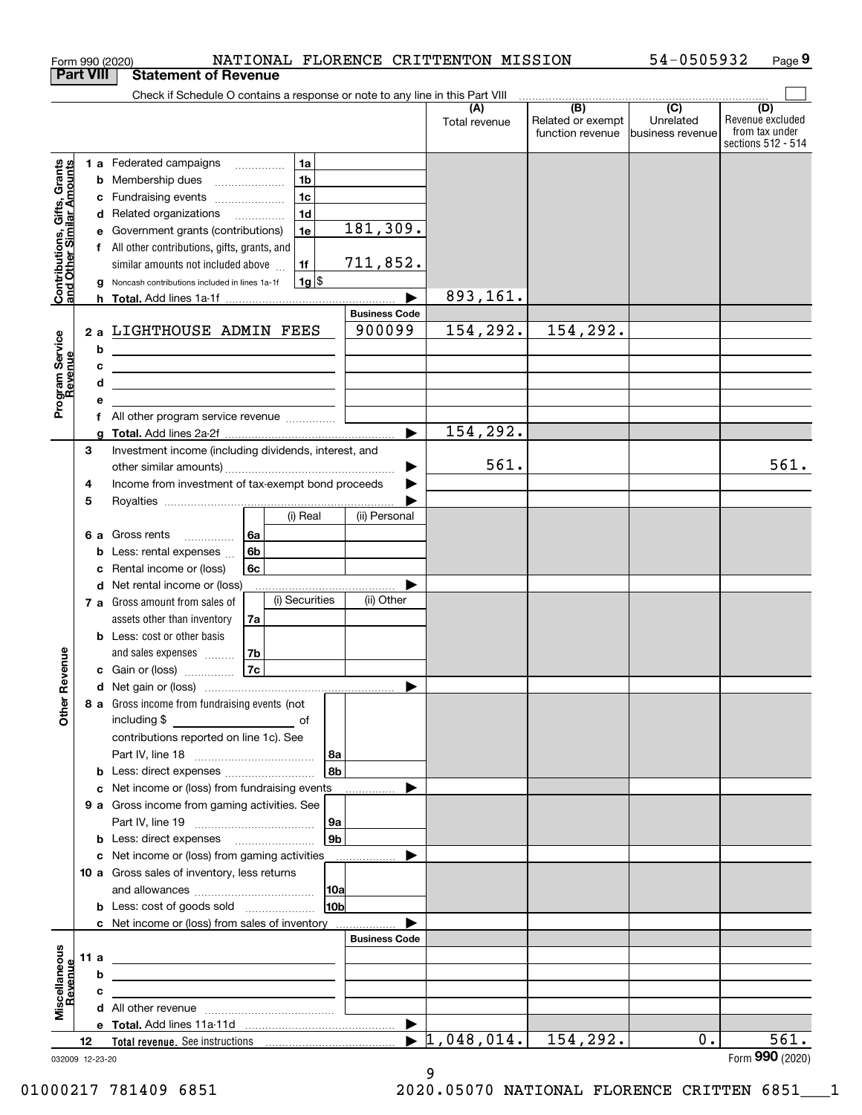|                                                           |      |        | NATIONAL FLORENCE CRITTENTON MISSION<br>Form 990 (2020)                                      |                 |                       |                                  |                                                                                                    | 54-0505932                    | Page 9                                                          |
|-----------------------------------------------------------|------|--------|----------------------------------------------------------------------------------------------|-----------------|-----------------------|----------------------------------|----------------------------------------------------------------------------------------------------|-------------------------------|-----------------------------------------------------------------|
| <b>Part VIII</b>                                          |      |        | <b>Statement of Revenue</b>                                                                  |                 |                       |                                  |                                                                                                    |                               |                                                                 |
|                                                           |      |        | Check if Schedule O contains a response or note to any line in this Part VIII                |                 |                       |                                  | $\begin{array}{c c c c c} \hline \textbf{(B)} & \textbf{(C)} & \textbf{(D)} \\ \hline \end{array}$ |                               |                                                                 |
|                                                           |      |        |                                                                                              |                 |                       | (A)<br>Total revenue             | Related or exempt<br>function revenue                                                              | Unrelated<br>business revenue | (D)<br>Revenue excluded<br>from tax under<br>sections 512 - 514 |
|                                                           |      |        | 1a<br>1 a Federated campaigns                                                                |                 |                       |                                  |                                                                                                    |                               |                                                                 |
|                                                           |      | b      | 1 <sub>b</sub><br>Membership dues<br>$\overline{\phantom{a}}$                                |                 |                       |                                  |                                                                                                    |                               |                                                                 |
| Contributions, Gifts, Grants<br>and Other Similar Amounts |      | с      | 1 <sub>c</sub><br>Fundraising events                                                         |                 |                       |                                  |                                                                                                    |                               |                                                                 |
|                                                           |      |        | 1 <sub>d</sub><br>d Related organizations                                                    |                 |                       |                                  |                                                                                                    |                               |                                                                 |
|                                                           |      | е      | 1e<br>Government grants (contributions)                                                      |                 | 181, 309.             |                                  |                                                                                                    |                               |                                                                 |
|                                                           |      | f      | All other contributions, gifts, grants, and                                                  |                 |                       |                                  |                                                                                                    |                               |                                                                 |
|                                                           |      |        | similar amounts not included above<br>1f                                                     |                 | 711,852.              |                                  |                                                                                                    |                               |                                                                 |
|                                                           |      | g      | $1g$ \$<br>Noncash contributions included in lines 1a-1f                                     |                 |                       |                                  |                                                                                                    |                               |                                                                 |
|                                                           |      |        |                                                                                              |                 | <b>Business Code</b>  | 893,161.                         |                                                                                                    |                               |                                                                 |
|                                                           |      |        | LIGHTHOUSE ADMIN FEES                                                                        |                 | 900099                | 154,292.                         | 154,292.                                                                                           |                               |                                                                 |
|                                                           | 2a   |        |                                                                                              |                 |                       |                                  |                                                                                                    |                               |                                                                 |
|                                                           |      | b<br>с | <u> 1989 - Johann Barn, mars and de Brasilian (b. 1989)</u>                                  |                 |                       |                                  |                                                                                                    |                               |                                                                 |
| Program Service<br>Revenue                                |      | d      | the control of the control of the control of the control of the control of                   |                 |                       |                                  |                                                                                                    |                               |                                                                 |
|                                                           |      | е      |                                                                                              |                 |                       |                                  |                                                                                                    |                               |                                                                 |
|                                                           |      | f      | All other program service revenue                                                            |                 |                       |                                  |                                                                                                    |                               |                                                                 |
|                                                           |      | a      |                                                                                              |                 | $\blacktriangleright$ | 154,292.                         |                                                                                                    |                               |                                                                 |
|                                                           | 3    |        | Investment income (including dividends, interest, and                                        |                 |                       |                                  |                                                                                                    |                               |                                                                 |
|                                                           |      |        |                                                                                              |                 | ▶                     | 561.                             |                                                                                                    |                               | 561.                                                            |
|                                                           | 4    |        | Income from investment of tax-exempt bond proceeds                                           |                 |                       |                                  |                                                                                                    |                               |                                                                 |
|                                                           | 5    |        |                                                                                              |                 |                       |                                  |                                                                                                    |                               |                                                                 |
|                                                           |      |        | (i) Real                                                                                     |                 | (ii) Personal         |                                  |                                                                                                    |                               |                                                                 |
|                                                           |      |        | 6a<br>6 a Gross rents<br>.                                                                   |                 |                       |                                  |                                                                                                    |                               |                                                                 |
|                                                           |      | b      | 6b<br>Less: rental expenses                                                                  |                 |                       |                                  |                                                                                                    |                               |                                                                 |
|                                                           |      | c      | 6c<br>Rental income or (loss)<br>Net rental income or (loss)                                 |                 |                       |                                  |                                                                                                    |                               |                                                                 |
|                                                           |      | d      | (i) Securities<br>7 a Gross amount from sales of                                             |                 | (ii) Other            |                                  |                                                                                                    |                               |                                                                 |
|                                                           |      |        | assets other than inventory<br>7a                                                            |                 |                       |                                  |                                                                                                    |                               |                                                                 |
|                                                           |      |        | <b>b</b> Less: cost or other basis                                                           |                 |                       |                                  |                                                                                                    |                               |                                                                 |
|                                                           |      |        | and sales expenses<br>7b                                                                     |                 |                       |                                  |                                                                                                    |                               |                                                                 |
| evenue                                                    |      |        | 7c<br>c Gain or (loss)                                                                       |                 |                       |                                  |                                                                                                    |                               |                                                                 |
|                                                           |      |        |                                                                                              |                 |                       |                                  |                                                                                                    |                               |                                                                 |
| Other R                                                   |      |        | 8 a Gross income from fundraising events (not                                                |                 |                       |                                  |                                                                                                    |                               |                                                                 |
|                                                           |      |        | including \$                                                                                 |                 |                       |                                  |                                                                                                    |                               |                                                                 |
|                                                           |      |        | contributions reported on line 1c). See                                                      |                 |                       |                                  |                                                                                                    |                               |                                                                 |
|                                                           |      |        |                                                                                              | 8a              |                       |                                  |                                                                                                    |                               |                                                                 |
|                                                           |      |        |                                                                                              | 8b              |                       |                                  |                                                                                                    |                               |                                                                 |
|                                                           |      | с      | Net income or (loss) from fundraising events                                                 |                 |                       |                                  |                                                                                                    |                               |                                                                 |
|                                                           |      |        | 9 a Gross income from gaming activities. See                                                 |                 |                       |                                  |                                                                                                    |                               |                                                                 |
|                                                           |      |        |                                                                                              | 9a              |                       |                                  |                                                                                                    |                               |                                                                 |
|                                                           |      |        | <b>b</b> Less: direct expenses <b>manually</b>                                               | 9 <sub>b</sub>  |                       |                                  |                                                                                                    |                               |                                                                 |
|                                                           |      |        | c Net income or (loss) from gaming activities<br>10 a Gross sales of inventory, less returns |                 |                       |                                  |                                                                                                    |                               |                                                                 |
|                                                           |      |        |                                                                                              | 10a             |                       |                                  |                                                                                                    |                               |                                                                 |
|                                                           |      |        | <b>b</b> Less: cost of goods sold                                                            | 10 <sub>b</sub> |                       |                                  |                                                                                                    |                               |                                                                 |
|                                                           |      |        | c Net income or (loss) from sales of inventory                                               |                 |                       |                                  |                                                                                                    |                               |                                                                 |
|                                                           |      |        |                                                                                              |                 | <b>Business Code</b>  |                                  |                                                                                                    |                               |                                                                 |
| Miscellaneous<br>Revenue                                  | 11 a |        | the contract of the contract of the contract of the contract of the contract of              |                 |                       |                                  |                                                                                                    |                               |                                                                 |
|                                                           |      | b      | the control of the control of the control of the control of the control of the control of    |                 |                       |                                  |                                                                                                    |                               |                                                                 |
|                                                           |      | c      | the contract of the contract of the contract of the contract of                              |                 |                       |                                  |                                                                                                    |                               |                                                                 |
|                                                           |      |        |                                                                                              |                 |                       |                                  |                                                                                                    |                               |                                                                 |
|                                                           |      |        |                                                                                              |                 |                       |                                  |                                                                                                    |                               |                                                                 |
|                                                           |      |        |                                                                                              |                 |                       | $\blacktriangleright$ 1,048,014. | 154,292.                                                                                           | 0.                            | 561.                                                            |

032009 12-23-20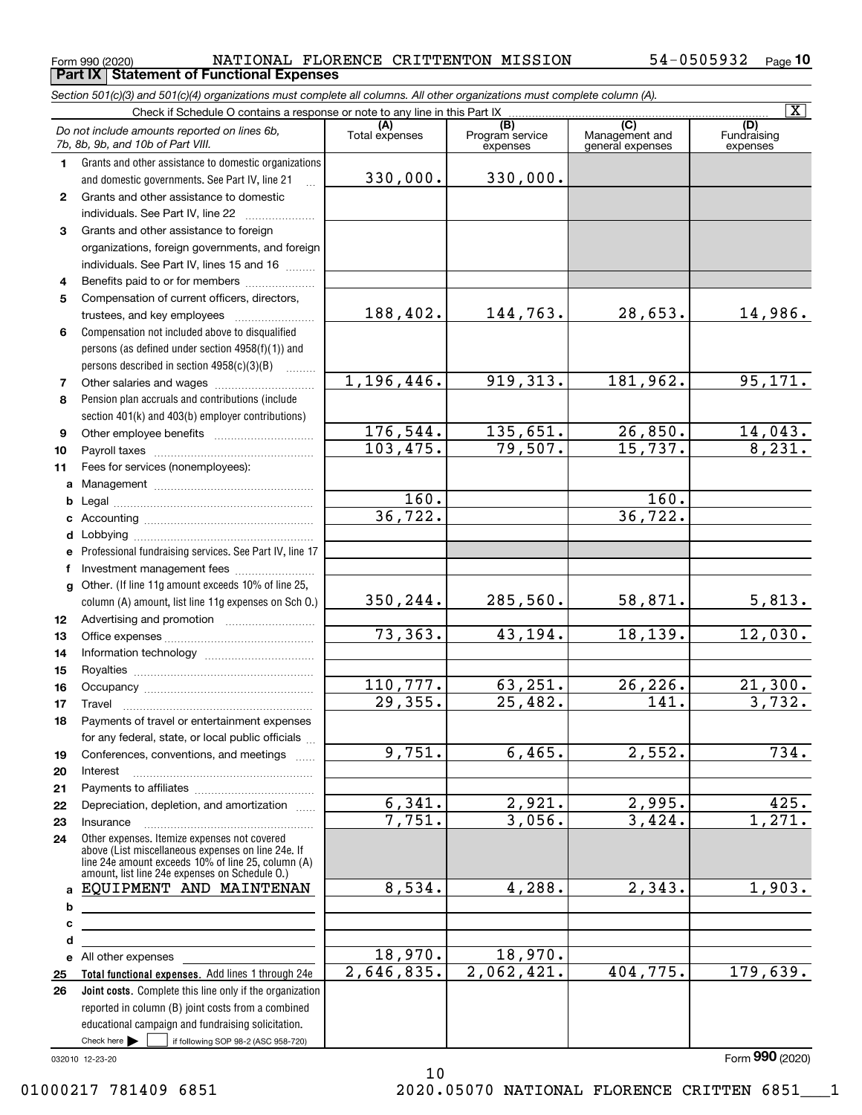Form 990 (2020) Page **Part IX Statement of Functional Expenses** NATIONAL FLORENCE CRITTENTON MISSION 54-0505932

*Section 501(c)(3) and 501(c)(4) organizations must complete all columns. All other organizations must complete column (A).*

**10**

|              |                                                                                                                      |                       |                                    |                                                      | $\boxed{\text{X}}$             |
|--------------|----------------------------------------------------------------------------------------------------------------------|-----------------------|------------------------------------|------------------------------------------------------|--------------------------------|
|              | Do not include amounts reported on lines 6b,<br>7b, 8b, 9b, and 10b of Part VIII.                                    | (A)<br>Total expenses | (B)<br>Program service<br>expenses | $\overline{C}$<br>Management and<br>general expenses | (D)<br>Fundraising<br>expenses |
| 1.           | Grants and other assistance to domestic organizations                                                                |                       |                                    |                                                      |                                |
|              | and domestic governments. See Part IV, line 21                                                                       | 330,000.              | 330,000.                           |                                                      |                                |
| $\mathbf{2}$ | Grants and other assistance to domestic                                                                              |                       |                                    |                                                      |                                |
|              | individuals. See Part IV, line 22                                                                                    |                       |                                    |                                                      |                                |
| 3            | Grants and other assistance to foreign                                                                               |                       |                                    |                                                      |                                |
|              | organizations, foreign governments, and foreign                                                                      |                       |                                    |                                                      |                                |
|              | individuals. See Part IV, lines 15 and 16                                                                            |                       |                                    |                                                      |                                |
| 4            | Benefits paid to or for members                                                                                      |                       |                                    |                                                      |                                |
| 5            | Compensation of current officers, directors,                                                                         |                       |                                    |                                                      |                                |
|              | trustees, and key employees                                                                                          | 188,402.              | 144,763.                           | 28,653.                                              | 14,986.                        |
| 6            | Compensation not included above to disqualified                                                                      |                       |                                    |                                                      |                                |
|              | persons (as defined under section 4958(f)(1)) and                                                                    |                       |                                    |                                                      |                                |
|              | persons described in section $4958(c)(3)(B)$<br>$\sim$                                                               |                       |                                    |                                                      |                                |
| 7            |                                                                                                                      | 1,196,446.            | 919, 313.                          | 181,962.                                             | 95,171.                        |
| 8            | Pension plan accruals and contributions (include                                                                     |                       |                                    |                                                      |                                |
|              | section 401(k) and 403(b) employer contributions)                                                                    |                       |                                    |                                                      |                                |
| 9            |                                                                                                                      | 176,544.              | 135,651.                           | 26,850.                                              | $\frac{14,043.}{8,231.}$       |
| 10           |                                                                                                                      | 103,475.              | 79,507.                            | 15,737.                                              |                                |
| 11           | Fees for services (nonemployees):                                                                                    |                       |                                    |                                                      |                                |
|              |                                                                                                                      |                       |                                    |                                                      |                                |
|              |                                                                                                                      | 160.                  |                                    | 160.                                                 |                                |
|              |                                                                                                                      | 36, 722.              |                                    | 36, 722.                                             |                                |
|              |                                                                                                                      |                       |                                    |                                                      |                                |
| е            | Professional fundraising services. See Part IV, line 17                                                              |                       |                                    |                                                      |                                |
| f            | Investment management fees                                                                                           |                       |                                    |                                                      |                                |
|              | g Other. (If line 11g amount exceeds 10% of line 25,                                                                 |                       |                                    |                                                      |                                |
|              | column (A) amount, list line 11g expenses on Sch 0.)                                                                 | 350,244.              | 285,560.                           | 58,871.                                              | <u>5,813.</u>                  |
| 12           |                                                                                                                      |                       |                                    |                                                      |                                |
| 13           |                                                                                                                      | 73,363.               | 43,194.                            | 18,139.                                              | 12,030.                        |
| 14           |                                                                                                                      |                       |                                    |                                                      |                                |
| 15           |                                                                                                                      |                       |                                    |                                                      |                                |
| 16           |                                                                                                                      | 110,777.<br>29,355.   | 63,251.                            | 26, 226.                                             | 21,300.                        |
| 17           | Travel                                                                                                               |                       | 25,482.                            | 141.                                                 | 3,732.                         |
| 18           | Payments of travel or entertainment expenses                                                                         |                       |                                    |                                                      |                                |
|              | for any federal, state, or local public officials                                                                    | 9,751.                |                                    |                                                      | 734.                           |
| 19           | Conferences, conventions, and meetings                                                                               |                       | 6,465.                             | 2,552.                                               |                                |
| 20           | Interest                                                                                                             |                       |                                    |                                                      |                                |
| 21           |                                                                                                                      | 6,341.                | 2,921.                             | 2,995.                                               | 425.                           |
| 22           | Depreciation, depletion, and amortization                                                                            | 7,751.                | 3,056.                             | 3,424.                                               | $\overline{1,271}$ .           |
| 23           | Insurance<br>Other expenses. Itemize expenses not covered                                                            |                       |                                    |                                                      |                                |
| 24           | above (List miscellaneous expenses on line 24e. If                                                                   |                       |                                    |                                                      |                                |
|              | line 24e amount exceeds 10% of line 25, column (A)<br>amount, list line 24e expenses on Schedule O.)                 |                       |                                    |                                                      |                                |
|              | a EQUIPMENT AND MAINTENAN                                                                                            | 8,534.                | 4,288.                             | 2,343.                                               | 1,903.                         |
| b            |                                                                                                                      |                       |                                    |                                                      |                                |
| с            | <u> 1989 - Johann Barn, mars ann an t-Amhain Aonaich an t-Aonaich an t-Aonaich ann an t-Aonaich ann an t-Aonaich</u> |                       |                                    |                                                      |                                |
| d            |                                                                                                                      |                       |                                    |                                                      |                                |
|              | e All other expenses                                                                                                 | 18,970.               | 18,970.                            |                                                      |                                |
| 25           | Total functional expenses. Add lines 1 through 24e                                                                   | 2,646,835.            | 2,062,421.                         | 404,775.                                             | 179,639.                       |
| 26           | Joint costs. Complete this line only if the organization                                                             |                       |                                    |                                                      |                                |
|              | reported in column (B) joint costs from a combined                                                                   |                       |                                    |                                                      |                                |
|              | educational campaign and fundraising solicitation.                                                                   |                       |                                    |                                                      |                                |
|              | Check here $\blacktriangleright$<br>if following SOP 98-2 (ASC 958-720)                                              |                       |                                    |                                                      |                                |

032010 12-23-20

10 01000217 781409 6851 2020.05070 NATIONAL FLORENCE CRITTEN 6851 1

Form (2020) **990**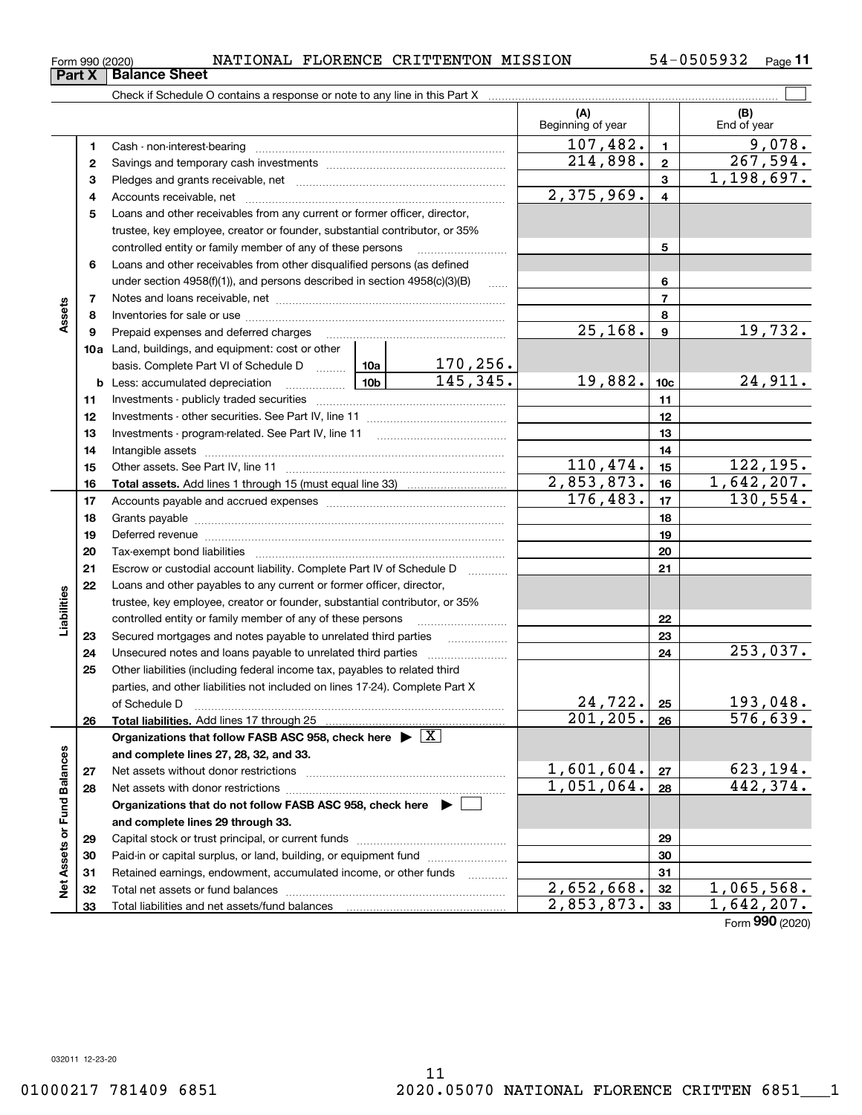**Part X Balance Sheet**

**11**

|                             |          |                                                                                            |          |                             | (A)<br>Beginning of year              |                         | (B)<br>End of year   |
|-----------------------------|----------|--------------------------------------------------------------------------------------------|----------|-----------------------------|---------------------------------------|-------------------------|----------------------|
|                             | 1        |                                                                                            |          |                             | $\overline{107,482}$ .                | $\mathbf{1}$            | 9,078.               |
|                             | 2        |                                                                                            | 214,898. | $\mathbf{2}$                | 267,594.                              |                         |                      |
|                             | 3        |                                                                                            |          |                             |                                       | 3                       | 1,198,697.           |
|                             | 4        |                                                                                            |          |                             | 2,375,969.                            | $\overline{\mathbf{4}}$ |                      |
|                             | 5        | Loans and other receivables from any current or former officer, director,                  |          |                             |                                       |                         |                      |
|                             |          | trustee, key employee, creator or founder, substantial contributor, or 35%                 |          |                             |                                       |                         |                      |
|                             |          | controlled entity or family member of any of these persons                                 |          |                             |                                       | 5                       |                      |
|                             | 6        | Loans and other receivables from other disqualified persons (as defined                    |          |                             |                                       |                         |                      |
|                             |          | under section $4958(f)(1)$ , and persons described in section $4958(c)(3)(B)$<br>$\ldots$  |          |                             |                                       | 6                       |                      |
|                             | 7        |                                                                                            |          |                             |                                       | $\overline{7}$          |                      |
| Assets                      | 8        |                                                                                            |          |                             |                                       | 8                       |                      |
|                             | 9        | Prepaid expenses and deferred charges                                                      |          |                             | $\overline{25,168}$ .                 | $\boldsymbol{9}$        | 19,732.              |
|                             |          | <b>10a</b> Land, buildings, and equipment: cost or other                                   |          |                             |                                       |                         |                      |
|                             |          | basis. Complete Part VI of Schedule D  10a                                                 |          | $\frac{170,256}{145,345}$ . |                                       |                         |                      |
|                             |          | <b>b</b> Less: accumulated depreciation<br>. 1                                             | -10b l   |                             | 19,882.                               | 10 <sub>c</sub>         | 24,911.              |
|                             | 11       |                                                                                            |          |                             |                                       | 11                      |                      |
|                             | 12       |                                                                                            |          |                             |                                       | 12                      |                      |
|                             | 13       |                                                                                            |          |                             |                                       | 13                      |                      |
|                             | 14       |                                                                                            |          |                             |                                       | 14                      |                      |
|                             | 15       |                                                                                            | 110,474. | 15                          | 122,195.                              |                         |                      |
|                             | 16       |                                                                                            |          |                             | 2,853,873.                            | 16                      | 1,642,207.           |
|                             | 17       |                                                                                            | 176,483. | 17                          | 130, 554.                             |                         |                      |
|                             | 18       |                                                                                            |          | 18                          |                                       |                         |                      |
|                             | 19       |                                                                                            |          |                             | 19                                    |                         |                      |
|                             | 20       |                                                                                            |          | 20                          |                                       |                         |                      |
|                             | 21       | Escrow or custodial account liability. Complete Part IV of Schedule D                      |          |                             | 21                                    |                         |                      |
|                             | 22       | Loans and other payables to any current or former officer, director,                       |          |                             |                                       |                         |                      |
|                             |          | trustee, key employee, creator or founder, substantial contributor, or 35%                 |          |                             |                                       |                         |                      |
| Liabilities                 |          | controlled entity or family member of any of these persons                                 |          |                             | 22                                    |                         |                      |
|                             | 23       |                                                                                            |          |                             |                                       | 23                      |                      |
|                             | 24       |                                                                                            |          |                             |                                       | 24                      | 253,037.             |
|                             | 25       | Other liabilities (including federal income tax, payables to related third                 |          |                             |                                       |                         |                      |
|                             |          | parties, and other liabilities not included on lines 17-24). Complete Part X               |          |                             |                                       |                         |                      |
|                             |          | of Schedule D                                                                              |          |                             | 24,722.<br>$\overline{201, 205}$ . 26 | 25                      | 193,048.<br>576,639. |
|                             | 26       |                                                                                            |          |                             |                                       |                         |                      |
|                             |          | Organizations that follow FASB ASC 958, check here $\blacktriangleright \lfloor X \rfloor$ |          |                             |                                       |                         |                      |
|                             |          | and complete lines 27, 28, 32, and 33.                                                     |          |                             | 1,601,604.                            |                         | 623, 194.            |
|                             | 27       |                                                                                            |          |                             | $1,051,064$ .                         | 27                      | 442, 374.            |
|                             | 28       |                                                                                            |          |                             |                                       | 28                      |                      |
|                             |          | Organizations that do not follow FASB ASC 958, check here ▶ □                              |          |                             |                                       |                         |                      |
|                             |          | and complete lines 29 through 33.                                                          |          |                             |                                       |                         |                      |
| Net Assets or Fund Balances | 29<br>30 | Paid-in or capital surplus, or land, building, or equipment fund                           |          |                             |                                       | 29<br>30                |                      |
|                             | 31       | Retained earnings, endowment, accumulated income, or other funds                           |          |                             |                                       | 31                      |                      |
|                             | 32       |                                                                                            |          |                             | 2,652,668.                            | 32                      | 1,065,568.           |
|                             | 33       |                                                                                            |          |                             | 2,853,873.                            | 33                      | 1,642,207.           |
|                             |          |                                                                                            |          |                             |                                       |                         |                      |

Form (2020) **990**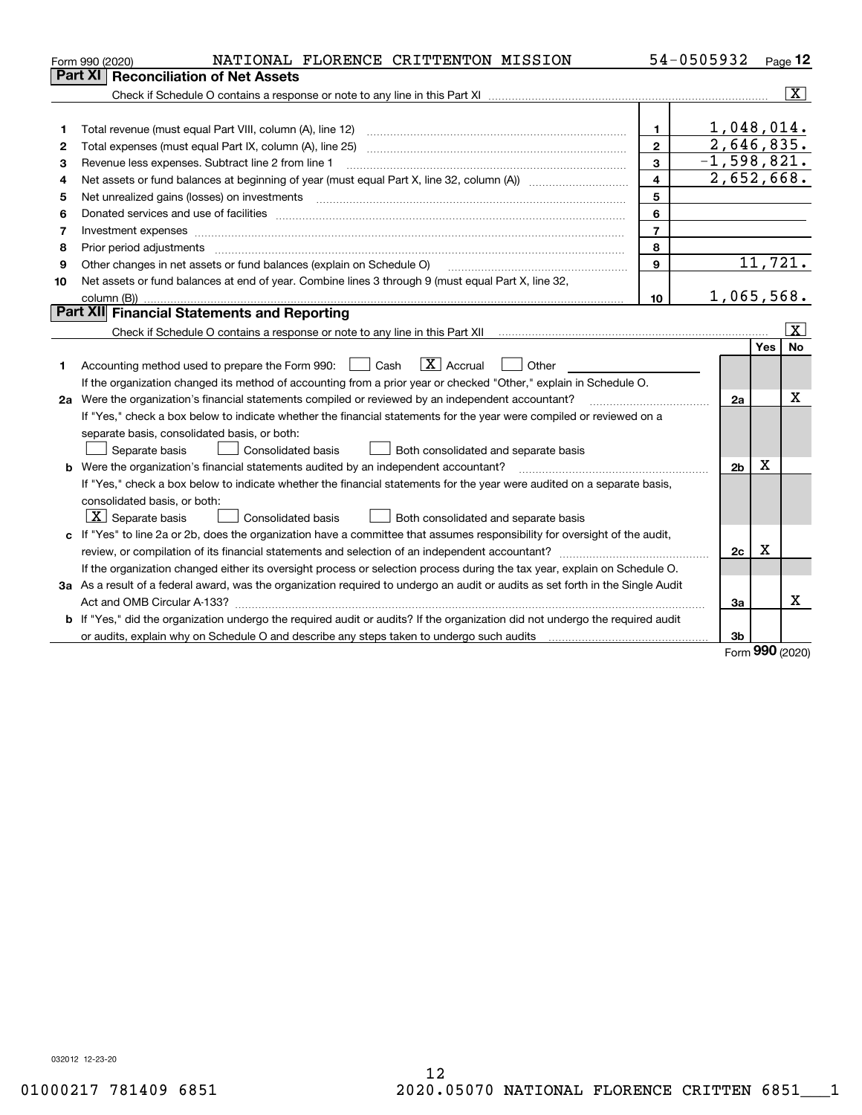| Part XI<br><b>Reconciliation of Net Assets</b><br>1,048,014.<br>1<br>1<br>2,646,835.<br>$\mathbf{2}$<br>2<br>$-1,598,821.$<br>3<br>Revenue less expenses. Subtract line 2 from line 1<br>з<br>2,652,668.<br>$\overline{4}$<br>4<br>5<br>5<br>6<br>6<br>$\overline{7}$<br>7<br>8<br>8<br>Prior period adjustments material contents and content of the content of the content of the content of the content of the content of the content of the content of the content of the content of the content of the content of<br>11,721.<br>9<br>Other changes in net assets or fund balances (explain on Schedule O)<br>9<br>Net assets or fund balances at end of year. Combine lines 3 through 9 (must equal Part X, line 32,<br>10<br>1,065,568.<br>10<br>Part XII Financial Statements and Reporting<br>Yes | Page 12                 |
|-----------------------------------------------------------------------------------------------------------------------------------------------------------------------------------------------------------------------------------------------------------------------------------------------------------------------------------------------------------------------------------------------------------------------------------------------------------------------------------------------------------------------------------------------------------------------------------------------------------------------------------------------------------------------------------------------------------------------------------------------------------------------------------------------------------|-------------------------|
|                                                                                                                                                                                                                                                                                                                                                                                                                                                                                                                                                                                                                                                                                                                                                                                                           |                         |
|                                                                                                                                                                                                                                                                                                                                                                                                                                                                                                                                                                                                                                                                                                                                                                                                           | $\overline{\mathbf{x}}$ |
|                                                                                                                                                                                                                                                                                                                                                                                                                                                                                                                                                                                                                                                                                                                                                                                                           |                         |
|                                                                                                                                                                                                                                                                                                                                                                                                                                                                                                                                                                                                                                                                                                                                                                                                           |                         |
|                                                                                                                                                                                                                                                                                                                                                                                                                                                                                                                                                                                                                                                                                                                                                                                                           |                         |
|                                                                                                                                                                                                                                                                                                                                                                                                                                                                                                                                                                                                                                                                                                                                                                                                           |                         |
|                                                                                                                                                                                                                                                                                                                                                                                                                                                                                                                                                                                                                                                                                                                                                                                                           |                         |
|                                                                                                                                                                                                                                                                                                                                                                                                                                                                                                                                                                                                                                                                                                                                                                                                           |                         |
|                                                                                                                                                                                                                                                                                                                                                                                                                                                                                                                                                                                                                                                                                                                                                                                                           |                         |
|                                                                                                                                                                                                                                                                                                                                                                                                                                                                                                                                                                                                                                                                                                                                                                                                           |                         |
|                                                                                                                                                                                                                                                                                                                                                                                                                                                                                                                                                                                                                                                                                                                                                                                                           |                         |
|                                                                                                                                                                                                                                                                                                                                                                                                                                                                                                                                                                                                                                                                                                                                                                                                           |                         |
|                                                                                                                                                                                                                                                                                                                                                                                                                                                                                                                                                                                                                                                                                                                                                                                                           |                         |
|                                                                                                                                                                                                                                                                                                                                                                                                                                                                                                                                                                                                                                                                                                                                                                                                           |                         |
|                                                                                                                                                                                                                                                                                                                                                                                                                                                                                                                                                                                                                                                                                                                                                                                                           |                         |
|                                                                                                                                                                                                                                                                                                                                                                                                                                                                                                                                                                                                                                                                                                                                                                                                           | $\vert X \vert$         |
|                                                                                                                                                                                                                                                                                                                                                                                                                                                                                                                                                                                                                                                                                                                                                                                                           | <b>No</b>               |
| $\mathbf{X}$ Accrual<br>Accounting method used to prepare the Form 990: [139] Cash<br>Other<br>$\pm$<br>1                                                                                                                                                                                                                                                                                                                                                                                                                                                                                                                                                                                                                                                                                                 |                         |
| If the organization changed its method of accounting from a prior year or checked "Other," explain in Schedule O.                                                                                                                                                                                                                                                                                                                                                                                                                                                                                                                                                                                                                                                                                         |                         |
| 2a Were the organization's financial statements compiled or reviewed by an independent accountant?<br>2a                                                                                                                                                                                                                                                                                                                                                                                                                                                                                                                                                                                                                                                                                                  | Χ                       |
| If "Yes," check a box below to indicate whether the financial statements for the year were compiled or reviewed on a                                                                                                                                                                                                                                                                                                                                                                                                                                                                                                                                                                                                                                                                                      |                         |
| separate basis, consolidated basis, or both:                                                                                                                                                                                                                                                                                                                                                                                                                                                                                                                                                                                                                                                                                                                                                              |                         |
| Both consolidated and separate basis<br>Separate basis<br>Consolidated basis                                                                                                                                                                                                                                                                                                                                                                                                                                                                                                                                                                                                                                                                                                                              |                         |
| X<br><b>b</b> Were the organization's financial statements audited by an independent accountant?<br>2 <sub>b</sub>                                                                                                                                                                                                                                                                                                                                                                                                                                                                                                                                                                                                                                                                                        |                         |
| If "Yes," check a box below to indicate whether the financial statements for the year were audited on a separate basis,                                                                                                                                                                                                                                                                                                                                                                                                                                                                                                                                                                                                                                                                                   |                         |
| consolidated basis, or both:                                                                                                                                                                                                                                                                                                                                                                                                                                                                                                                                                                                                                                                                                                                                                                              |                         |
| $ \mathbf{X} $ Separate basis<br><b>Consolidated basis</b><br>Both consolidated and separate basis                                                                                                                                                                                                                                                                                                                                                                                                                                                                                                                                                                                                                                                                                                        |                         |
| c If "Yes" to line 2a or 2b, does the organization have a committee that assumes responsibility for oversight of the audit,                                                                                                                                                                                                                                                                                                                                                                                                                                                                                                                                                                                                                                                                               |                         |
| X<br>review, or compilation of its financial statements and selection of an independent accountant?<br>2c                                                                                                                                                                                                                                                                                                                                                                                                                                                                                                                                                                                                                                                                                                 |                         |
| If the organization changed either its oversight process or selection process during the tax year, explain on Schedule O.                                                                                                                                                                                                                                                                                                                                                                                                                                                                                                                                                                                                                                                                                 |                         |
| 3a As a result of a federal award, was the organization required to undergo an audit or audits as set forth in the Single Audit                                                                                                                                                                                                                                                                                                                                                                                                                                                                                                                                                                                                                                                                           |                         |
| За                                                                                                                                                                                                                                                                                                                                                                                                                                                                                                                                                                                                                                                                                                                                                                                                        | х                       |
| <b>b</b> If "Yes," did the organization undergo the required audit or audits? If the organization did not undergo the required audit                                                                                                                                                                                                                                                                                                                                                                                                                                                                                                                                                                                                                                                                      |                         |
| or audits, explain why on Schedule O and describe any steps taken to undergo such audits [11] content to under<br>3b                                                                                                                                                                                                                                                                                                                                                                                                                                                                                                                                                                                                                                                                                      |                         |

Form (2020) **990**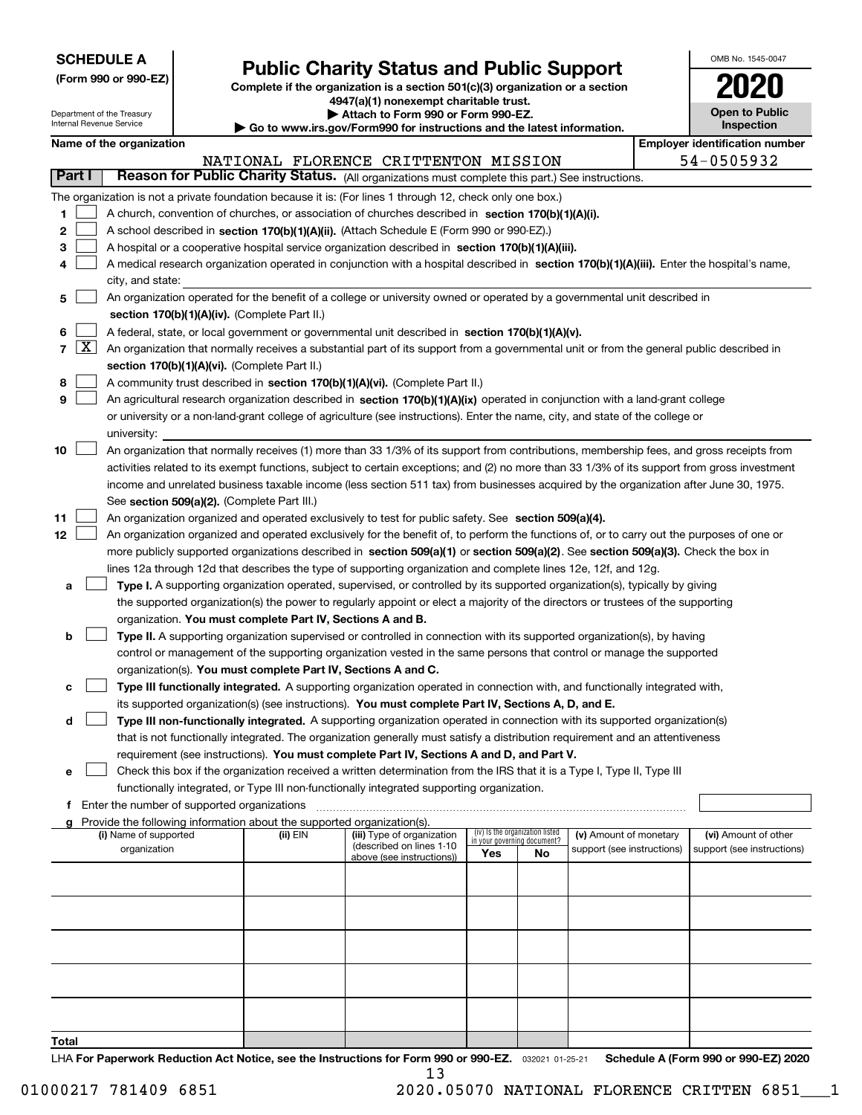| <b>SCHEDULE A</b> |
|-------------------|
|-------------------|

Department of the Treasury Internal Revenue Service

**(Form 990 or 990-EZ)**

## **Public Charity Status and Public Support**

**Complete if the organization is a section 501(c)(3) organization or a section 4947(a)(1) nonexempt charitable trust. | Attach to Form 990 or Form 990-EZ.** 

| OMB No 1545-0047                    |
|-------------------------------------|
| 2020                                |
| <b>Open to Public</b><br>Inspection |

| Emplover identification number | Name of the organization |  |
|--------------------------------|--------------------------|--|
|--------------------------------|--------------------------|--|

| Employer identification numb |  |
|------------------------------|--|
| E 4 DE AE ADA                |  |

|                         |                                                                                                                                                                                                                                                                                                                                                                                                                                                                                                                                                                                        |          | NATIONAL FLORENCE CRITTENTON MISSION                  |                             |                                 |                            |  | 54-0505932                 |  |  |
|-------------------------|----------------------------------------------------------------------------------------------------------------------------------------------------------------------------------------------------------------------------------------------------------------------------------------------------------------------------------------------------------------------------------------------------------------------------------------------------------------------------------------------------------------------------------------------------------------------------------------|----------|-------------------------------------------------------|-----------------------------|---------------------------------|----------------------------|--|----------------------------|--|--|
| Part I                  | Reason for Public Charity Status. (All organizations must complete this part.) See instructions.                                                                                                                                                                                                                                                                                                                                                                                                                                                                                       |          |                                                       |                             |                                 |                            |  |                            |  |  |
| 1<br>2<br>3<br>4        | The organization is not a private foundation because it is: (For lines 1 through 12, check only one box.)<br>A church, convention of churches, or association of churches described in section $170(b)(1)(A)(i)$ .<br>A school described in section 170(b)(1)(A)(ii). (Attach Schedule E (Form 990 or 990-EZ).)<br>A hospital or a cooperative hospital service organization described in section 170(b)(1)(A)(iii).<br>A medical research organization operated in conjunction with a hospital described in section 170(b)(1)(A)(iii). Enter the hospital's name,<br>city, and state: |          |                                                       |                             |                                 |                            |  |                            |  |  |
| 5                       | An organization operated for the benefit of a college or university owned or operated by a governmental unit described in                                                                                                                                                                                                                                                                                                                                                                                                                                                              |          |                                                       |                             |                                 |                            |  |                            |  |  |
|                         | section 170(b)(1)(A)(iv). (Complete Part II.)                                                                                                                                                                                                                                                                                                                                                                                                                                                                                                                                          |          |                                                       |                             |                                 |                            |  |                            |  |  |
| 6                       | A federal, state, or local government or governmental unit described in section 170(b)(1)(A)(v).                                                                                                                                                                                                                                                                                                                                                                                                                                                                                       |          |                                                       |                             |                                 |                            |  |                            |  |  |
| $\boxed{\text{X}}$<br>7 | An organization that normally receives a substantial part of its support from a governmental unit or from the general public described in                                                                                                                                                                                                                                                                                                                                                                                                                                              |          |                                                       |                             |                                 |                            |  |                            |  |  |
|                         | section 170(b)(1)(A)(vi). (Complete Part II.)                                                                                                                                                                                                                                                                                                                                                                                                                                                                                                                                          |          |                                                       |                             |                                 |                            |  |                            |  |  |
| 8                       | A community trust described in section 170(b)(1)(A)(vi). (Complete Part II.)                                                                                                                                                                                                                                                                                                                                                                                                                                                                                                           |          |                                                       |                             |                                 |                            |  |                            |  |  |
| 9                       | An agricultural research organization described in section 170(b)(1)(A)(ix) operated in conjunction with a land-grant college                                                                                                                                                                                                                                                                                                                                                                                                                                                          |          |                                                       |                             |                                 |                            |  |                            |  |  |
|                         | or university or a non-land-grant college of agriculture (see instructions). Enter the name, city, and state of the college or                                                                                                                                                                                                                                                                                                                                                                                                                                                         |          |                                                       |                             |                                 |                            |  |                            |  |  |
|                         | university:                                                                                                                                                                                                                                                                                                                                                                                                                                                                                                                                                                            |          |                                                       |                             |                                 |                            |  |                            |  |  |
| 10                      | An organization that normally receives (1) more than 33 1/3% of its support from contributions, membership fees, and gross receipts from                                                                                                                                                                                                                                                                                                                                                                                                                                               |          |                                                       |                             |                                 |                            |  |                            |  |  |
|                         | activities related to its exempt functions, subject to certain exceptions; and (2) no more than 33 1/3% of its support from gross investment                                                                                                                                                                                                                                                                                                                                                                                                                                           |          |                                                       |                             |                                 |                            |  |                            |  |  |
|                         | income and unrelated business taxable income (less section 511 tax) from businesses acquired by the organization after June 30, 1975.                                                                                                                                                                                                                                                                                                                                                                                                                                                  |          |                                                       |                             |                                 |                            |  |                            |  |  |
|                         | See section 509(a)(2). (Complete Part III.)                                                                                                                                                                                                                                                                                                                                                                                                                                                                                                                                            |          |                                                       |                             |                                 |                            |  |                            |  |  |
| 11                      | An organization organized and operated exclusively to test for public safety. See section 509(a)(4).                                                                                                                                                                                                                                                                                                                                                                                                                                                                                   |          |                                                       |                             |                                 |                            |  |                            |  |  |
| 12                      | An organization organized and operated exclusively for the benefit of, to perform the functions of, or to carry out the purposes of one or                                                                                                                                                                                                                                                                                                                                                                                                                                             |          |                                                       |                             |                                 |                            |  |                            |  |  |
|                         | more publicly supported organizations described in section 509(a)(1) or section 509(a)(2). See section 509(a)(3). Check the box in                                                                                                                                                                                                                                                                                                                                                                                                                                                     |          |                                                       |                             |                                 |                            |  |                            |  |  |
|                         | lines 12a through 12d that describes the type of supporting organization and complete lines 12e, 12f, and 12g.                                                                                                                                                                                                                                                                                                                                                                                                                                                                         |          |                                                       |                             |                                 |                            |  |                            |  |  |
| a                       | Type I. A supporting organization operated, supervised, or controlled by its supported organization(s), typically by giving                                                                                                                                                                                                                                                                                                                                                                                                                                                            |          |                                                       |                             |                                 |                            |  |                            |  |  |
|                         | the supported organization(s) the power to regularly appoint or elect a majority of the directors or trustees of the supporting                                                                                                                                                                                                                                                                                                                                                                                                                                                        |          |                                                       |                             |                                 |                            |  |                            |  |  |
|                         | organization. You must complete Part IV, Sections A and B.                                                                                                                                                                                                                                                                                                                                                                                                                                                                                                                             |          |                                                       |                             |                                 |                            |  |                            |  |  |
| b                       | Type II. A supporting organization supervised or controlled in connection with its supported organization(s), by having                                                                                                                                                                                                                                                                                                                                                                                                                                                                |          |                                                       |                             |                                 |                            |  |                            |  |  |
|                         | control or management of the supporting organization vested in the same persons that control or manage the supported                                                                                                                                                                                                                                                                                                                                                                                                                                                                   |          |                                                       |                             |                                 |                            |  |                            |  |  |
|                         | organization(s). You must complete Part IV, Sections A and C.<br>Type III functionally integrated. A supporting organization operated in connection with, and functionally integrated with,                                                                                                                                                                                                                                                                                                                                                                                            |          |                                                       |                             |                                 |                            |  |                            |  |  |
| с                       | its supported organization(s) (see instructions). You must complete Part IV, Sections A, D, and E.                                                                                                                                                                                                                                                                                                                                                                                                                                                                                     |          |                                                       |                             |                                 |                            |  |                            |  |  |
| d                       | Type III non-functionally integrated. A supporting organization operated in connection with its supported organization(s)                                                                                                                                                                                                                                                                                                                                                                                                                                                              |          |                                                       |                             |                                 |                            |  |                            |  |  |
|                         | that is not functionally integrated. The organization generally must satisfy a distribution requirement and an attentiveness                                                                                                                                                                                                                                                                                                                                                                                                                                                           |          |                                                       |                             |                                 |                            |  |                            |  |  |
|                         | requirement (see instructions). You must complete Part IV, Sections A and D, and Part V.                                                                                                                                                                                                                                                                                                                                                                                                                                                                                               |          |                                                       |                             |                                 |                            |  |                            |  |  |
| е                       | Check this box if the organization received a written determination from the IRS that it is a Type I, Type II, Type III                                                                                                                                                                                                                                                                                                                                                                                                                                                                |          |                                                       |                             |                                 |                            |  |                            |  |  |
|                         | functionally integrated, or Type III non-functionally integrated supporting organization.                                                                                                                                                                                                                                                                                                                                                                                                                                                                                              |          |                                                       |                             |                                 |                            |  |                            |  |  |
|                         | f Enter the number of supported organizations                                                                                                                                                                                                                                                                                                                                                                                                                                                                                                                                          |          |                                                       |                             |                                 |                            |  |                            |  |  |
| a                       | Provide the following information about the supported organization(s).                                                                                                                                                                                                                                                                                                                                                                                                                                                                                                                 |          |                                                       |                             |                                 |                            |  |                            |  |  |
|                         | (i) Name of supported                                                                                                                                                                                                                                                                                                                                                                                                                                                                                                                                                                  | (ii) EIN | (iii) Type of organization                            | in your governing document? | (iv) Is the organization listed | (v) Amount of monetary     |  | (vi) Amount of other       |  |  |
|                         | organization                                                                                                                                                                                                                                                                                                                                                                                                                                                                                                                                                                           |          | (described on lines 1-10<br>above (see instructions)) | Yes                         | No                              | support (see instructions) |  | support (see instructions) |  |  |
|                         |                                                                                                                                                                                                                                                                                                                                                                                                                                                                                                                                                                                        |          |                                                       |                             |                                 |                            |  |                            |  |  |
|                         |                                                                                                                                                                                                                                                                                                                                                                                                                                                                                                                                                                                        |          |                                                       |                             |                                 |                            |  |                            |  |  |
|                         |                                                                                                                                                                                                                                                                                                                                                                                                                                                                                                                                                                                        |          |                                                       |                             |                                 |                            |  |                            |  |  |
|                         |                                                                                                                                                                                                                                                                                                                                                                                                                                                                                                                                                                                        |          |                                                       |                             |                                 |                            |  |                            |  |  |
|                         |                                                                                                                                                                                                                                                                                                                                                                                                                                                                                                                                                                                        |          |                                                       |                             |                                 |                            |  |                            |  |  |
|                         |                                                                                                                                                                                                                                                                                                                                                                                                                                                                                                                                                                                        |          |                                                       |                             |                                 |                            |  |                            |  |  |
|                         |                                                                                                                                                                                                                                                                                                                                                                                                                                                                                                                                                                                        |          |                                                       |                             |                                 |                            |  |                            |  |  |
|                         |                                                                                                                                                                                                                                                                                                                                                                                                                                                                                                                                                                                        |          |                                                       |                             |                                 |                            |  |                            |  |  |
|                         |                                                                                                                                                                                                                                                                                                                                                                                                                                                                                                                                                                                        |          |                                                       |                             |                                 |                            |  |                            |  |  |
| Total                   |                                                                                                                                                                                                                                                                                                                                                                                                                                                                                                                                                                                        |          |                                                       |                             |                                 |                            |  |                            |  |  |
|                         |                                                                                                                                                                                                                                                                                                                                                                                                                                                                                                                                                                                        |          |                                                       |                             |                                 |                            |  |                            |  |  |

LHA For Paperwork Reduction Act Notice, see the Instructions for Form 990 or 990-EZ. <sub>032021</sub> o1-25-21 Schedule A (Form 990 or 990-EZ) 2020 13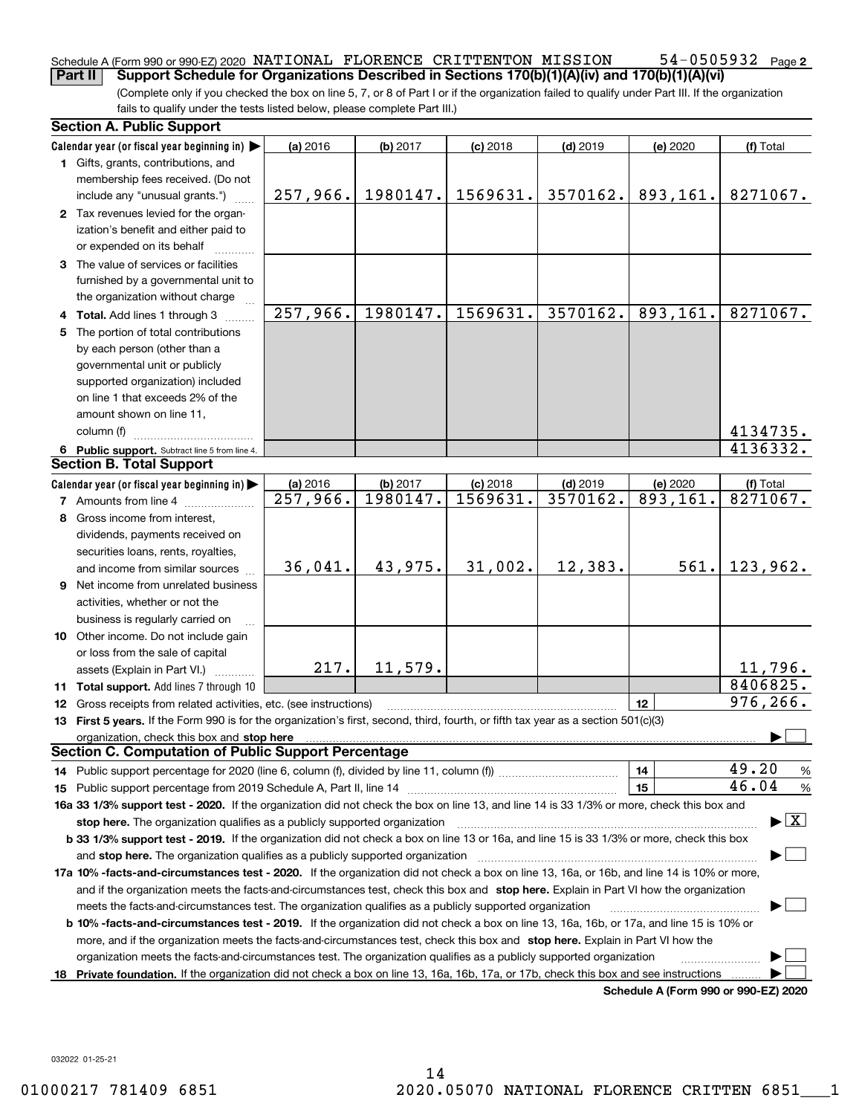#### **2** Schedule A (Form 990 or 990-EZ) 2020 Page NATIONAL FLORENCE CRITTENTON MISSION 54-0505932 **Part II Support Schedule for Organizations Described in Sections 170(b)(1)(A)(iv) and 170(b)(1)(A)(vi)**

(Complete only if you checked the box on line 5, 7, or 8 of Part I or if the organization failed to qualify under Part III. If the organization fails to qualify under the tests listed below, please complete Part III.)

|     | <b>Section A. Public Support</b>                                                                                                               |                                    |                      |                        |                        |                                      |                                          |
|-----|------------------------------------------------------------------------------------------------------------------------------------------------|------------------------------------|----------------------|------------------------|------------------------|--------------------------------------|------------------------------------------|
|     | Calendar year (or fiscal year beginning in)                                                                                                    | (a) 2016                           | (b) 2017             | $(c)$ 2018             | $(d)$ 2019             | (e) 2020                             | (f) Total                                |
|     | 1 Gifts, grants, contributions, and                                                                                                            |                                    |                      |                        |                        |                                      |                                          |
|     | membership fees received. (Do not                                                                                                              |                                    |                      |                        |                        |                                      |                                          |
|     | include any "unusual grants.")                                                                                                                 | 257,966.                           | 1980147.             | 1569631.               | 3570162.               | 893,161.                             | 8271067.                                 |
|     | 2 Tax revenues levied for the organ-                                                                                                           |                                    |                      |                        |                        |                                      |                                          |
|     | ization's benefit and either paid to                                                                                                           |                                    |                      |                        |                        |                                      |                                          |
|     | or expended on its behalf                                                                                                                      |                                    |                      |                        |                        |                                      |                                          |
|     | 3 The value of services or facilities                                                                                                          |                                    |                      |                        |                        |                                      |                                          |
|     | furnished by a governmental unit to                                                                                                            |                                    |                      |                        |                        |                                      |                                          |
|     | the organization without charge                                                                                                                |                                    |                      |                        |                        |                                      |                                          |
|     | 4 Total. Add lines 1 through 3                                                                                                                 | 257,966.                           | 1980147.             | 1569631.               | 3570162.               | 893,161.                             | 8271067.                                 |
| 5   | The portion of total contributions                                                                                                             |                                    |                      |                        |                        |                                      |                                          |
|     | by each person (other than a                                                                                                                   |                                    |                      |                        |                        |                                      |                                          |
|     | governmental unit or publicly                                                                                                                  |                                    |                      |                        |                        |                                      |                                          |
|     | supported organization) included                                                                                                               |                                    |                      |                        |                        |                                      |                                          |
|     | on line 1 that exceeds 2% of the                                                                                                               |                                    |                      |                        |                        |                                      |                                          |
|     | amount shown on line 11,                                                                                                                       |                                    |                      |                        |                        |                                      |                                          |
|     | column (f)                                                                                                                                     |                                    |                      |                        |                        |                                      | 4134735.                                 |
|     |                                                                                                                                                |                                    |                      |                        |                        |                                      | 4136332.                                 |
|     | 6 Public support. Subtract line 5 from line 4.<br><b>Section B. Total Support</b>                                                              |                                    |                      |                        |                        |                                      |                                          |
|     |                                                                                                                                                |                                    |                      |                        |                        |                                      |                                          |
|     | Calendar year (or fiscal year beginning in)                                                                                                    | (a) 2016<br>$\overline{257,966}$ . | (b) 2017<br>1980147. | $(c)$ 2018<br>1569631. | $(d)$ 2019<br>3570162. | (e) 2020<br>$\overline{893,161}$ .   | (f) Total<br>8271067.                    |
|     | <b>7</b> Amounts from line 4                                                                                                                   |                                    |                      |                        |                        |                                      |                                          |
|     | 8 Gross income from interest,                                                                                                                  |                                    |                      |                        |                        |                                      |                                          |
|     | dividends, payments received on                                                                                                                |                                    |                      |                        |                        |                                      |                                          |
|     | securities loans, rents, royalties,                                                                                                            |                                    |                      |                        |                        |                                      |                                          |
|     | and income from similar sources                                                                                                                | 36,041.                            | 43,975.              | 31,002.                | 12,383.                | 561.                                 | 123,962.                                 |
|     | 9 Net income from unrelated business                                                                                                           |                                    |                      |                        |                        |                                      |                                          |
|     | activities, whether or not the                                                                                                                 |                                    |                      |                        |                        |                                      |                                          |
|     | business is regularly carried on                                                                                                               |                                    |                      |                        |                        |                                      |                                          |
|     | 10 Other income. Do not include gain                                                                                                           |                                    |                      |                        |                        |                                      |                                          |
|     | or loss from the sale of capital                                                                                                               |                                    |                      |                        |                        |                                      |                                          |
|     | assets (Explain in Part VI.)                                                                                                                   | 217.                               | 11,579.              |                        |                        |                                      | 11,796.                                  |
|     | 11 Total support. Add lines 7 through 10                                                                                                       |                                    |                      |                        |                        |                                      | 8406825.                                 |
|     | <b>12</b> Gross receipts from related activities, etc. (see instructions)                                                                      |                                    |                      |                        |                        | 12                                   | 976, 266.                                |
|     | 13 First 5 years. If the Form 990 is for the organization's first, second, third, fourth, or fifth tax year as a section 501(c)(3)             |                                    |                      |                        |                        |                                      |                                          |
|     | organization, check this box and stop here                                                                                                     |                                    |                      |                        |                        |                                      |                                          |
|     | <b>Section C. Computation of Public Support Percentage</b>                                                                                     |                                    |                      |                        |                        |                                      |                                          |
|     |                                                                                                                                                |                                    |                      |                        |                        | 14                                   | 49.20<br>%                               |
|     |                                                                                                                                                |                                    |                      |                        |                        | 15                                   | 46.04<br>%                               |
|     | 16a 33 1/3% support test - 2020. If the organization did not check the box on line 13, and line 14 is 33 1/3% or more, check this box and      |                                    |                      |                        |                        |                                      |                                          |
|     | stop here. The organization qualifies as a publicly supported organization                                                                     |                                    |                      |                        |                        |                                      | $\blacktriangleright$ $\boxed{\text{X}}$ |
|     | b 33 1/3% support test - 2019. If the organization did not check a box on line 13 or 16a, and line 15 is 33 1/3% or more, check this box       |                                    |                      |                        |                        |                                      |                                          |
|     | and <b>stop here.</b> The organization qualifies as a publicly supported organization                                                          |                                    |                      |                        |                        |                                      |                                          |
|     | 17a 10% -facts-and-circumstances test - 2020. If the organization did not check a box on line 13, 16a, or 16b, and line 14 is 10% or more,     |                                    |                      |                        |                        |                                      |                                          |
|     | and if the organization meets the facts-and-circumstances test, check this box and stop here. Explain in Part VI how the organization          |                                    |                      |                        |                        |                                      |                                          |
|     | meets the facts-and-circumstances test. The organization qualifies as a publicly supported organization                                        |                                    |                      |                        |                        |                                      |                                          |
|     | <b>b 10% -facts-and-circumstances test - 2019.</b> If the organization did not check a box on line 13, 16a, 16b, or 17a, and line 15 is 10% or |                                    |                      |                        |                        |                                      |                                          |
|     | more, and if the organization meets the facts-and-circumstances test, check this box and stop here. Explain in Part VI how the                 |                                    |                      |                        |                        |                                      |                                          |
|     | organization meets the facts-and-circumstances test. The organization qualifies as a publicly supported organization                           |                                    |                      |                        |                        |                                      |                                          |
| 18. | Private foundation. If the organization did not check a box on line 13, 16a, 16b, 17a, or 17b, check this box and see instructions             |                                    |                      |                        |                        |                                      |                                          |
|     |                                                                                                                                                |                                    |                      |                        |                        | Schedule A (Form 990 or 990-F7) 2020 |                                          |

**Schedule A (Form 990 or 990-EZ) 2020**

032022 01-25-21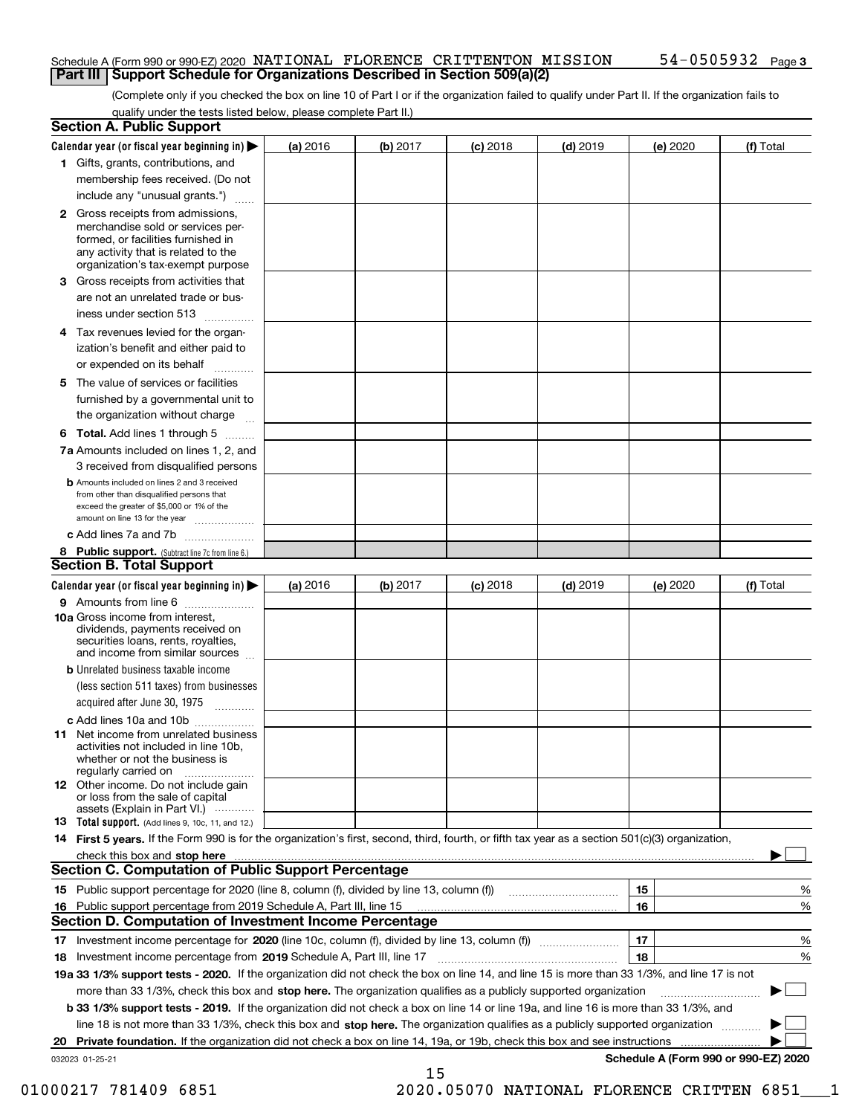#### Schedule A (Form 990 or 990-EZ) 2020 Page NATIONAL FLORENCE CRITTENTON MISSION 54-0505932 **Part III Support Schedule for Organizations Described in Section 509(a)(2)**

(Complete only if you checked the box on line 10 of Part I or if the organization failed to qualify under Part II. If the organization fails to qualify under the tests listed below, please complete Part II.)

| <b>Section A. Public Support</b>                                                                                                                                                                                               |          |          |            |            |          |                                      |
|--------------------------------------------------------------------------------------------------------------------------------------------------------------------------------------------------------------------------------|----------|----------|------------|------------|----------|--------------------------------------|
| Calendar year (or fiscal year beginning in) $\blacktriangleright$                                                                                                                                                              | (a) 2016 | (b) 2017 | $(c)$ 2018 | $(d)$ 2019 | (e) 2020 | (f) Total                            |
| 1 Gifts, grants, contributions, and                                                                                                                                                                                            |          |          |            |            |          |                                      |
| membership fees received. (Do not                                                                                                                                                                                              |          |          |            |            |          |                                      |
| include any "unusual grants.")                                                                                                                                                                                                 |          |          |            |            |          |                                      |
| 2 Gross receipts from admissions,<br>merchandise sold or services per-<br>formed, or facilities furnished in<br>any activity that is related to the<br>organization's tax-exempt purpose                                       |          |          |            |            |          |                                      |
| 3 Gross receipts from activities that                                                                                                                                                                                          |          |          |            |            |          |                                      |
| are not an unrelated trade or bus-                                                                                                                                                                                             |          |          |            |            |          |                                      |
| iness under section 513                                                                                                                                                                                                        |          |          |            |            |          |                                      |
| 4 Tax revenues levied for the organ-                                                                                                                                                                                           |          |          |            |            |          |                                      |
| ization's benefit and either paid to<br>or expended on its behalf<br>.                                                                                                                                                         |          |          |            |            |          |                                      |
| 5 The value of services or facilities                                                                                                                                                                                          |          |          |            |            |          |                                      |
| furnished by a governmental unit to                                                                                                                                                                                            |          |          |            |            |          |                                      |
| the organization without charge                                                                                                                                                                                                |          |          |            |            |          |                                      |
| <b>6 Total.</b> Add lines 1 through 5                                                                                                                                                                                          |          |          |            |            |          |                                      |
| 7a Amounts included on lines 1, 2, and<br>3 received from disqualified persons                                                                                                                                                 |          |          |            |            |          |                                      |
| <b>b</b> Amounts included on lines 2 and 3 received<br>from other than disqualified persons that<br>exceed the greater of \$5,000 or 1% of the<br>amount on line 13 for the year                                               |          |          |            |            |          |                                      |
| c Add lines 7a and 7b                                                                                                                                                                                                          |          |          |            |            |          |                                      |
| 8 Public support. (Subtract line 7c from line 6.)<br><b>Section B. Total Support</b>                                                                                                                                           |          |          |            |            |          |                                      |
| Calendar year (or fiscal year beginning in)                                                                                                                                                                                    | (a) 2016 | (b) 2017 | $(c)$ 2018 | $(d)$ 2019 | (e) 2020 | (f) Total                            |
| 9 Amounts from line 6                                                                                                                                                                                                          |          |          |            |            |          |                                      |
| 10a Gross income from interest,<br>dividends, payments received on<br>securities loans, rents, royalties,<br>and income from similar sources                                                                                   |          |          |            |            |          |                                      |
| <b>b</b> Unrelated business taxable income                                                                                                                                                                                     |          |          |            |            |          |                                      |
| (less section 511 taxes) from businesses<br>acquired after June 30, 1975                                                                                                                                                       |          |          |            |            |          |                                      |
| c Add lines 10a and 10b                                                                                                                                                                                                        |          |          |            |            |          |                                      |
| <b>11</b> Net income from unrelated business<br>activities not included in line 10b,<br>whether or not the business is<br>regularly carried on                                                                                 |          |          |            |            |          |                                      |
| <b>12</b> Other income. Do not include gain<br>or loss from the sale of capital<br>assets (Explain in Part VI.)                                                                                                                |          |          |            |            |          |                                      |
| <b>13 Total support.</b> (Add lines 9, 10c, 11, and 12.)                                                                                                                                                                       |          |          |            |            |          |                                      |
| 14 First 5 years. If the Form 990 is for the organization's first, second, third, fourth, or fifth tax year as a section 501(c)(3) organization,                                                                               |          |          |            |            |          |                                      |
| check this box and stop here measurements and contact the contract of the contract of the contract of the contract of the contract of the contract of the contract of the contract of the contract of the contract of the cont |          |          |            |            |          |                                      |
| <b>Section C. Computation of Public Support Percentage</b>                                                                                                                                                                     |          |          |            |            |          |                                      |
|                                                                                                                                                                                                                                |          |          |            |            | 15       | %                                    |
| 16 Public support percentage from 2019 Schedule A, Part III, line 15                                                                                                                                                           |          |          |            |            | 16       | %                                    |
| <b>Section D. Computation of Investment Income Percentage</b>                                                                                                                                                                  |          |          |            |            |          |                                      |
| 17 Investment income percentage for 2020 (line 10c, column (f), divided by line 13, column (f))                                                                                                                                |          |          |            |            | 17       | %                                    |
| 18 Investment income percentage from 2019 Schedule A, Part III, line 17                                                                                                                                                        |          |          |            |            | 18       | %                                    |
| 19a 33 1/3% support tests - 2020. If the organization did not check the box on line 14, and line 15 is more than 33 1/3%, and line 17 is not                                                                                   |          |          |            |            |          |                                      |
| more than 33 1/3%, check this box and stop here. The organization qualifies as a publicly supported organization                                                                                                               |          |          |            |            |          | ▶                                    |
| b 33 1/3% support tests - 2019. If the organization did not check a box on line 14 or line 19a, and line 16 is more than 33 1/3%, and                                                                                          |          |          |            |            |          |                                      |
| line 18 is not more than 33 1/3%, check this box and stop here. The organization qualifies as a publicly supported organization                                                                                                |          |          |            |            |          |                                      |
| 20 Private foundation. If the organization did not check a box on line 14, 19a, or 19b, check this box and see instructions                                                                                                    |          |          |            |            |          |                                      |
| 032023 01-25-21                                                                                                                                                                                                                |          | 15       |            |            |          | Schedule A (Form 990 or 990-EZ) 2020 |
|                                                                                                                                                                                                                                |          |          |            |            |          |                                      |

01000217 781409 6851 2020.05070 NATIONAL FLORENCE CRITTEN 6851 1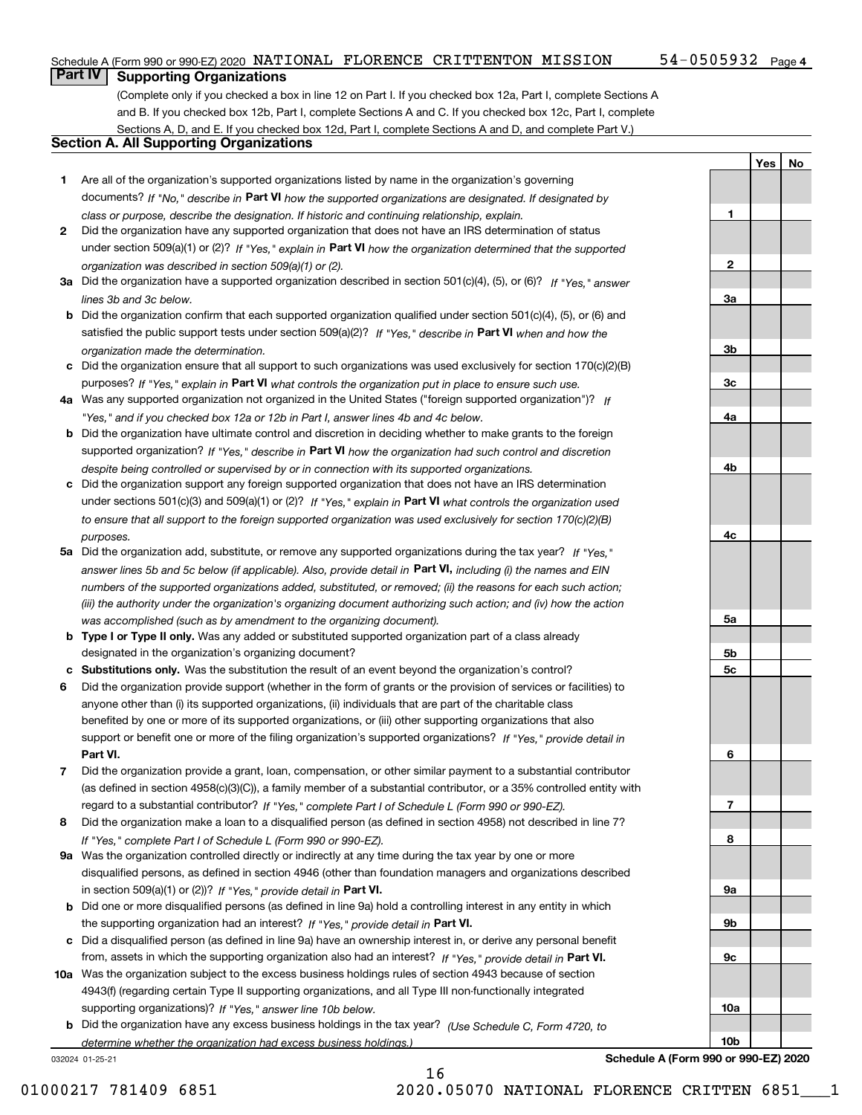#### Schedule A (Form 990 or 990-EZ) 2020 Page NATIONAL FLORENCE CRITTENTON MISSION 54-0505932

**1**

**2**

**3a**

**3b**

**3c**

**4a**

**4b**

**YesNo**

### **Part IV Supporting Organizations**

(Complete only if you checked a box in line 12 on Part I. If you checked box 12a, Part I, complete Sections A and B. If you checked box 12b, Part I, complete Sections A and C. If you checked box 12c, Part I, complete Sections A, D, and E. If you checked box 12d, Part I, complete Sections A and D, and complete Part V.)

### **Section A. All Supporting Organizations**

- **1** Are all of the organization's supported organizations listed by name in the organization's governing documents? If "No," describe in **Part VI** how the supported organizations are designated. If designated by *class or purpose, describe the designation. If historic and continuing relationship, explain.*
- **2** Did the organization have any supported organization that does not have an IRS determination of status under section 509(a)(1) or (2)? If "Yes," explain in Part VI how the organization determined that the supported *organization was described in section 509(a)(1) or (2).*
- **3a** Did the organization have a supported organization described in section 501(c)(4), (5), or (6)? If "Yes," answer *lines 3b and 3c below.*
- **b** Did the organization confirm that each supported organization qualified under section 501(c)(4), (5), or (6) and satisfied the public support tests under section 509(a)(2)? If "Yes," describe in **Part VI** when and how the *organization made the determination.*
- **c**Did the organization ensure that all support to such organizations was used exclusively for section 170(c)(2)(B) purposes? If "Yes," explain in **Part VI** what controls the organization put in place to ensure such use.
- **4a***If* Was any supported organization not organized in the United States ("foreign supported organization")? *"Yes," and if you checked box 12a or 12b in Part I, answer lines 4b and 4c below.*
- **b** Did the organization have ultimate control and discretion in deciding whether to make grants to the foreign supported organization? If "Yes," describe in **Part VI** how the organization had such control and discretion *despite being controlled or supervised by or in connection with its supported organizations.*
- **c** Did the organization support any foreign supported organization that does not have an IRS determination under sections 501(c)(3) and 509(a)(1) or (2)? If "Yes," explain in **Part VI** what controls the organization used *to ensure that all support to the foreign supported organization was used exclusively for section 170(c)(2)(B) purposes.*
- **5a** Did the organization add, substitute, or remove any supported organizations during the tax year? If "Yes," answer lines 5b and 5c below (if applicable). Also, provide detail in **Part VI,** including (i) the names and EIN *numbers of the supported organizations added, substituted, or removed; (ii) the reasons for each such action; (iii) the authority under the organization's organizing document authorizing such action; and (iv) how the action was accomplished (such as by amendment to the organizing document).*
- **b** Type I or Type II only. Was any added or substituted supported organization part of a class already designated in the organization's organizing document?
- **cSubstitutions only.**  Was the substitution the result of an event beyond the organization's control?
- **6** Did the organization provide support (whether in the form of grants or the provision of services or facilities) to **Part VI.** *If "Yes," provide detail in* support or benefit one or more of the filing organization's supported organizations? anyone other than (i) its supported organizations, (ii) individuals that are part of the charitable class benefited by one or more of its supported organizations, or (iii) other supporting organizations that also
- **7**Did the organization provide a grant, loan, compensation, or other similar payment to a substantial contributor *If "Yes," complete Part I of Schedule L (Form 990 or 990-EZ).* regard to a substantial contributor? (as defined in section 4958(c)(3)(C)), a family member of a substantial contributor, or a 35% controlled entity with
- **8** Did the organization make a loan to a disqualified person (as defined in section 4958) not described in line 7? *If "Yes," complete Part I of Schedule L (Form 990 or 990-EZ).*
- **9a** Was the organization controlled directly or indirectly at any time during the tax year by one or more in section 509(a)(1) or (2))? If "Yes," *provide detail in* <code>Part VI.</code> disqualified persons, as defined in section 4946 (other than foundation managers and organizations described
- **b** Did one or more disqualified persons (as defined in line 9a) hold a controlling interest in any entity in which the supporting organization had an interest? If "Yes," provide detail in P**art VI**.
- **c**Did a disqualified person (as defined in line 9a) have an ownership interest in, or derive any personal benefit from, assets in which the supporting organization also had an interest? If "Yes," provide detail in P**art VI.**
- **10a** Was the organization subject to the excess business holdings rules of section 4943 because of section supporting organizations)? If "Yes," answer line 10b below. 4943(f) (regarding certain Type II supporting organizations, and all Type III non-functionally integrated
- **b** Did the organization have any excess business holdings in the tax year? (Use Schedule C, Form 4720, to *determine whether the organization had excess business holdings.)*

032024 01-25-21



01000217 781409 6851 2020.05070 NATIONAL FLORENCE CRITTEN 6851 1

16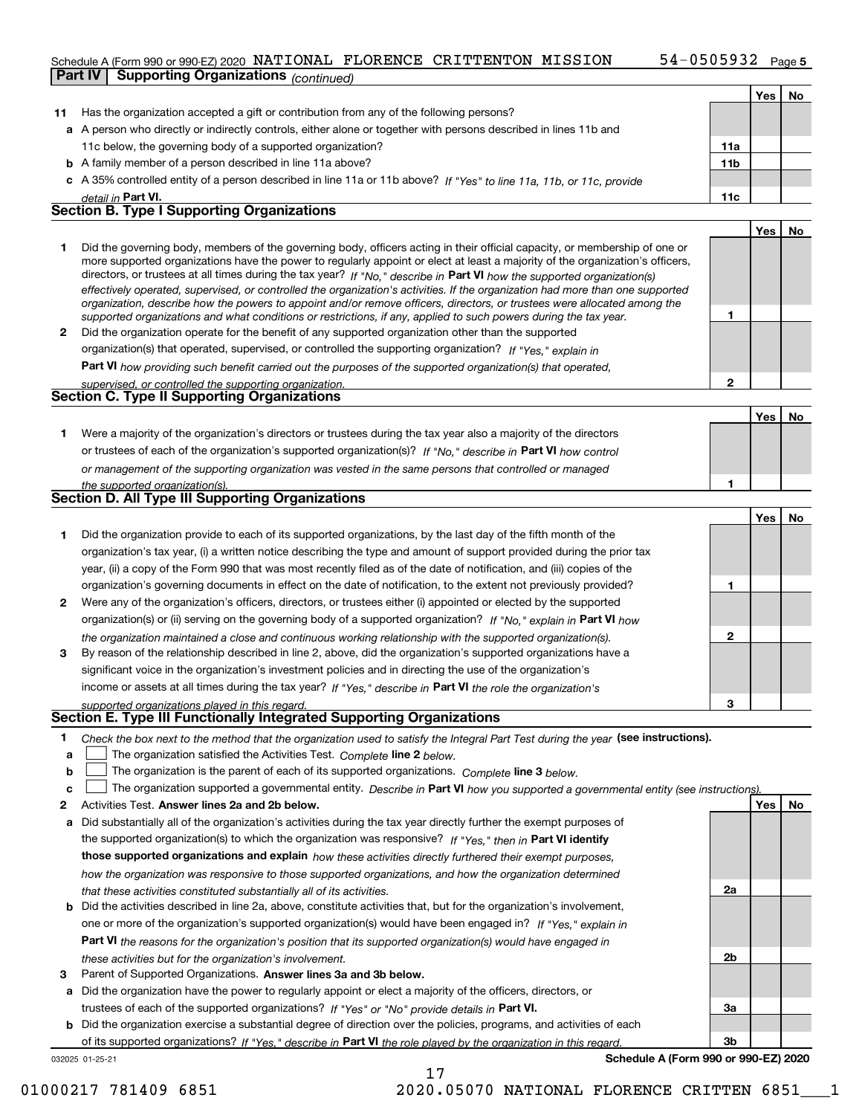### Schedule A (Form 990 or 990-EZ) 2020 Page NATIONAL FLORENCE CRITTENTON MISSION 54-0505932

|              |                |                                                                                                                                   | ,,,,,,,,        |          | raye ə |
|--------------|----------------|-----------------------------------------------------------------------------------------------------------------------------------|-----------------|----------|--------|
|              | <b>Part IV</b> | <b>Supporting Organizations (continued)</b>                                                                                       |                 |          |        |
|              |                |                                                                                                                                   |                 | Yes      | No     |
| 11           |                | Has the organization accepted a gift or contribution from any of the following persons?                                           |                 |          |        |
|              |                | a A person who directly or indirectly controls, either alone or together with persons described in lines 11b and                  |                 |          |        |
|              |                | 11c below, the governing body of a supported organization?                                                                        | 11a             |          |        |
|              |                | <b>b</b> A family member of a person described in line 11a above?                                                                 | 11 <sub>b</sub> |          |        |
|              |                | c A 35% controlled entity of a person described in line 11a or 11b above? If "Yes" to line 11a, 11b, or 11c, provide              |                 |          |        |
|              |                | detail in <b>Part VI.</b>                                                                                                         | 11c             |          |        |
|              |                | <b>Section B. Type I Supporting Organizations</b>                                                                                 |                 |          |        |
|              |                |                                                                                                                                   |                 | Yes      | No     |
| 1.           |                | Did the governing body, members of the governing body, officers acting in their official capacity, or membership of one or        |                 |          |        |
|              |                | more supported organizations have the power to regularly appoint or elect at least a majority of the organization's officers,     |                 |          |        |
|              |                | directors, or trustees at all times during the tax year? If "No," describe in Part VI how the supported organization(s)           |                 |          |        |
|              |                | effectively operated, supervised, or controlled the organization's activities. If the organization had more than one supported    |                 |          |        |
|              |                | organization, describe how the powers to appoint and/or remove officers, directors, or trustees were allocated among the          |                 |          |        |
|              |                | supported organizations and what conditions or restrictions, if any, applied to such powers during the tax year.                  | 1               |          |        |
| $\mathbf{2}$ |                | Did the organization operate for the benefit of any supported organization other than the supported                               |                 |          |        |
|              |                | organization(s) that operated, supervised, or controlled the supporting organization? If "Yes," explain in                        |                 |          |        |
|              |                | Part VI how providing such benefit carried out the purposes of the supported organization(s) that operated,                       |                 |          |        |
|              |                | supervised, or controlled the supporting organization.                                                                            | 2               |          |        |
|              |                | Section C. Type II Supporting Organizations                                                                                       |                 |          |        |
|              |                |                                                                                                                                   |                 | Yes      | No     |
| 1.           |                | Were a majority of the organization's directors or trustees during the tax year also a majority of the directors                  |                 |          |        |
|              |                | or trustees of each of the organization's supported organization(s)? If "No," describe in Part VI how control                     |                 |          |        |
|              |                | or management of the supporting organization was vested in the same persons that controlled or managed                            |                 |          |        |
|              |                | the supported organization(s).                                                                                                    | 1               |          |        |
|              |                | <b>Section D. All Type III Supporting Organizations</b>                                                                           |                 |          |        |
|              |                |                                                                                                                                   |                 | Yes      | No     |
| 1.           |                | Did the organization provide to each of its supported organizations, by the last day of the fifth month of the                    |                 |          |        |
|              |                | organization's tax year, (i) a written notice describing the type and amount of support provided during the prior tax             |                 |          |        |
|              |                | year, (ii) a copy of the Form 990 that was most recently filed as of the date of notification, and (iii) copies of the            |                 |          |        |
|              |                | organization's governing documents in effect on the date of notification, to the extent not previously provided?                  | 1               |          |        |
| $\mathbf{2}$ |                | Were any of the organization's officers, directors, or trustees either (i) appointed or elected by the supported                  |                 |          |        |
|              |                | organization(s) or (ii) serving on the governing body of a supported organization? If "No," explain in Part VI how                |                 |          |        |
|              |                | the organization maintained a close and continuous working relationship with the supported organization(s).                       | 2               |          |        |
| 3            |                | By reason of the relationship described in line 2, above, did the organization's supported organizations have a                   |                 |          |        |
|              |                | significant voice in the organization's investment policies and in directing the use of the organization's                        |                 |          |        |
|              |                | income or assets at all times during the tax year? If "Yes," describe in Part VI the role the organization's                      |                 |          |        |
|              |                |                                                                                                                                   | 3               |          |        |
|              |                | supported organizations played in this regard.<br>Section E. Type III Functionally Integrated Supporting Organizations            |                 |          |        |
| 1            |                | Check the box next to the method that the organization used to satisfy the Integral Part Test during the year (see instructions). |                 |          |        |
| a            |                | The organization satisfied the Activities Test. Complete line 2 below.                                                            |                 |          |        |
| b            |                | The organization is the parent of each of its supported organizations. Complete line 3 below.                                     |                 |          |        |
| c            |                | The organization supported a governmental entity. Describe in Part VI how you supported a governmental entity (see instructions)  |                 |          |        |
| 2            |                | Activities Test. Answer lines 2a and 2b below.                                                                                    |                 | Yes   No |        |
|              |                |                                                                                                                                   |                 |          |        |

| a Did substantially all of the organization's activities during the tax year directly further the exempt purposes of<br>the supported organization(s) to which the organization was responsive? If "Yes." then in Part VI identify<br>those supported organizations and explain how these activities directly furthered their exempt purposes,               |
|--------------------------------------------------------------------------------------------------------------------------------------------------------------------------------------------------------------------------------------------------------------------------------------------------------------------------------------------------------------|
| how the organization was responsive to those supported organizations, and how the organization determined<br>that these activities constituted substantially all of its activities.                                                                                                                                                                          |
| <b>b</b> Did the activities described in line 2a, above, constitute activities that, but for the organization's involvement,<br>one or more of the organization's supported organization(s) would have been engaged in? If "Yes." explain in<br>Part VI the reasons for the organization's position that its supported organization(s) would have engaged in |

- *these activities but for the organization's involvement.*
- **3** Parent of Supported Organizations. Answer lines 3a and 3b below.

**a** Did the organization have the power to regularly appoint or elect a majority of the officers, directors, or trustees of each of the supported organizations? If "Yes" or "No" provide details in **Part VI.** 

032025 01-25-21 **b** Did the organization exercise a substantial degree of direction over the policies, programs, and activities of each of its supported organizations? If "Yes," describe in Part VI the role played by the organization in this regard.

17

**Schedule A (Form 990 or 990-EZ) 2020**

**2a**

**2b**

**3a**

**3b**

01000217 781409 6851 2020.05070 NATIONAL FLORENCE CRITTEN 6851 1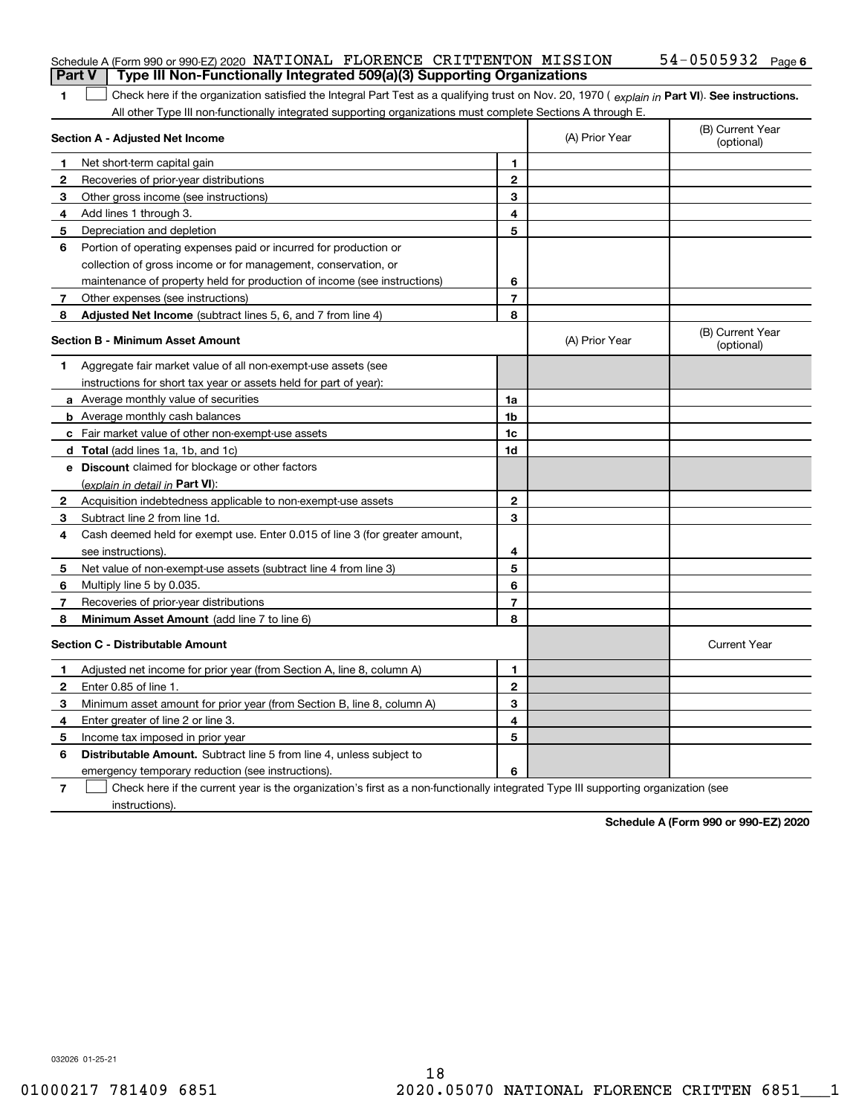| Part V                   | Schedule A (Form 990 or 990-EZ) 2020 NATIONAL FLORENCE CRITTENTON MISSION<br>Type III Non-Functionally Integrated 509(a)(3) Supporting Organizations                                                                                                          |                |                | $54 - 0505932$ Page 6          |
|--------------------------|---------------------------------------------------------------------------------------------------------------------------------------------------------------------------------------------------------------------------------------------------------------|----------------|----------------|--------------------------------|
|                          |                                                                                                                                                                                                                                                               |                |                |                                |
| 1                        | Check here if the organization satisfied the Integral Part Test as a qualifying trust on Nov. 20, 1970 (explain in Part VI). See instructions.<br>All other Type III non-functionally integrated supporting organizations must complete Sections A through E. |                |                |                                |
|                          | Section A - Adjusted Net Income                                                                                                                                                                                                                               |                | (A) Prior Year | (B) Current Year<br>(optional) |
| 1                        | Net short-term capital gain                                                                                                                                                                                                                                   | 1.             |                |                                |
| 2                        | Recoveries of prior-year distributions                                                                                                                                                                                                                        | $\mathbf{2}$   |                |                                |
| 3                        | Other gross income (see instructions)                                                                                                                                                                                                                         | 3              |                |                                |
| 4                        | Add lines 1 through 3.                                                                                                                                                                                                                                        | 4              |                |                                |
| 5                        | Depreciation and depletion                                                                                                                                                                                                                                    | 5              |                |                                |
| 6                        | Portion of operating expenses paid or incurred for production or                                                                                                                                                                                              |                |                |                                |
|                          | collection of gross income or for management, conservation, or                                                                                                                                                                                                |                |                |                                |
|                          | maintenance of property held for production of income (see instructions)                                                                                                                                                                                      | 6              |                |                                |
| 7                        | Other expenses (see instructions)                                                                                                                                                                                                                             | $\overline{7}$ |                |                                |
| 8                        | Adjusted Net Income (subtract lines 5, 6, and 7 from line 4)                                                                                                                                                                                                  | 8              |                |                                |
|                          | <b>Section B - Minimum Asset Amount</b>                                                                                                                                                                                                                       |                | (A) Prior Year | (B) Current Year<br>(optional) |
| 1                        | Aggregate fair market value of all non-exempt-use assets (see                                                                                                                                                                                                 |                |                |                                |
|                          | instructions for short tax year or assets held for part of year):                                                                                                                                                                                             |                |                |                                |
|                          | <b>a</b> Average monthly value of securities                                                                                                                                                                                                                  | 1a             |                |                                |
|                          | <b>b</b> Average monthly cash balances                                                                                                                                                                                                                        | 1b             |                |                                |
|                          | c Fair market value of other non-exempt-use assets                                                                                                                                                                                                            | 1c             |                |                                |
|                          | <b>d</b> Total (add lines 1a, 1b, and 1c)                                                                                                                                                                                                                     | 1d             |                |                                |
|                          | <b>e</b> Discount claimed for blockage or other factors                                                                                                                                                                                                       |                |                |                                |
|                          | (explain in detail in Part VI):                                                                                                                                                                                                                               |                |                |                                |
| 2                        | Acquisition indebtedness applicable to non-exempt-use assets                                                                                                                                                                                                  | $\mathbf{2}$   |                |                                |
| 3                        | Subtract line 2 from line 1d.                                                                                                                                                                                                                                 | 3              |                |                                |
| 4                        | Cash deemed held for exempt use. Enter 0.015 of line 3 (for greater amount,                                                                                                                                                                                   |                |                |                                |
|                          | see instructions).                                                                                                                                                                                                                                            | 4              |                |                                |
| 5                        | Net value of non-exempt-use assets (subtract line 4 from line 3)                                                                                                                                                                                              | 5              |                |                                |
| 6                        | Multiply line 5 by 0.035.                                                                                                                                                                                                                                     | 6              |                |                                |
| 7                        | Recoveries of prior-year distributions                                                                                                                                                                                                                        | $\overline{7}$ |                |                                |
| 8                        | Minimum Asset Amount (add line 7 to line 6)                                                                                                                                                                                                                   | 8              |                |                                |
|                          | <b>Section C - Distributable Amount</b>                                                                                                                                                                                                                       |                |                | <b>Current Year</b>            |
|                          | Adjusted net income for prior year (from Section A, line 8, column A)                                                                                                                                                                                         | 1              |                |                                |
| 2                        | Enter 0.85 of line 1.                                                                                                                                                                                                                                         | 2              |                |                                |
| 3.                       | Minimum asset amount for prior year (from Section B, line 8, column A)                                                                                                                                                                                        | 3              |                |                                |
| 4                        | Enter greater of line 2 or line 3.                                                                                                                                                                                                                            | 4              |                |                                |
| 5                        | Income tax imposed in prior year                                                                                                                                                                                                                              | 5              |                |                                |
| 6                        | <b>Distributable Amount.</b> Subtract line 5 from line 4, unless subject to                                                                                                                                                                                   |                |                |                                |
|                          | emergency temporary reduction (see instructions).                                                                                                                                                                                                             | 6              |                |                                |
| $\overline{\phantom{a}}$ | Check here if the current year is the organization's first as a non-functionally integrated Type III supporting organization (see                                                                                                                             |                |                |                                |

instructions).

**Schedule A (Form 990 or 990-EZ) 2020**

032026 01-25-21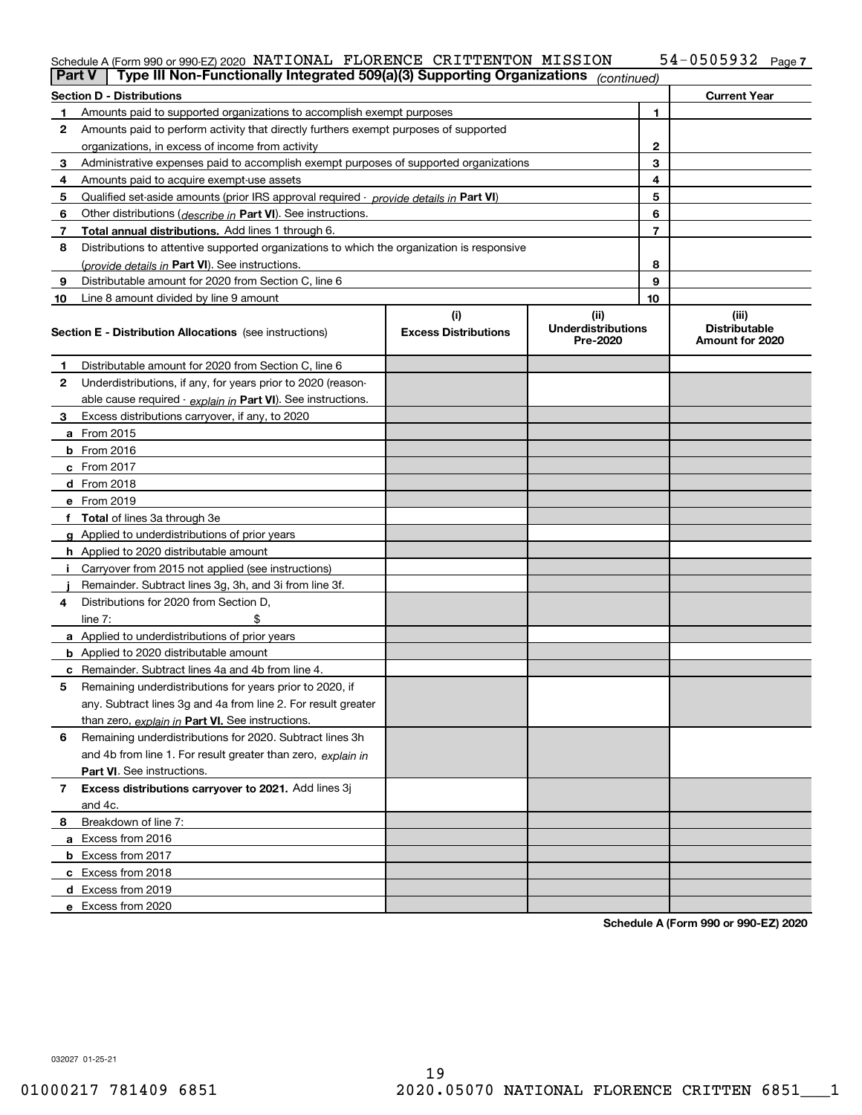#### Schedule A (Form 990 or 990-EZ) 2020 NATIONAL FLORENCE CRITTENTON MISSION 54-U5U5932 Page NATIONAL FLORENCE CRITTENTON MISSION 54-0505932

| Part V | Type III Non-Functionally Integrated 509(a)(3) Supporting Organizations (continued)        |                             |                                       |                |                                         |
|--------|--------------------------------------------------------------------------------------------|-----------------------------|---------------------------------------|----------------|-----------------------------------------|
|        | <b>Section D - Distributions</b>                                                           |                             |                                       |                | <b>Current Year</b>                     |
| 1.     | Amounts paid to supported organizations to accomplish exempt purposes                      |                             | 1                                     |                |                                         |
| 2      | Amounts paid to perform activity that directly furthers exempt purposes of supported       |                             |                                       |                |                                         |
|        | organizations, in excess of income from activity                                           |                             | 2                                     |                |                                         |
| 3      | Administrative expenses paid to accomplish exempt purposes of supported organizations      |                             | 3                                     |                |                                         |
| 4      | Amounts paid to acquire exempt-use assets                                                  |                             | 4                                     |                |                                         |
| 5      | Qualified set-aside amounts (prior IRS approval required - provide details in Part VI)     |                             |                                       | 5              |                                         |
| 6      | Other distributions ( <i>describe in</i> Part VI). See instructions.                       |                             |                                       | 6              |                                         |
| 7      | Total annual distributions. Add lines 1 through 6.                                         |                             |                                       | $\overline{7}$ |                                         |
| 8      | Distributions to attentive supported organizations to which the organization is responsive |                             |                                       |                |                                         |
|        | (provide details in Part VI). See instructions.                                            |                             |                                       | 8              |                                         |
| 9      | Distributable amount for 2020 from Section C, line 6                                       |                             |                                       | 9              |                                         |
| 10     | Line 8 amount divided by line 9 amount                                                     |                             |                                       | 10             |                                         |
|        |                                                                                            | (i)                         | (ii)                                  |                | (iii)                                   |
|        | <b>Section E - Distribution Allocations</b> (see instructions)                             | <b>Excess Distributions</b> | <b>Underdistributions</b><br>Pre-2020 |                | <b>Distributable</b><br>Amount for 2020 |
| 1      | Distributable amount for 2020 from Section C, line 6                                       |                             |                                       |                |                                         |
| 2      | Underdistributions, if any, for years prior to 2020 (reason-                               |                             |                                       |                |                                         |
|        | able cause required - explain in Part VI). See instructions.                               |                             |                                       |                |                                         |
| 3      | Excess distributions carryover, if any, to 2020                                            |                             |                                       |                |                                         |
|        | a From 2015                                                                                |                             |                                       |                |                                         |
|        | <b>b</b> From 2016                                                                         |                             |                                       |                |                                         |
|        | $c$ From 2017                                                                              |                             |                                       |                |                                         |
|        | d From 2018                                                                                |                             |                                       |                |                                         |
|        | e From 2019                                                                                |                             |                                       |                |                                         |
|        | f Total of lines 3a through 3e                                                             |                             |                                       |                |                                         |
|        | g Applied to underdistributions of prior years                                             |                             |                                       |                |                                         |
|        | <b>h</b> Applied to 2020 distributable amount                                              |                             |                                       |                |                                         |
|        | Carryover from 2015 not applied (see instructions)                                         |                             |                                       |                |                                         |
|        | Remainder. Subtract lines 3g, 3h, and 3i from line 3f.                                     |                             |                                       |                |                                         |
| 4      | Distributions for 2020 from Section D,                                                     |                             |                                       |                |                                         |
|        | line $7:$                                                                                  |                             |                                       |                |                                         |
|        | a Applied to underdistributions of prior years                                             |                             |                                       |                |                                         |
|        | <b>b</b> Applied to 2020 distributable amount                                              |                             |                                       |                |                                         |
|        | c Remainder. Subtract lines 4a and 4b from line 4.                                         |                             |                                       |                |                                         |
| 5      | Remaining underdistributions for years prior to 2020, if                                   |                             |                                       |                |                                         |
|        | any. Subtract lines 3g and 4a from line 2. For result greater                              |                             |                                       |                |                                         |
|        | than zero, explain in Part VI. See instructions.                                           |                             |                                       |                |                                         |
| 6      | Remaining underdistributions for 2020. Subtract lines 3h                                   |                             |                                       |                |                                         |
|        | and 4b from line 1. For result greater than zero, explain in                               |                             |                                       |                |                                         |
|        | Part VI. See instructions.                                                                 |                             |                                       |                |                                         |
| 7      | Excess distributions carryover to 2021. Add lines 3j                                       |                             |                                       |                |                                         |
|        | and 4c.                                                                                    |                             |                                       |                |                                         |
| 8      | Breakdown of line 7:                                                                       |                             |                                       |                |                                         |
|        | a Excess from 2016                                                                         |                             |                                       |                |                                         |
|        |                                                                                            |                             |                                       |                |                                         |
|        | <b>b</b> Excess from 2017                                                                  |                             |                                       |                |                                         |
|        | c Excess from 2018                                                                         |                             |                                       |                |                                         |
|        | d Excess from 2019<br>e Excess from 2020                                                   |                             |                                       |                |                                         |
|        |                                                                                            |                             |                                       |                |                                         |

**Schedule A (Form 990 or 990-EZ) 2020**

032027 01-25-21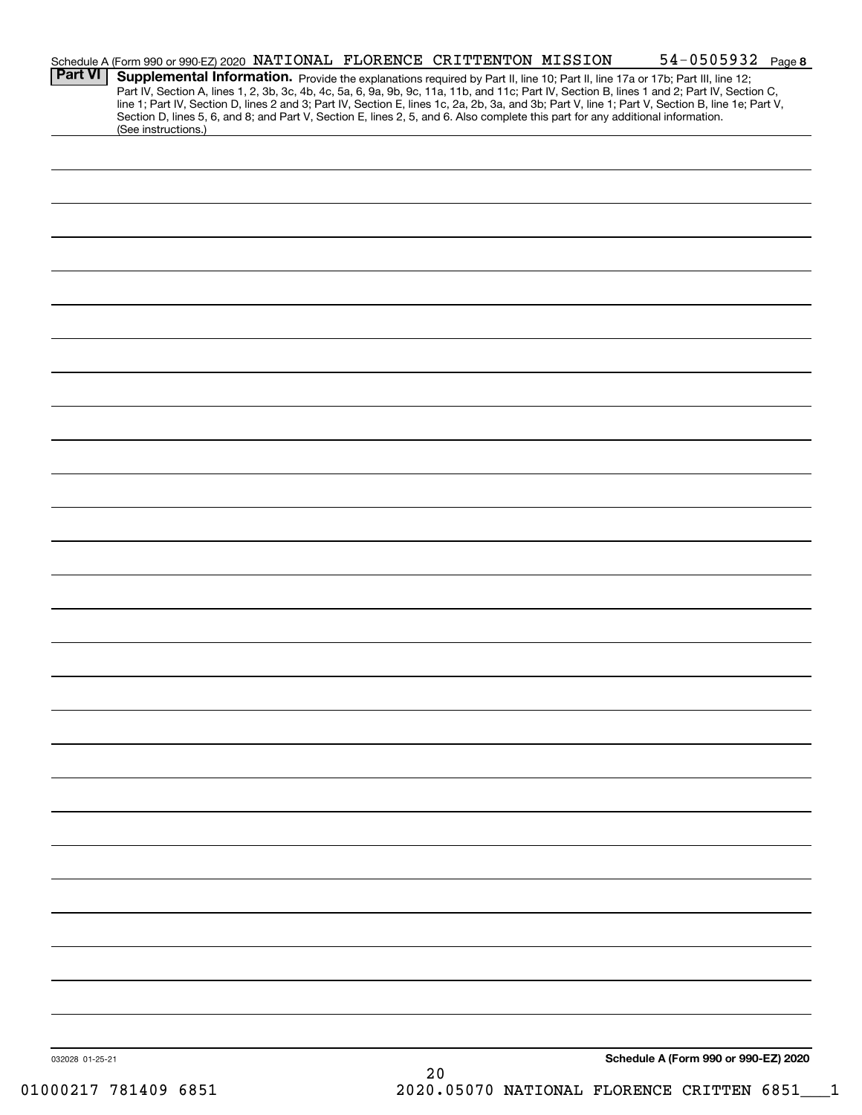| <b>Part VI</b>  |                     |  | Schedule A (Form 990 or 990-EZ) 2020 NATIONAL FLORENCE CRITTENTON MISSION<br>Section D, lines 5, 6, and 8; and Part V, Section E, lines 2, 5, and 6. Also complete this part for any additional information. | 54-0505932 Page 8<br>Supplemental Information. Provide the explanations required by Part II, line 10; Part II, line 17a or 17b; Part III, line 12;<br>Part IV, Section A, lines 1, 2, 3b, 3c, 4b, 4c, 5a, 6, 9a, 9b, 9c, 11a, 11b, and 11c; Part IV, Section B, lines 1 and 2; Part IV, Section C,<br>line 1; Part IV, Section D, lines 2 and 3; Part IV, Section E, lines 1c, 2a, 2b, 3a, and 3b; Part V, line 1; Part V, Section B, line 1e; Part V, |  |
|-----------------|---------------------|--|--------------------------------------------------------------------------------------------------------------------------------------------------------------------------------------------------------------|--------------------------------------------------------------------------------------------------------------------------------------------------------------------------------------------------------------------------------------------------------------------------------------------------------------------------------------------------------------------------------------------------------------------------------------------------------|--|
|                 | (See instructions.) |  |                                                                                                                                                                                                              |                                                                                                                                                                                                                                                                                                                                                                                                                                                        |  |
|                 |                     |  |                                                                                                                                                                                                              |                                                                                                                                                                                                                                                                                                                                                                                                                                                        |  |
|                 |                     |  |                                                                                                                                                                                                              |                                                                                                                                                                                                                                                                                                                                                                                                                                                        |  |
|                 |                     |  |                                                                                                                                                                                                              |                                                                                                                                                                                                                                                                                                                                                                                                                                                        |  |
|                 |                     |  |                                                                                                                                                                                                              |                                                                                                                                                                                                                                                                                                                                                                                                                                                        |  |
|                 |                     |  |                                                                                                                                                                                                              |                                                                                                                                                                                                                                                                                                                                                                                                                                                        |  |
|                 |                     |  |                                                                                                                                                                                                              |                                                                                                                                                                                                                                                                                                                                                                                                                                                        |  |
|                 |                     |  |                                                                                                                                                                                                              |                                                                                                                                                                                                                                                                                                                                                                                                                                                        |  |
|                 |                     |  |                                                                                                                                                                                                              |                                                                                                                                                                                                                                                                                                                                                                                                                                                        |  |
|                 |                     |  |                                                                                                                                                                                                              |                                                                                                                                                                                                                                                                                                                                                                                                                                                        |  |
|                 |                     |  |                                                                                                                                                                                                              |                                                                                                                                                                                                                                                                                                                                                                                                                                                        |  |
|                 |                     |  |                                                                                                                                                                                                              |                                                                                                                                                                                                                                                                                                                                                                                                                                                        |  |
|                 |                     |  |                                                                                                                                                                                                              |                                                                                                                                                                                                                                                                                                                                                                                                                                                        |  |
|                 |                     |  |                                                                                                                                                                                                              |                                                                                                                                                                                                                                                                                                                                                                                                                                                        |  |
|                 |                     |  |                                                                                                                                                                                                              |                                                                                                                                                                                                                                                                                                                                                                                                                                                        |  |
|                 |                     |  |                                                                                                                                                                                                              |                                                                                                                                                                                                                                                                                                                                                                                                                                                        |  |
|                 |                     |  |                                                                                                                                                                                                              |                                                                                                                                                                                                                                                                                                                                                                                                                                                        |  |
|                 |                     |  |                                                                                                                                                                                                              |                                                                                                                                                                                                                                                                                                                                                                                                                                                        |  |
|                 |                     |  |                                                                                                                                                                                                              |                                                                                                                                                                                                                                                                                                                                                                                                                                                        |  |
|                 |                     |  |                                                                                                                                                                                                              |                                                                                                                                                                                                                                                                                                                                                                                                                                                        |  |
|                 |                     |  |                                                                                                                                                                                                              |                                                                                                                                                                                                                                                                                                                                                                                                                                                        |  |
|                 |                     |  |                                                                                                                                                                                                              |                                                                                                                                                                                                                                                                                                                                                                                                                                                        |  |
|                 |                     |  |                                                                                                                                                                                                              |                                                                                                                                                                                                                                                                                                                                                                                                                                                        |  |
|                 |                     |  |                                                                                                                                                                                                              |                                                                                                                                                                                                                                                                                                                                                                                                                                                        |  |
|                 |                     |  |                                                                                                                                                                                                              |                                                                                                                                                                                                                                                                                                                                                                                                                                                        |  |
|                 |                     |  |                                                                                                                                                                                                              |                                                                                                                                                                                                                                                                                                                                                                                                                                                        |  |
| 032028 01-25-21 |                     |  | 20                                                                                                                                                                                                           | Schedule A (Form 990 or 990-EZ) 2020                                                                                                                                                                                                                                                                                                                                                                                                                   |  |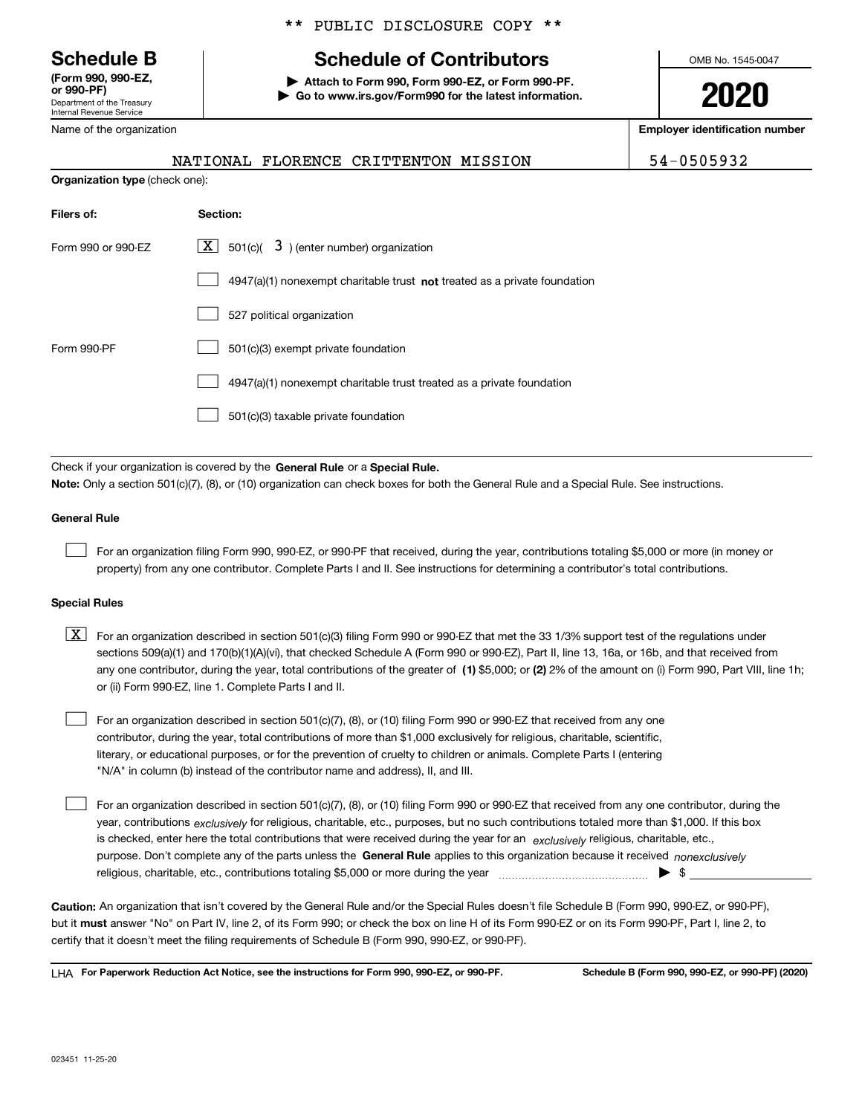Department of the Treasury Internal Revenue Service **(Form 990, 990-EZ, or 990-PF)**

Name of the organization

**Organization type** (check one):

## \*\* PUBLIC DISCLOSURE COPY \*\*

## **Schedule B Schedule of Contributors**

**| Attach to Form 990, Form 990-EZ, or Form 990-PF. | Go to www.irs.gov/Form990 for the latest information.** OMB No. 1545-0047

**2020**

**Employer identification number**

|  | NATIONAL FLORENCE CRITTE |  |
|--|--------------------------|--|
|  |                          |  |

 $ENTON$  MISSION  $\vert$  54-0505932

| Filers of:         | Section:                                                                           |  |  |  |
|--------------------|------------------------------------------------------------------------------------|--|--|--|
| Form 990 or 990-EZ | $\lfloor x \rfloor$ 501(c)( 3) (enter number) organization                         |  |  |  |
|                    | $4947(a)(1)$ nonexempt charitable trust <b>not</b> treated as a private foundation |  |  |  |
|                    | 527 political organization                                                         |  |  |  |
| Form 990-PF        | 501(c)(3) exempt private foundation                                                |  |  |  |
|                    | 4947(a)(1) nonexempt charitable trust treated as a private foundation              |  |  |  |
|                    | 501(c)(3) taxable private foundation                                               |  |  |  |

Check if your organization is covered by the **General Rule** or a **Special Rule. Note:**  Only a section 501(c)(7), (8), or (10) organization can check boxes for both the General Rule and a Special Rule. See instructions.

#### **General Rule**

 $\mathcal{L}^{\text{max}}$ 

For an organization filing Form 990, 990-EZ, or 990-PF that received, during the year, contributions totaling \$5,000 or more (in money or property) from any one contributor. Complete Parts I and II. See instructions for determining a contributor's total contributions.

#### **Special Rules**

any one contributor, during the year, total contributions of the greater of  $\,$  (1) \$5,000; or **(2)** 2% of the amount on (i) Form 990, Part VIII, line 1h;  $\boxed{\textbf{X}}$  For an organization described in section 501(c)(3) filing Form 990 or 990-EZ that met the 33 1/3% support test of the regulations under sections 509(a)(1) and 170(b)(1)(A)(vi), that checked Schedule A (Form 990 or 990-EZ), Part II, line 13, 16a, or 16b, and that received from or (ii) Form 990-EZ, line 1. Complete Parts I and II.

For an organization described in section 501(c)(7), (8), or (10) filing Form 990 or 990-EZ that received from any one contributor, during the year, total contributions of more than \$1,000 exclusively for religious, charitable, scientific, literary, or educational purposes, or for the prevention of cruelty to children or animals. Complete Parts I (entering "N/A" in column (b) instead of the contributor name and address), II, and III.  $\mathcal{L}^{\text{max}}$ 

purpose. Don't complete any of the parts unless the **General Rule** applies to this organization because it received *nonexclusively* year, contributions <sub>exclusively</sub> for religious, charitable, etc., purposes, but no such contributions totaled more than \$1,000. If this box is checked, enter here the total contributions that were received during the year for an  $\;$ exclusively religious, charitable, etc., For an organization described in section 501(c)(7), (8), or (10) filing Form 990 or 990-EZ that received from any one contributor, during the religious, charitable, etc., contributions totaling \$5,000 or more during the year  $\Box$ — $\Box$   $\Box$  $\mathcal{L}^{\text{max}}$ 

**Caution:**  An organization that isn't covered by the General Rule and/or the Special Rules doesn't file Schedule B (Form 990, 990-EZ, or 990-PF),  **must** but it answer "No" on Part IV, line 2, of its Form 990; or check the box on line H of its Form 990-EZ or on its Form 990-PF, Part I, line 2, to certify that it doesn't meet the filing requirements of Schedule B (Form 990, 990-EZ, or 990-PF).

**For Paperwork Reduction Act Notice, see the instructions for Form 990, 990-EZ, or 990-PF. Schedule B (Form 990, 990-EZ, or 990-PF) (2020)** LHA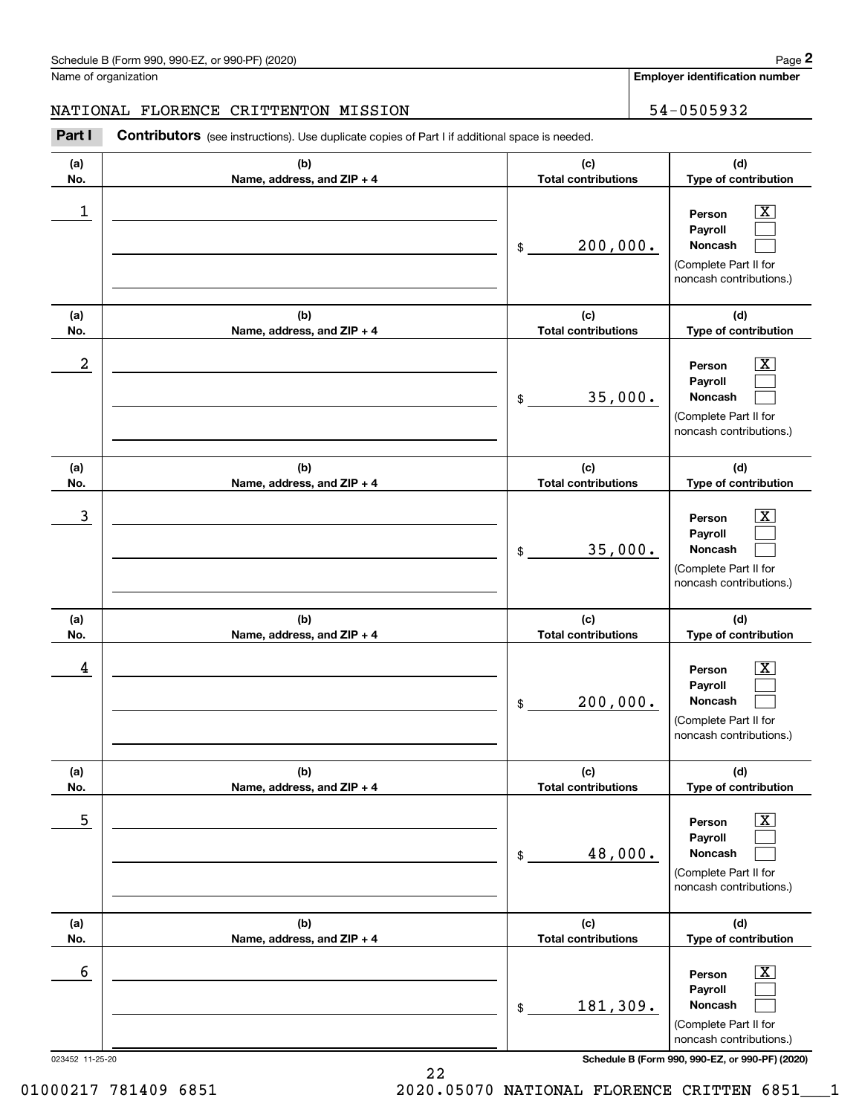**Employer identification number**

#### NATIONAL FLORENCE CRITTENTON MISSION 54-0505932

Chedule B (Form 990, 990-EZ, or 990-PF) (2020)<br>
lame of organization<br> **29. IATIONAL FLORENCE CRITTENTON MISSION**<br> **24-0505932**<br> **29. Part I Contributors** (see instructions). Use duplicate copies of Part I if additional s

| (a) | (b)                        | (c)                        | (d)                                                                                                       |
|-----|----------------------------|----------------------------|-----------------------------------------------------------------------------------------------------------|
| No. | Name, address, and ZIP + 4 | <b>Total contributions</b> | Type of contribution                                                                                      |
| 1   |                            | 200,000.<br>$$\circ$$      | $\overline{\text{X}}$<br>Person<br>Payroll<br>Noncash<br>(Complete Part II for<br>noncash contributions.) |
| (a) | (b)                        | (c)                        | (d)                                                                                                       |
| No. | Name, address, and ZIP + 4 | <b>Total contributions</b> | Type of contribution                                                                                      |
| 2   |                            | 35,000.<br>\$              | $\overline{\text{X}}$<br>Person<br>Payroll<br>Noncash<br>(Complete Part II for<br>noncash contributions.) |
| (a) | (b)                        | (c)                        | (d)                                                                                                       |
| No. | Name, address, and ZIP + 4 | <b>Total contributions</b> | Type of contribution                                                                                      |
| 3   |                            | 35,000.<br>$$\circ$$       | $\overline{\text{X}}$<br>Person<br>Payroll<br>Noncash<br>(Complete Part II for<br>noncash contributions.) |
| (a) | (b)                        | (c)                        | (d)                                                                                                       |
| No. | Name, address, and ZIP + 4 | <b>Total contributions</b> | Type of contribution                                                                                      |
| 4   |                            | 200,000.<br>\$             | $\overline{\text{X}}$<br>Person<br>Payroll<br>Noncash<br>(Complete Part II for<br>noncash contributions.) |
| (a) | (b)                        | (c)                        | (d)                                                                                                       |
| No. | Name, address, and ZIP + 4 | <b>Total contributions</b> | Type of contribution                                                                                      |
| 5   |                            | 48,000.<br>\$              | $\boxed{\text{X}}$<br>Person<br>Payroll<br>Noncash<br>(Complete Part II for<br>noncash contributions.)    |
| (a) | (b)                        | (c)                        | (d)                                                                                                       |
| No. | Name, address, and ZIP + 4 | <b>Total contributions</b> | Type of contribution                                                                                      |
| 6   |                            | 181,309.<br>$\frac{1}{2}$  | $\boxed{\text{X}}$<br>Person<br>Payroll<br>Noncash<br>(Complete Part II for<br>noncash contributions.)    |

22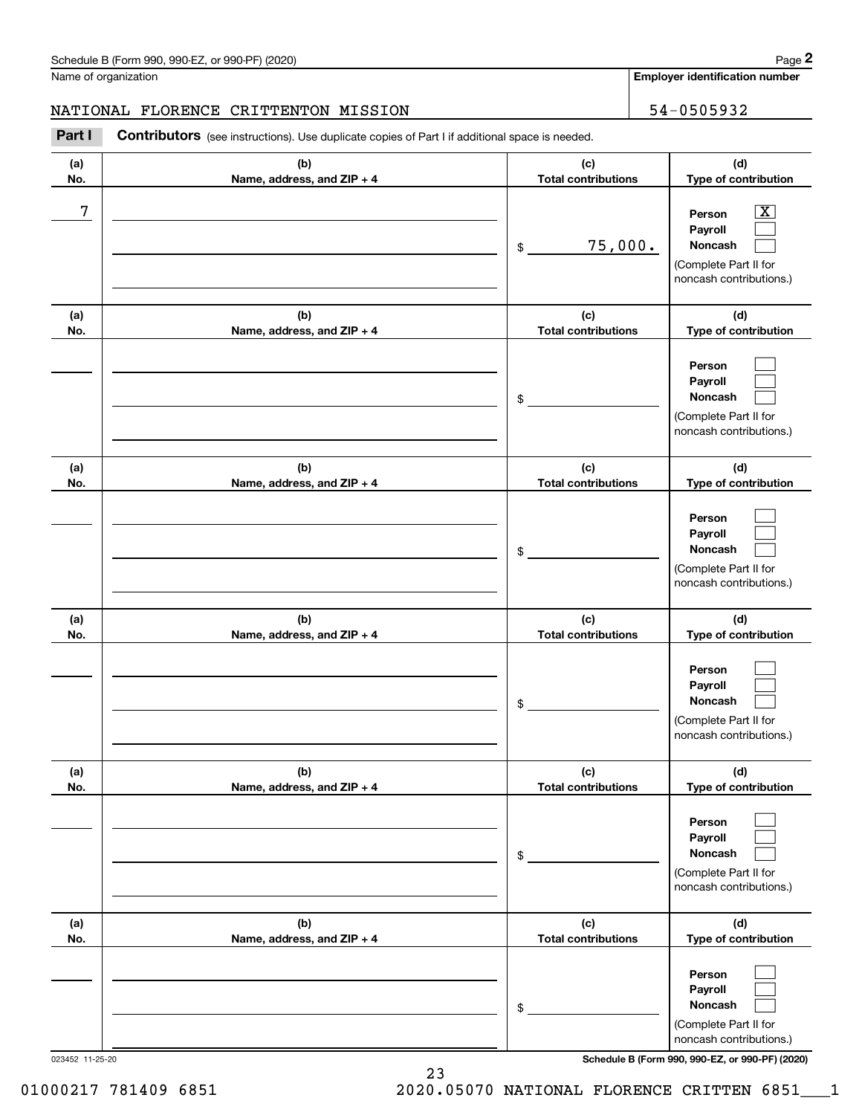**Employer identification number**

### NATIONAL FLORENCE CRITTENTON MISSION 54-0505932

Chedule B (Form 990, 990-EZ, or 990-PF) (2020)<br>
lame of organization<br> **29. IATIONAL FLORENCE CRITTENTON MISSION**<br> **Part I Contributors** (see instructions). Use duplicate copies of Part I if additional space is needed.

| (a)<br>No. | (b)<br>Name, address, and ZIP + 4 | (c)<br><b>Total contributions</b> | (d)<br>Type of contribution                                                             |
|------------|-----------------------------------|-----------------------------------|-----------------------------------------------------------------------------------------|
| 7          |                                   | 75,000.<br>\$                     | x<br>Person<br>Payroll<br>Noncash<br>(Complete Part II for<br>noncash contributions.)   |
| (a)<br>No. | (b)<br>Name, address, and ZIP + 4 | (c)<br><b>Total contributions</b> | (d)<br>Type of contribution                                                             |
|            |                                   | \$                                | Person<br>Payroll<br>Noncash<br>(Complete Part II for<br>noncash contributions.)        |
| (a)<br>No. | (b)<br>Name, address, and ZIP + 4 | (c)<br><b>Total contributions</b> | (d)<br>Type of contribution                                                             |
|            |                                   | \$                                | Person<br>Payroll<br><b>Noncash</b><br>(Complete Part II for<br>noncash contributions.) |
| (a)<br>No. | (b)<br>Name, address, and ZIP + 4 | (c)<br><b>Total contributions</b> | (d)<br>Type of contribution                                                             |
|            |                                   | \$                                | Person<br>Payroll<br><b>Noncash</b><br>(Complete Part II for<br>noncash contributions.) |
| (a)<br>No. | (b)<br>Name, address, and ZIP + 4 | (c)<br><b>Total contributions</b> | (d)<br>Type of contribution                                                             |
|            |                                   | \$                                | Person<br>Payroll<br>Noncash<br>(Complete Part II for<br>noncash contributions.)        |
| (a)<br>No. | (b)<br>Name, address, and ZIP + 4 | (c)<br><b>Total contributions</b> | (d)<br>Type of contribution                                                             |
|            |                                   | \$                                | Person<br>Payroll<br>Noncash<br>(Complete Part II for<br>noncash contributions.)        |

023452 11-25-20 **Schedule B (Form 990, 990-EZ, or 990-PF) (2020)**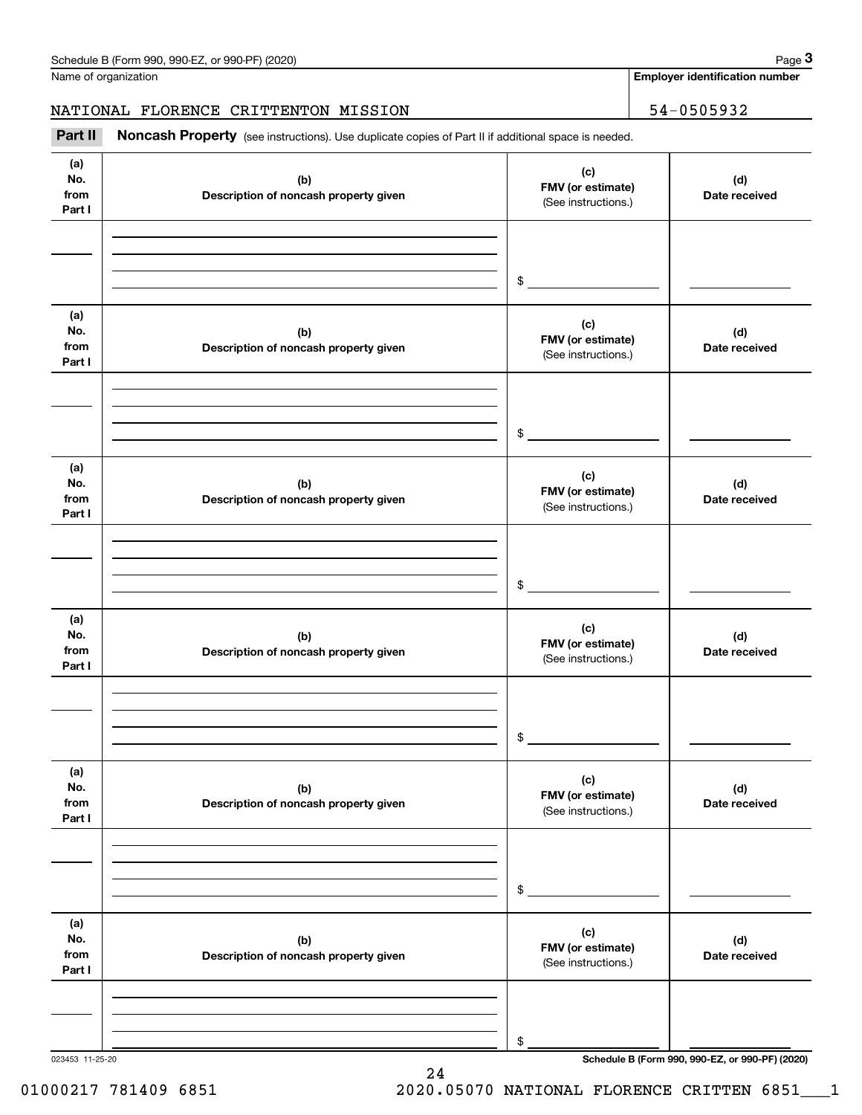**Employer identification number**

#### NATIONAL FLORENCE CRITTENTON MISSION 54-0505932

(see instructions). Use duplicate copies of Part II if additional space is needed. **3Part II Noncash Property**

| (a)                          |                                              |                                                 |                                                 |
|------------------------------|----------------------------------------------|-------------------------------------------------|-------------------------------------------------|
| No.<br>from<br>Part I        | (b)<br>Description of noncash property given | (c)<br>FMV (or estimate)<br>(See instructions.) | (d)<br>Date received                            |
|                              |                                              | $\frac{1}{2}$                                   |                                                 |
| (a)<br>No.<br>from<br>Part I | (b)<br>Description of noncash property given | (c)<br>FMV (or estimate)<br>(See instructions.) | (d)<br>Date received                            |
|                              |                                              | $\frac{1}{2}$                                   |                                                 |
| (a)<br>No.<br>from<br>Part I | (b)<br>Description of noncash property given | (c)<br>FMV (or estimate)<br>(See instructions.) | (d)<br>Date received                            |
|                              |                                              | $\frac{1}{2}$                                   |                                                 |
| (a)<br>No.<br>from<br>Part I | (b)<br>Description of noncash property given | (c)<br>FMV (or estimate)<br>(See instructions.) | (d)<br>Date received                            |
|                              |                                              | $\sim$                                          |                                                 |
| (a)<br>No.<br>from<br>Part I | (b)<br>Description of noncash property given | (c)<br>FMV (or estimate)<br>(See instructions.) | (d)<br>Date received                            |
|                              |                                              | \$                                              |                                                 |
| (a)<br>No.<br>from<br>Part I | (b)<br>Description of noncash property given | (c)<br>FMV (or estimate)<br>(See instructions.) | (d)<br>Date received                            |
|                              |                                              | \$                                              | Schedule B (Form 990, 990-EZ, or 990-PF) (2020) |

24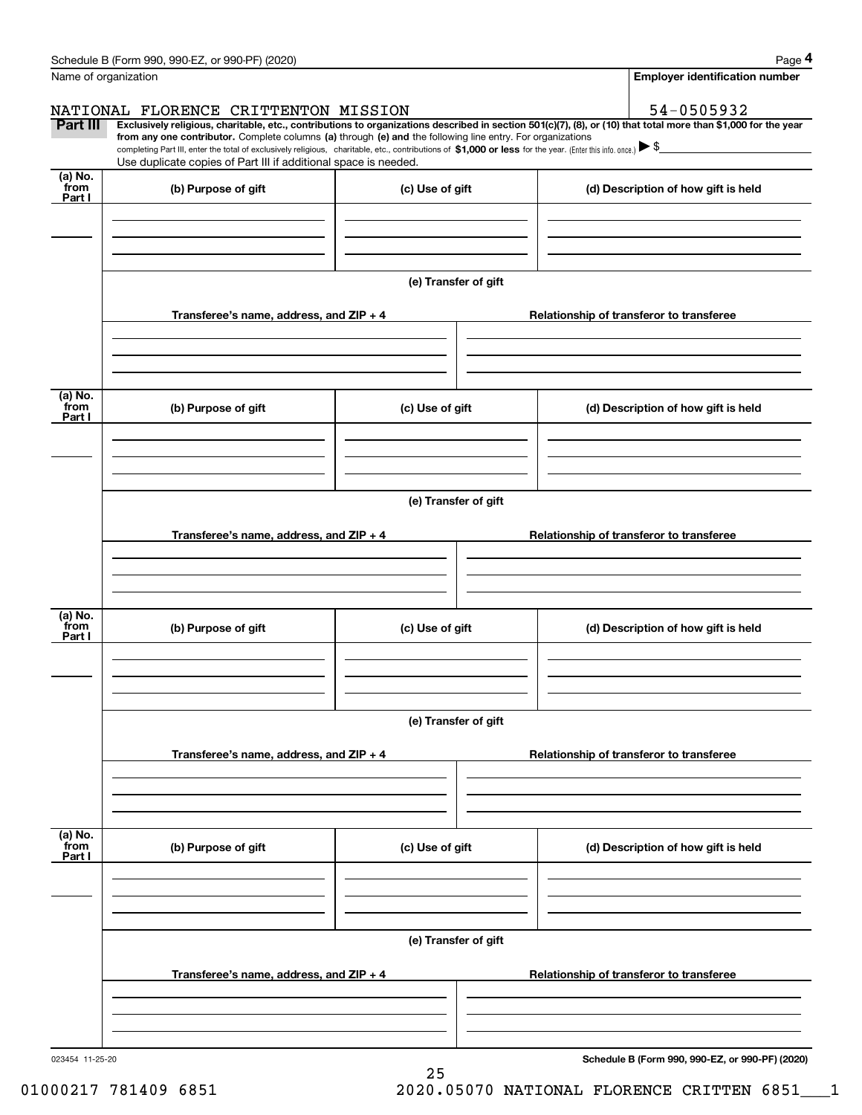|                           | Schedule B (Form 990, 990-EZ, or 990-PF) (2020)                                                                                                                                                                                                                              |                      |                                     |                                          | Page 4                                          |  |  |
|---------------------------|------------------------------------------------------------------------------------------------------------------------------------------------------------------------------------------------------------------------------------------------------------------------------|----------------------|-------------------------------------|------------------------------------------|-------------------------------------------------|--|--|
|                           | Name of organization                                                                                                                                                                                                                                                         |                      |                                     |                                          | <b>Employer identification number</b>           |  |  |
|                           | NATIONAL FLORENCE CRITTENTON MISSION                                                                                                                                                                                                                                         |                      |                                     |                                          | 54-0505932                                      |  |  |
| Part III                  | Exclusively religious, charitable, etc., contributions to organizations described in section 501(c)(7), (8), or (10) that total more than \$1,000 for the year<br>from any one contributor. Complete columns (a) through (e) and the following line entry. For organizations |                      |                                     |                                          |                                                 |  |  |
|                           | completing Part III, enter the total of exclusively religious, charitable, etc., contributions of \$1,000 or less for the year. (Enter this info. once.) $\blacktriangleright$ \$<br>Use duplicate copies of Part III if additional space is needed.                         |                      |                                     |                                          |                                                 |  |  |
| $(a)$ No.                 |                                                                                                                                                                                                                                                                              |                      |                                     |                                          |                                                 |  |  |
| from<br>Part I            | (b) Purpose of gift                                                                                                                                                                                                                                                          | (c) Use of gift      |                                     |                                          | (d) Description of how gift is held             |  |  |
|                           |                                                                                                                                                                                                                                                                              |                      |                                     |                                          |                                                 |  |  |
|                           |                                                                                                                                                                                                                                                                              |                      |                                     |                                          |                                                 |  |  |
|                           |                                                                                                                                                                                                                                                                              |                      |                                     |                                          |                                                 |  |  |
|                           |                                                                                                                                                                                                                                                                              | (e) Transfer of gift |                                     |                                          |                                                 |  |  |
|                           | Transferee's name, address, and ZIP + 4                                                                                                                                                                                                                                      |                      |                                     |                                          | Relationship of transferor to transferee        |  |  |
|                           |                                                                                                                                                                                                                                                                              |                      |                                     |                                          |                                                 |  |  |
|                           |                                                                                                                                                                                                                                                                              |                      |                                     |                                          |                                                 |  |  |
|                           |                                                                                                                                                                                                                                                                              |                      |                                     |                                          |                                                 |  |  |
| (a) No.<br>from           |                                                                                                                                                                                                                                                                              |                      |                                     |                                          |                                                 |  |  |
| Part I                    | (b) Purpose of gift                                                                                                                                                                                                                                                          | (c) Use of gift      |                                     |                                          | (d) Description of how gift is held             |  |  |
|                           |                                                                                                                                                                                                                                                                              |                      |                                     |                                          |                                                 |  |  |
|                           |                                                                                                                                                                                                                                                                              |                      |                                     |                                          |                                                 |  |  |
|                           |                                                                                                                                                                                                                                                                              |                      |                                     |                                          |                                                 |  |  |
|                           | (e) Transfer of gift                                                                                                                                                                                                                                                         |                      |                                     |                                          |                                                 |  |  |
|                           | Transferee's name, address, and ZIP + 4                                                                                                                                                                                                                                      |                      |                                     | Relationship of transferor to transferee |                                                 |  |  |
|                           |                                                                                                                                                                                                                                                                              |                      |                                     |                                          |                                                 |  |  |
|                           |                                                                                                                                                                                                                                                                              |                      |                                     |                                          |                                                 |  |  |
|                           |                                                                                                                                                                                                                                                                              |                      |                                     |                                          |                                                 |  |  |
| (a) No.<br>from           | (b) Purpose of gift                                                                                                                                                                                                                                                          | (c) Use of gift      | (d) Description of how gift is held |                                          |                                                 |  |  |
| Part I                    |                                                                                                                                                                                                                                                                              |                      |                                     |                                          |                                                 |  |  |
|                           |                                                                                                                                                                                                                                                                              |                      |                                     |                                          |                                                 |  |  |
|                           |                                                                                                                                                                                                                                                                              |                      |                                     |                                          |                                                 |  |  |
|                           |                                                                                                                                                                                                                                                                              | (e) Transfer of gift |                                     |                                          |                                                 |  |  |
|                           |                                                                                                                                                                                                                                                                              |                      |                                     |                                          |                                                 |  |  |
|                           | Transferee's name, address, and $ZIP + 4$                                                                                                                                                                                                                                    |                      |                                     |                                          | Relationship of transferor to transferee        |  |  |
|                           |                                                                                                                                                                                                                                                                              |                      |                                     |                                          |                                                 |  |  |
|                           |                                                                                                                                                                                                                                                                              |                      |                                     |                                          |                                                 |  |  |
|                           |                                                                                                                                                                                                                                                                              |                      |                                     |                                          |                                                 |  |  |
| (a) No.<br>from<br>Part I | (b) Purpose of gift                                                                                                                                                                                                                                                          | (c) Use of gift      |                                     |                                          | (d) Description of how gift is held             |  |  |
|                           |                                                                                                                                                                                                                                                                              |                      |                                     |                                          |                                                 |  |  |
|                           |                                                                                                                                                                                                                                                                              |                      |                                     |                                          |                                                 |  |  |
|                           |                                                                                                                                                                                                                                                                              |                      |                                     |                                          |                                                 |  |  |
|                           | (e) Transfer of gift                                                                                                                                                                                                                                                         |                      |                                     |                                          |                                                 |  |  |
|                           |                                                                                                                                                                                                                                                                              |                      |                                     |                                          |                                                 |  |  |
|                           | Transferee's name, address, and $ZIP + 4$                                                                                                                                                                                                                                    |                      |                                     |                                          | Relationship of transferor to transferee        |  |  |
|                           |                                                                                                                                                                                                                                                                              |                      |                                     |                                          |                                                 |  |  |
|                           |                                                                                                                                                                                                                                                                              |                      |                                     |                                          |                                                 |  |  |
| 023454 11-25-20           |                                                                                                                                                                                                                                                                              |                      |                                     |                                          | Schedule B (Form 990, 990-EZ, or 990-PF) (2020) |  |  |

25

**Schedule B (Form 990, 990-EZ, or 990-PF) (2020)**

01000217 781409 6851 2020.05070 NATIONAL FLORENCE CRITTEN 6851 1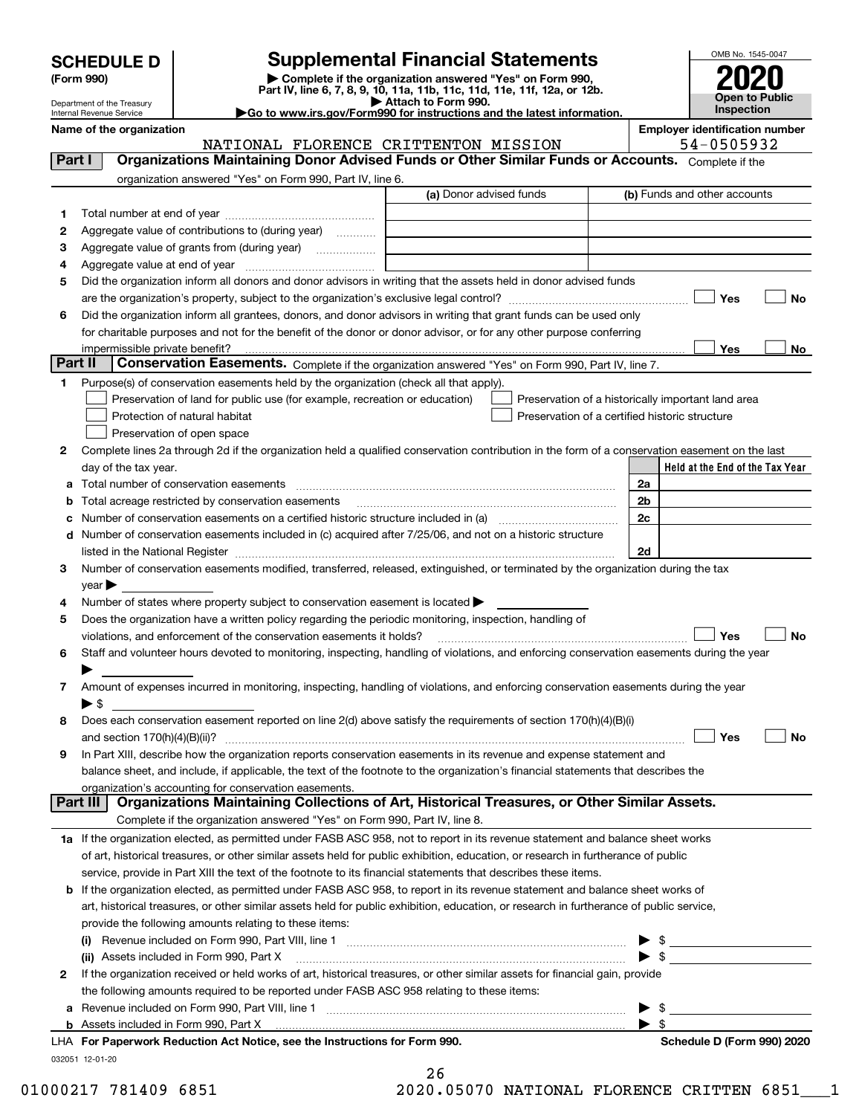| <b>SCHEDULE D</b> |  |
|-------------------|--|
|-------------------|--|

Department of the Treasury Internal Revenue Service

## **SCHEDULE D Supplemental Financial Statements**

(Form 990)<br>
Pepartment of the Treasury<br>
Department of the Treasury<br>
Department of the Treasury<br>
Department of the Treasury<br> **Co to www.irs.gov/Form990 for instructions and the latest information.**<br> **Co to www.irs.gov/Form9** 

|  |  |  | ►Go to www.irs.gov/Form990 for instructions and the latest informati |  |  |  |
|--|--|--|----------------------------------------------------------------------|--|--|--|
|  |  |  |                                                                      |  |  |  |



|         | Name of the organization<br>NATIONAL FLORENCE CRITTENTON MISSION                                                                                                                                                              |                         |                                                    |      | <b>Employer identification number</b><br>54-0505932 |           |
|---------|-------------------------------------------------------------------------------------------------------------------------------------------------------------------------------------------------------------------------------|-------------------------|----------------------------------------------------|------|-----------------------------------------------------|-----------|
| Part I  | Organizations Maintaining Donor Advised Funds or Other Similar Funds or Accounts. Complete if the                                                                                                                             |                         |                                                    |      |                                                     |           |
|         | organization answered "Yes" on Form 990, Part IV, line 6.                                                                                                                                                                     |                         |                                                    |      |                                                     |           |
|         |                                                                                                                                                                                                                               | (a) Donor advised funds |                                                    |      | (b) Funds and other accounts                        |           |
|         |                                                                                                                                                                                                                               |                         |                                                    |      |                                                     |           |
| 1.      | Aggregate value of contributions to (during year)                                                                                                                                                                             |                         |                                                    |      |                                                     |           |
| 2       | Aggregate value of grants from (during year)                                                                                                                                                                                  |                         |                                                    |      |                                                     |           |
| з       |                                                                                                                                                                                                                               |                         |                                                    |      |                                                     |           |
| 4       | Did the organization inform all donors and donor advisors in writing that the assets held in donor advised funds                                                                                                              |                         |                                                    |      |                                                     |           |
| 5       |                                                                                                                                                                                                                               |                         |                                                    |      | Yes                                                 | <b>No</b> |
| 6       | Did the organization inform all grantees, donors, and donor advisors in writing that grant funds can be used only                                                                                                             |                         |                                                    |      |                                                     |           |
|         | for charitable purposes and not for the benefit of the donor or donor advisor, or for any other purpose conferring                                                                                                            |                         |                                                    |      |                                                     |           |
|         | impermissible private benefit?                                                                                                                                                                                                |                         |                                                    |      | Yes                                                 | No        |
| Part II | Conservation Easements. Complete if the organization answered "Yes" on Form 990, Part IV, line 7.                                                                                                                             |                         |                                                    |      |                                                     |           |
| 1       | Purpose(s) of conservation easements held by the organization (check all that apply).                                                                                                                                         |                         |                                                    |      |                                                     |           |
|         | Preservation of land for public use (for example, recreation or education)                                                                                                                                                    |                         | Preservation of a historically important land area |      |                                                     |           |
|         | Protection of natural habitat                                                                                                                                                                                                 |                         | Preservation of a certified historic structure     |      |                                                     |           |
|         | Preservation of open space                                                                                                                                                                                                    |                         |                                                    |      |                                                     |           |
| 2       | Complete lines 2a through 2d if the organization held a qualified conservation contribution in the form of a conservation easement on the last                                                                                |                         |                                                    |      |                                                     |           |
|         | day of the tax year.                                                                                                                                                                                                          |                         |                                                    |      | Held at the End of the Tax Year                     |           |
| а       | Total number of conservation easements                                                                                                                                                                                        |                         |                                                    | 2a   |                                                     |           |
| b       | Total acreage restricted by conservation easements                                                                                                                                                                            |                         |                                                    | 2b   |                                                     |           |
| с       |                                                                                                                                                                                                                               |                         |                                                    | 2c   |                                                     |           |
| d       | Number of conservation easements included in (c) acquired after 7/25/06, and not on a historic structure                                                                                                                      |                         |                                                    |      |                                                     |           |
|         | listed in the National Register [11, 1200] [12] The National Register [11, 1200] [12] The National Register [11, 1200] [12] The National Register [11, 1200] [12] The National Register [11, 1200] [12] The National Register |                         |                                                    | 2d   |                                                     |           |
| 3       | Number of conservation easements modified, transferred, released, extinguished, or terminated by the organization during the tax                                                                                              |                         |                                                    |      |                                                     |           |
|         | $year \rightarrow$                                                                                                                                                                                                            |                         |                                                    |      |                                                     |           |
| 4       | Number of states where property subject to conservation easement is located >                                                                                                                                                 |                         |                                                    |      |                                                     |           |
| 5       | Does the organization have a written policy regarding the periodic monitoring, inspection, handling of                                                                                                                        |                         |                                                    |      |                                                     |           |
|         | violations, and enforcement of the conservation easements it holds?                                                                                                                                                           |                         |                                                    |      | Yes                                                 | <b>No</b> |
| 6       | Staff and volunteer hours devoted to monitoring, inspecting, handling of violations, and enforcing conservation easements during the year                                                                                     |                         |                                                    |      |                                                     |           |
|         |                                                                                                                                                                                                                               |                         |                                                    |      |                                                     |           |
| 7       | Amount of expenses incurred in monitoring, inspecting, handling of violations, and enforcing conservation easements during the year                                                                                           |                         |                                                    |      |                                                     |           |
|         | $\blacktriangleright$ \$                                                                                                                                                                                                      |                         |                                                    |      |                                                     |           |
| 8       | Does each conservation easement reported on line 2(d) above satisfy the requirements of section 170(h)(4)(B)(i)                                                                                                               |                         |                                                    |      |                                                     |           |
|         |                                                                                                                                                                                                                               |                         |                                                    |      | Yes                                                 | No        |
|         | In Part XIII, describe how the organization reports conservation easements in its revenue and expense statement and                                                                                                           |                         |                                                    |      |                                                     |           |
|         | balance sheet, and include, if applicable, the text of the footnote to the organization's financial statements that describes the                                                                                             |                         |                                                    |      |                                                     |           |
|         | organization's accounting for conservation easements.                                                                                                                                                                         |                         |                                                    |      |                                                     |           |
|         | Organizations Maintaining Collections of Art, Historical Treasures, or Other Similar Assets.<br>Part III                                                                                                                      |                         |                                                    |      |                                                     |           |
|         | Complete if the organization answered "Yes" on Form 990, Part IV, line 8.                                                                                                                                                     |                         |                                                    |      |                                                     |           |
|         | 1a If the organization elected, as permitted under FASB ASC 958, not to report in its revenue statement and balance sheet works                                                                                               |                         |                                                    |      |                                                     |           |
|         | of art, historical treasures, or other similar assets held for public exhibition, education, or research in furtherance of public                                                                                             |                         |                                                    |      |                                                     |           |
|         | service, provide in Part XIII the text of the footnote to its financial statements that describes these items.                                                                                                                |                         |                                                    |      |                                                     |           |
| b       | If the organization elected, as permitted under FASB ASC 958, to report in its revenue statement and balance sheet works of                                                                                                   |                         |                                                    |      |                                                     |           |
|         | art, historical treasures, or other similar assets held for public exhibition, education, or research in furtherance of public service,                                                                                       |                         |                                                    |      |                                                     |           |
|         | provide the following amounts relating to these items:                                                                                                                                                                        |                         |                                                    |      |                                                     |           |
|         | (i)                                                                                                                                                                                                                           |                         |                                                    |      | $\frac{1}{2}$                                       |           |
|         | (ii) Assets included in Form 990, Part X                                                                                                                                                                                      |                         |                                                    |      | $\blacktriangleright$ \$                            |           |
| 2       | If the organization received or held works of art, historical treasures, or other similar assets for financial gain, provide                                                                                                  |                         |                                                    |      |                                                     |           |
|         | the following amounts required to be reported under FASB ASC 958 relating to these items:                                                                                                                                     |                         |                                                    |      |                                                     |           |
| а       |                                                                                                                                                                                                                               |                         |                                                    | \$   |                                                     |           |
|         | <b>b</b> Assets included in Form 990, Part X                                                                                                                                                                                  |                         |                                                    | - \$ |                                                     |           |
|         | LHA For Paperwork Reduction Act Notice, see the Instructions for Form 990.                                                                                                                                                    |                         |                                                    |      | Schedule D (Form 990) 2020                          |           |
|         | 032051 12-01-20                                                                                                                                                                                                               |                         |                                                    |      |                                                     |           |

| 26 |                                         |  |
|----|-----------------------------------------|--|
|    | $A$ $A$ $E$ $A$ $B$ $A$ $A$ $T$ $A$ $B$ |  |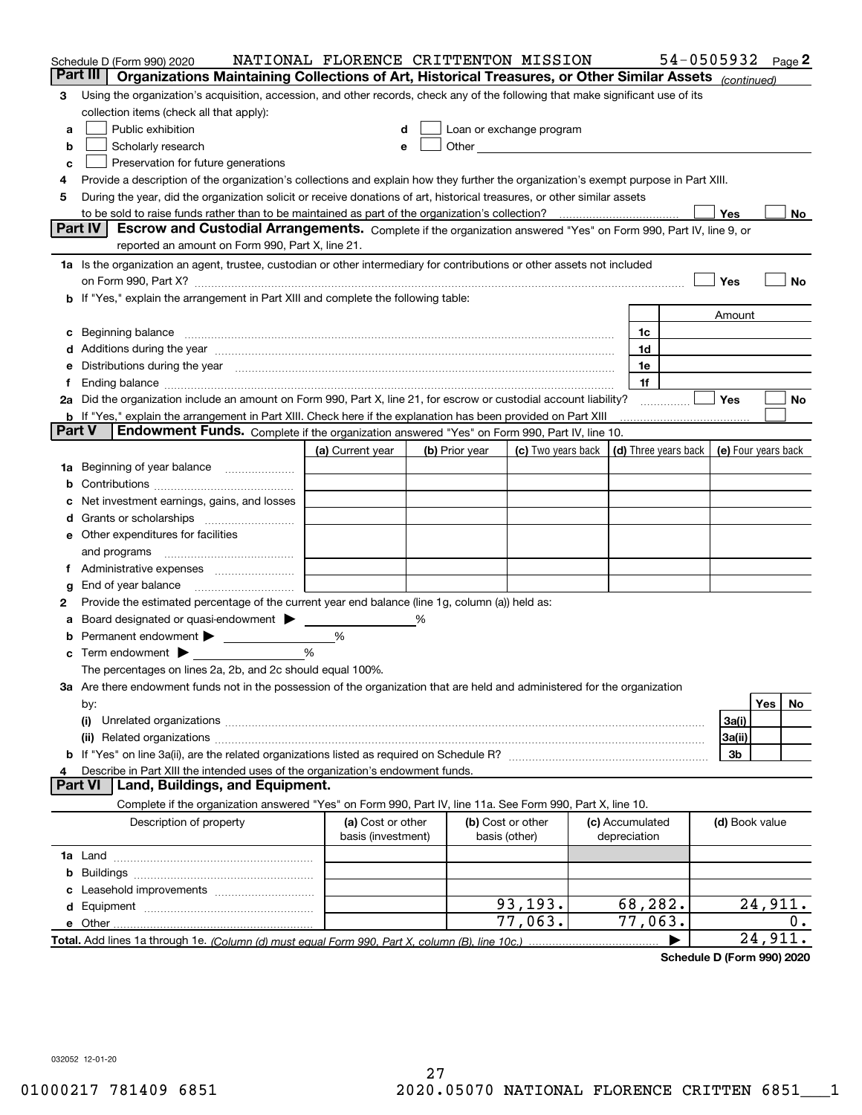|        | Schedule D (Form 990) 2020                                                                                                                                                                                                                                                                                                                         | NATIONAL FLORENCE CRITTENTON MISSION    |   |                                                                                                                                                                                                                               |                    |                                 | 54-0505932 $_{Page}$ 2                     |                |         |       |
|--------|----------------------------------------------------------------------------------------------------------------------------------------------------------------------------------------------------------------------------------------------------------------------------------------------------------------------------------------------------|-----------------------------------------|---|-------------------------------------------------------------------------------------------------------------------------------------------------------------------------------------------------------------------------------|--------------------|---------------------------------|--------------------------------------------|----------------|---------|-------|
|        | Part III<br>Organizations Maintaining Collections of Art, Historical Treasures, or Other Similar Assets (continued)                                                                                                                                                                                                                                |                                         |   |                                                                                                                                                                                                                               |                    |                                 |                                            |                |         |       |
| з      | Using the organization's acquisition, accession, and other records, check any of the following that make significant use of its                                                                                                                                                                                                                    |                                         |   |                                                                                                                                                                                                                               |                    |                                 |                                            |                |         |       |
|        | collection items (check all that apply):                                                                                                                                                                                                                                                                                                           |                                         |   |                                                                                                                                                                                                                               |                    |                                 |                                            |                |         |       |
| a      | Public exhibition                                                                                                                                                                                                                                                                                                                                  |                                         |   | Loan or exchange program                                                                                                                                                                                                      |                    |                                 |                                            |                |         |       |
| b      | Scholarly research                                                                                                                                                                                                                                                                                                                                 |                                         |   | Other and the contract of the contract of the contract of the contract of the contract of the contract of the contract of the contract of the contract of the contract of the contract of the contract of the contract of the |                    |                                 |                                            |                |         |       |
| с      | Preservation for future generations                                                                                                                                                                                                                                                                                                                |                                         |   |                                                                                                                                                                                                                               |                    |                                 |                                            |                |         |       |
| 4      | Provide a description of the organization's collections and explain how they further the organization's exempt purpose in Part XIII.                                                                                                                                                                                                               |                                         |   |                                                                                                                                                                                                                               |                    |                                 |                                            |                |         |       |
| 5      | During the year, did the organization solicit or receive donations of art, historical treasures, or other similar assets                                                                                                                                                                                                                           |                                         |   |                                                                                                                                                                                                                               |                    |                                 |                                            |                |         |       |
|        | to be sold to raise funds rather than to be maintained as part of the organization's collection?                                                                                                                                                                                                                                                   |                                         |   |                                                                                                                                                                                                                               |                    |                                 |                                            | Yes            |         | No    |
|        | <b>Part IV</b><br>Escrow and Custodial Arrangements. Complete if the organization answered "Yes" on Form 990, Part IV, line 9, or<br>reported an amount on Form 990, Part X, line 21.                                                                                                                                                              |                                         |   |                                                                                                                                                                                                                               |                    |                                 |                                            |                |         |       |
|        |                                                                                                                                                                                                                                                                                                                                                    |                                         |   |                                                                                                                                                                                                                               |                    |                                 |                                            |                |         |       |
|        | 1a Is the organization an agent, trustee, custodian or other intermediary for contributions or other assets not included                                                                                                                                                                                                                           |                                         |   |                                                                                                                                                                                                                               |                    |                                 |                                            |                |         |       |
|        | on Form 990, Part X? <b>Entertainment and Construction Construction</b> and Terms and Terms and Terms and Terms and Te                                                                                                                                                                                                                             |                                         |   |                                                                                                                                                                                                                               |                    |                                 |                                            | Yes            |         | No    |
|        | b If "Yes," explain the arrangement in Part XIII and complete the following table:                                                                                                                                                                                                                                                                 |                                         |   |                                                                                                                                                                                                                               |                    |                                 |                                            |                |         |       |
|        |                                                                                                                                                                                                                                                                                                                                                    |                                         |   |                                                                                                                                                                                                                               |                    |                                 |                                            | Amount         |         |       |
| c      |                                                                                                                                                                                                                                                                                                                                                    |                                         |   |                                                                                                                                                                                                                               |                    | 1c<br>1d                        |                                            |                |         |       |
|        | Additions during the year manufactured and an account of the state of the state of the state of the state of the state of the state of the state of the state of the state of the state of the state of the state of the state                                                                                                                     |                                         |   |                                                                                                                                                                                                                               |                    | 1e                              |                                            |                |         |       |
| Ť.     | Distributions during the year manufactured and continuum and continuum and continuum and continuum and continuum<br>Ending balance measurements are all the contract of the contract of the contract of the contract of the contract of the contract of the contract of the contract of the contract of the contract of the contract of the contra |                                         |   |                                                                                                                                                                                                                               |                    | 1f                              |                                            |                |         |       |
|        | 2a Did the organization include an amount on Form 990, Part X, line 21, for escrow or custodial account liability?                                                                                                                                                                                                                                 |                                         |   |                                                                                                                                                                                                                               |                    |                                 |                                            | <b>Yes</b>     |         | No    |
|        | <b>b</b> If "Yes," explain the arrangement in Part XIII. Check here if the explanation has been provided on Part XIII                                                                                                                                                                                                                              |                                         |   |                                                                                                                                                                                                                               |                    |                                 |                                            |                |         |       |
| Part V | Endowment Funds. Complete if the organization answered "Yes" on Form 990, Part IV, line 10.                                                                                                                                                                                                                                                        |                                         |   |                                                                                                                                                                                                                               |                    |                                 |                                            |                |         |       |
|        |                                                                                                                                                                                                                                                                                                                                                    | (a) Current year                        |   | (b) Prior year                                                                                                                                                                                                                | (c) Two years back |                                 | (d) Three years back   (e) Four years back |                |         |       |
| 1a     | Beginning of year balance                                                                                                                                                                                                                                                                                                                          |                                         |   |                                                                                                                                                                                                                               |                    |                                 |                                            |                |         |       |
|        |                                                                                                                                                                                                                                                                                                                                                    |                                         |   |                                                                                                                                                                                                                               |                    |                                 |                                            |                |         |       |
|        | Net investment earnings, gains, and losses                                                                                                                                                                                                                                                                                                         |                                         |   |                                                                                                                                                                                                                               |                    |                                 |                                            |                |         |       |
| a      |                                                                                                                                                                                                                                                                                                                                                    |                                         |   |                                                                                                                                                                                                                               |                    |                                 |                                            |                |         |       |
|        | e Other expenditures for facilities                                                                                                                                                                                                                                                                                                                |                                         |   |                                                                                                                                                                                                                               |                    |                                 |                                            |                |         |       |
|        | and programs                                                                                                                                                                                                                                                                                                                                       |                                         |   |                                                                                                                                                                                                                               |                    |                                 |                                            |                |         |       |
|        |                                                                                                                                                                                                                                                                                                                                                    |                                         |   |                                                                                                                                                                                                                               |                    |                                 |                                            |                |         |       |
| g      | End of year balance                                                                                                                                                                                                                                                                                                                                |                                         |   |                                                                                                                                                                                                                               |                    |                                 |                                            |                |         |       |
| 2      | Provide the estimated percentage of the current year end balance (line 1g, column (a)) held as:                                                                                                                                                                                                                                                    |                                         |   |                                                                                                                                                                                                                               |                    |                                 |                                            |                |         |       |
| а      | Board designated or quasi-endowment                                                                                                                                                                                                                                                                                                                |                                         | % |                                                                                                                                                                                                                               |                    |                                 |                                            |                |         |       |
|        | Permanent endowment > 1                                                                                                                                                                                                                                                                                                                            | %                                       |   |                                                                                                                                                                                                                               |                    |                                 |                                            |                |         |       |
|        | Term endowment $\blacktriangleright$                                                                                                                                                                                                                                                                                                               | %                                       |   |                                                                                                                                                                                                                               |                    |                                 |                                            |                |         |       |
|        | The percentages on lines 2a, 2b, and 2c should equal 100%.                                                                                                                                                                                                                                                                                         |                                         |   |                                                                                                                                                                                                                               |                    |                                 |                                            |                |         |       |
|        | 3a Are there endowment funds not in the possession of the organization that are held and administered for the organization                                                                                                                                                                                                                         |                                         |   |                                                                                                                                                                                                                               |                    |                                 |                                            |                |         |       |
|        | by:                                                                                                                                                                                                                                                                                                                                                |                                         |   |                                                                                                                                                                                                                               |                    |                                 |                                            |                | Yes     | No.   |
|        | (i)                                                                                                                                                                                                                                                                                                                                                |                                         |   |                                                                                                                                                                                                                               |                    |                                 |                                            | 3a(i)          |         |       |
|        |                                                                                                                                                                                                                                                                                                                                                    |                                         |   |                                                                                                                                                                                                                               |                    |                                 |                                            | 3a(ii)         |         |       |
|        |                                                                                                                                                                                                                                                                                                                                                    |                                         |   |                                                                                                                                                                                                                               |                    |                                 |                                            | 3b             |         |       |
| 4      | Describe in Part XIII the intended uses of the organization's endowment funds.<br>Land, Buildings, and Equipment.<br>Part VI                                                                                                                                                                                                                       |                                         |   |                                                                                                                                                                                                                               |                    |                                 |                                            |                |         |       |
|        |                                                                                                                                                                                                                                                                                                                                                    |                                         |   |                                                                                                                                                                                                                               |                    |                                 |                                            |                |         |       |
|        | Complete if the organization answered "Yes" on Form 990, Part IV, line 11a. See Form 990, Part X, line 10.                                                                                                                                                                                                                                         |                                         |   |                                                                                                                                                                                                                               |                    |                                 |                                            |                |         |       |
|        | Description of property                                                                                                                                                                                                                                                                                                                            | (a) Cost or other<br>basis (investment) |   | (b) Cost or other<br>basis (other)                                                                                                                                                                                            |                    | (c) Accumulated<br>depreciation |                                            | (d) Book value |         |       |
|        |                                                                                                                                                                                                                                                                                                                                                    |                                         |   |                                                                                                                                                                                                                               |                    |                                 |                                            |                |         |       |
| b      |                                                                                                                                                                                                                                                                                                                                                    |                                         |   |                                                                                                                                                                                                                               |                    |                                 |                                            |                |         |       |
|        |                                                                                                                                                                                                                                                                                                                                                    |                                         |   |                                                                                                                                                                                                                               |                    |                                 |                                            |                |         |       |
|        |                                                                                                                                                                                                                                                                                                                                                    |                                         |   |                                                                                                                                                                                                                               | 93, 193.           | 68,282.                         |                                            |                | 24,911. |       |
|        |                                                                                                                                                                                                                                                                                                                                                    |                                         |   |                                                                                                                                                                                                                               | 77,063.            | 77,063.                         |                                            |                |         | $0$ . |
|        |                                                                                                                                                                                                                                                                                                                                                    |                                         |   |                                                                                                                                                                                                                               |                    |                                 |                                            |                | 24,911. |       |
|        |                                                                                                                                                                                                                                                                                                                                                    |                                         |   |                                                                                                                                                                                                                               |                    |                                 |                                            |                |         |       |

**Schedule D (Form 990) 2020**

032052 12-01-20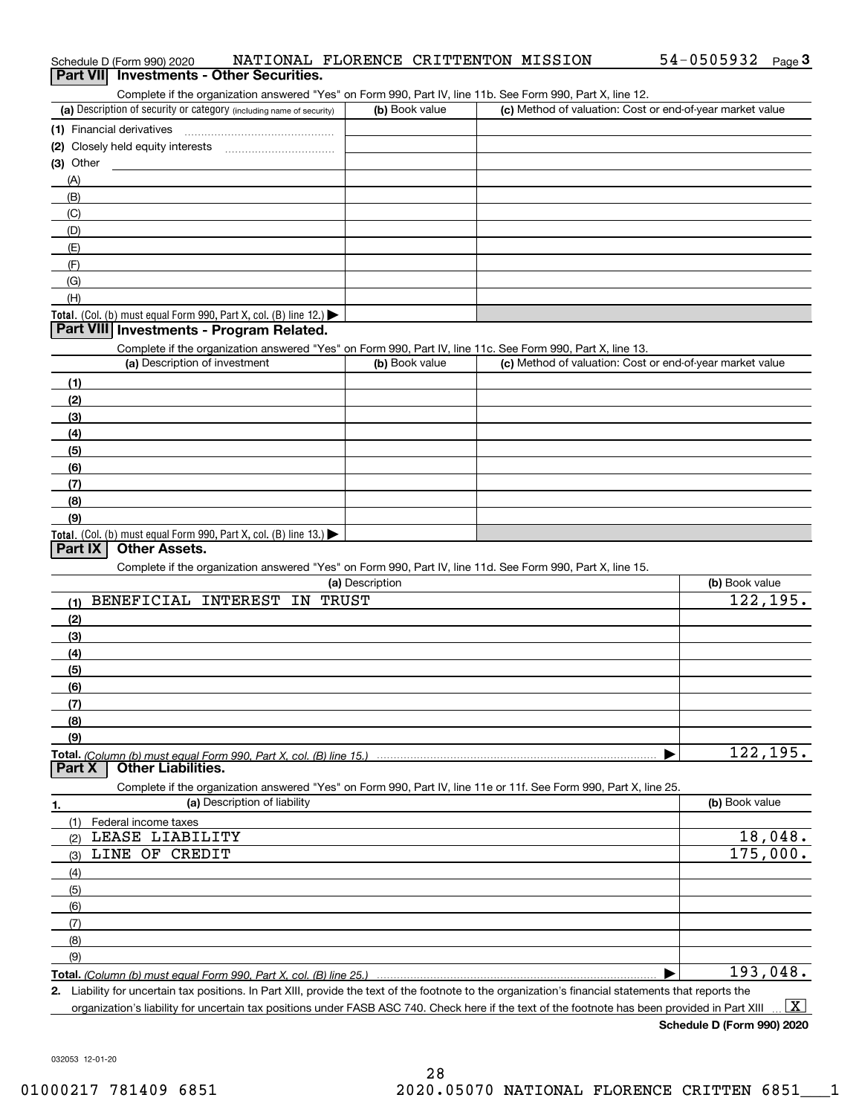| Complete if the organization answered "Yes" on Form 990, Part IV, line 11b. See Form 990, Part X, line 12.<br>(a) Description of security or category (including name of security) | (b) Book value  | (c) Method of valuation: Cost or end-of-year market value |                |
|------------------------------------------------------------------------------------------------------------------------------------------------------------------------------------|-----------------|-----------------------------------------------------------|----------------|
| (1) Financial derivatives                                                                                                                                                          |                 |                                                           |                |
|                                                                                                                                                                                    |                 |                                                           |                |
| $(3)$ Other                                                                                                                                                                        |                 |                                                           |                |
| (A)                                                                                                                                                                                |                 |                                                           |                |
| (B)                                                                                                                                                                                |                 |                                                           |                |
| (C)                                                                                                                                                                                |                 |                                                           |                |
| (D)                                                                                                                                                                                |                 |                                                           |                |
| (E)                                                                                                                                                                                |                 |                                                           |                |
| (F)                                                                                                                                                                                |                 |                                                           |                |
| (G)                                                                                                                                                                                |                 |                                                           |                |
| (H)                                                                                                                                                                                |                 |                                                           |                |
| <b>Total.</b> (Col. (b) must equal Form 990, Part X, col. (B) line 12.)                                                                                                            |                 |                                                           |                |
| Part VIII Investments - Program Related.                                                                                                                                           |                 |                                                           |                |
| Complete if the organization answered "Yes" on Form 990, Part IV, line 11c. See Form 990, Part X, line 13.                                                                         |                 |                                                           |                |
| (a) Description of investment                                                                                                                                                      | (b) Book value  | (c) Method of valuation: Cost or end-of-year market value |                |
| (1)                                                                                                                                                                                |                 |                                                           |                |
| (2)                                                                                                                                                                                |                 |                                                           |                |
| (3)                                                                                                                                                                                |                 |                                                           |                |
| (4)                                                                                                                                                                                |                 |                                                           |                |
| (5)                                                                                                                                                                                |                 |                                                           |                |
| (6)                                                                                                                                                                                |                 |                                                           |                |
| (7)                                                                                                                                                                                |                 |                                                           |                |
| (8)                                                                                                                                                                                |                 |                                                           |                |
| (9)                                                                                                                                                                                |                 |                                                           |                |
| <b>Total.</b> (Col. (b) must equal Form 990, Part X, col. (B) line 13.)                                                                                                            |                 |                                                           |                |
| <b>Other Assets.</b><br>Part IX                                                                                                                                                    |                 |                                                           |                |
| Complete if the organization answered "Yes" on Form 990, Part IV, line 11d. See Form 990, Part X, line 15.                                                                         |                 |                                                           |                |
|                                                                                                                                                                                    | (a) Description |                                                           | (b) Book value |
| BENEFICIAL INTEREST<br>IN TRUST<br>(1)                                                                                                                                             |                 |                                                           | 122, 195.      |
| (2)                                                                                                                                                                                |                 |                                                           |                |
| (3)                                                                                                                                                                                |                 |                                                           |                |
| (4)                                                                                                                                                                                |                 |                                                           |                |
| (5)                                                                                                                                                                                |                 |                                                           |                |
| (6)                                                                                                                                                                                |                 |                                                           |                |
| (7)                                                                                                                                                                                |                 |                                                           |                |
| (8)                                                                                                                                                                                |                 |                                                           |                |
| (9)                                                                                                                                                                                |                 |                                                           |                |
| Total. (Column (b) must equal Form 990. Part X, col. (B) line 15.)                                                                                                                 |                 |                                                           | 122, 195.      |
| <b>Other Liabilities.</b><br>Part X                                                                                                                                                |                 |                                                           |                |
| Complete if the organization answered "Yes" on Form 990, Part IV, line 11e or 11f. See Form 990, Part X, line 25.                                                                  |                 |                                                           |                |
| (a) Description of liability<br>1.                                                                                                                                                 |                 |                                                           | (b) Book value |
| (1)<br>Federal income taxes                                                                                                                                                        |                 |                                                           |                |
| LEASE LIABILITY<br>(2)                                                                                                                                                             |                 |                                                           | 18,048.        |
| LINE OF CREDIT<br>(3)                                                                                                                                                              |                 |                                                           | 175,000.       |
| (4)                                                                                                                                                                                |                 |                                                           |                |
| (5)                                                                                                                                                                                |                 |                                                           |                |
| (6)                                                                                                                                                                                |                 |                                                           |                |
| (7)                                                                                                                                                                                |                 |                                                           |                |
| (8)                                                                                                                                                                                |                 |                                                           |                |
| (9)                                                                                                                                                                                |                 |                                                           |                |
| Total. (Column (b) must equal Form 990. Part X, col. (B) line 25.)                                                                                                                 |                 |                                                           | 193,048.       |
| 2 Lighility for uncertain tay nositions. In Part YIII, provide the text of the footpote to the organization's financial statements that reports the                                |                 |                                                           |                |

**2.** Liability for uncertain tax positions. In Part XIII, provide the text of the footnote to the organization's financial statements that reports the organization's liability for uncertain tax positions under FASB ASC 740. Check here if the text of the footnote has been provided in Part XIII  $\boxed{\text{X}}$ 

# Schedule D (Form 990) 2020 NATIONAL FLORENCE CRITTENTON MISSION 54 – 0505932 <sub>Page</sub> 3<br>| **Part VII** | Investments - Other Securities.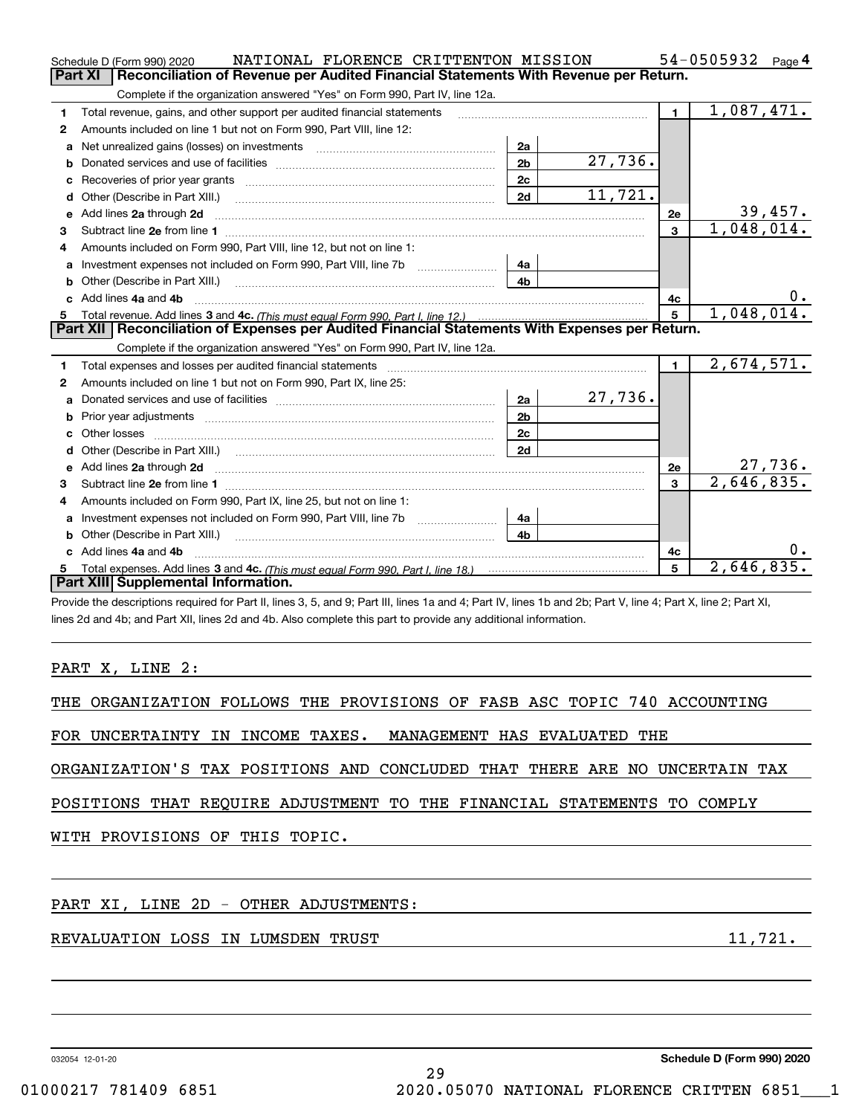|    | NATIONAL FLORENCE CRITTENTON MISSION<br>Schedule D (Form 990) 2020                                                                                                                                                             |                |         |                | 54-0505932<br>Page 4        |
|----|--------------------------------------------------------------------------------------------------------------------------------------------------------------------------------------------------------------------------------|----------------|---------|----------------|-----------------------------|
|    | Reconciliation of Revenue per Audited Financial Statements With Revenue per Return.<br><b>Part XI</b>                                                                                                                          |                |         |                |                             |
|    | Complete if the organization answered "Yes" on Form 990, Part IV, line 12a.                                                                                                                                                    |                |         |                |                             |
| 1  | Total revenue, gains, and other support per audited financial statements                                                                                                                                                       |                |         | $\blacksquare$ | 1,087,471.                  |
| 2  | Amounts included on line 1 but not on Form 990, Part VIII, line 12:                                                                                                                                                            |                |         |                |                             |
| a  | Net unrealized gains (losses) on investments                                                                                                                                                                                   | 2a             |         |                |                             |
| b  |                                                                                                                                                                                                                                | 2 <sub>b</sub> | 27,736. |                |                             |
| с  |                                                                                                                                                                                                                                | 2с             |         |                |                             |
| d  |                                                                                                                                                                                                                                | 2d             | 11,721. |                |                             |
| е  | Add lines 2a through 2d                                                                                                                                                                                                        |                |         | 2e             | $\frac{39,457}{1,048,014.}$ |
| 3  |                                                                                                                                                                                                                                |                |         | $\mathbf{a}$   |                             |
| 4  | Amounts included on Form 990, Part VIII, line 12, but not on line 1:                                                                                                                                                           |                |         |                |                             |
| a  | Investment expenses not included on Form 990, Part VIII, line 7b                                                                                                                                                               | 4a             |         |                |                             |
| b  |                                                                                                                                                                                                                                | 4b             |         |                |                             |
| c. | Add lines 4a and 4b                                                                                                                                                                                                            |                |         | 4c             | 0.                          |
| 5  | Total revenue. Add lines 3 and 4c. (This must equal Form 990. Part I. line 12.)                                                                                                                                                |                |         | 5              | 1,048,014.                  |
|    | Part XII   Reconciliation of Expenses per Audited Financial Statements With Expenses per Return.                                                                                                                               |                |         |                |                             |
|    | Complete if the organization answered "Yes" on Form 990, Part IV, line 12a.                                                                                                                                                    |                |         |                |                             |
| 1  | Total expenses and losses per audited financial statements                                                                                                                                                                     |                |         | $\blacksquare$ | 2,674,571.                  |
| 2  | Amounts included on line 1 but not on Form 990, Part IX, line 25:                                                                                                                                                              |                |         |                |                             |
|    |                                                                                                                                                                                                                                | 2a             | 27,736. |                |                             |
| b  |                                                                                                                                                                                                                                | 2 <sub>b</sub> |         |                |                             |
| c. |                                                                                                                                                                                                                                | 2c             |         |                |                             |
| d  | Other (Describe in Part XIII.) (2000) (2000) (2000) (2000) (2000) (2000) (2000) (2000) (2000) (2000) (2000) (2000) (2000) (2000) (2000) (2000) (2000) (2000) (2000) (2000) (2000) (2000) (2000) (2000) (2000) (2000) (2000) (2 | 2d             |         |                |                             |
| е  |                                                                                                                                                                                                                                |                |         |                |                             |
|    |                                                                                                                                                                                                                                |                |         | 2e             | 27,736.                     |
| 3  | Add lines 2a through 2d <b>must be a constructed as the constant of the constant of the constant of the construction</b>                                                                                                       |                |         | $\overline{3}$ | 2,646,835.                  |
| 4  | Amounts included on Form 990, Part IX, line 25, but not on line 1:                                                                                                                                                             |                |         |                |                             |
| a  |                                                                                                                                                                                                                                | 4а             |         |                |                             |
| b  | Investment expenses not included on Form 990, Part VIII, line 7b [100] [100] [100] [100] [100] [100] [100] [10                                                                                                                 | 4 <sub>h</sub> |         |                |                             |
|    | c Add lines 4a and 4b                                                                                                                                                                                                          |                |         | 4с             | 0.                          |
| 5. |                                                                                                                                                                                                                                |                |         | 5              | 2,646,835.                  |
|    | Part XIII Supplemental Information.                                                                                                                                                                                            |                |         |                |                             |
|    | Provide the descriptions required for Part II, lines 3, 5, and 9; Part III, lines 1a and 4; Part IV, lines 1b and 2b; Part V, line 4; Part X, line 2; Part XI,                                                                 |                |         |                |                             |

### PART X, LINE 2:

|  | THE ORGANIZATION FOLLOWS THE PROVISIONS OF FASB ASC TOPIC 740 ACCOUNTING |  |  |  |  |  |  |  |  |  |
|--|--------------------------------------------------------------------------|--|--|--|--|--|--|--|--|--|
|--|--------------------------------------------------------------------------|--|--|--|--|--|--|--|--|--|

FOR UNCERTAINTY IN INCOME TAXES. MANAGEMENT HAS EVALUATED THE

ORGANIZATION'S TAX POSITIONS AND CONCLUDED THAT THERE ARE NO UNCERTAIN TAX

POSITIONS THAT REQUIRE ADJUSTMENT TO THE FINANCIAL STATEMENTS TO COMPLY

WITH PROVISIONS OF THIS TOPIC.

### PART XI, LINE 2D - OTHER ADJUSTMENTS:

### REVALUATION LOSS IN LUMSDEN TRUST 11,721.

032054 12-01-20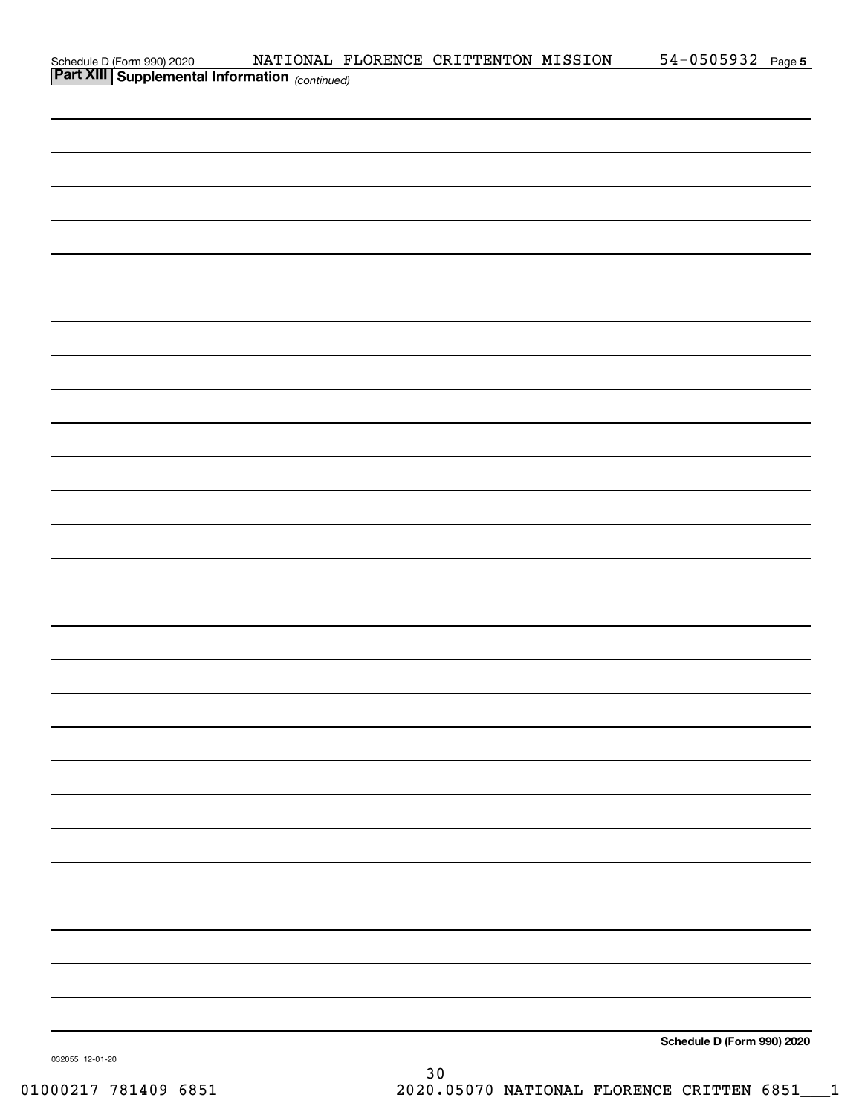| Schedule D (Form 990) 2020 NATIONAL FI<br>Part XIII Supplemental Information (continued) |  | NATIONAL FLORENCE CRITTENTON MISSION | $54 - 0505932$ Page 5      |  |
|------------------------------------------------------------------------------------------|--|--------------------------------------|----------------------------|--|
|                                                                                          |  |                                      |                            |  |
|                                                                                          |  |                                      |                            |  |
|                                                                                          |  |                                      |                            |  |
|                                                                                          |  |                                      |                            |  |
|                                                                                          |  |                                      |                            |  |
|                                                                                          |  |                                      |                            |  |
|                                                                                          |  |                                      |                            |  |
|                                                                                          |  |                                      |                            |  |
|                                                                                          |  |                                      |                            |  |
|                                                                                          |  |                                      |                            |  |
|                                                                                          |  |                                      |                            |  |
|                                                                                          |  |                                      |                            |  |
|                                                                                          |  |                                      |                            |  |
|                                                                                          |  |                                      |                            |  |
|                                                                                          |  |                                      |                            |  |
|                                                                                          |  |                                      |                            |  |
|                                                                                          |  |                                      |                            |  |
|                                                                                          |  |                                      |                            |  |
|                                                                                          |  |                                      |                            |  |
|                                                                                          |  |                                      |                            |  |
|                                                                                          |  |                                      |                            |  |
|                                                                                          |  |                                      |                            |  |
|                                                                                          |  |                                      |                            |  |
|                                                                                          |  |                                      |                            |  |
|                                                                                          |  |                                      |                            |  |
|                                                                                          |  |                                      |                            |  |
|                                                                                          |  |                                      |                            |  |
|                                                                                          |  |                                      |                            |  |
|                                                                                          |  |                                      |                            |  |
|                                                                                          |  |                                      |                            |  |
|                                                                                          |  |                                      |                            |  |
|                                                                                          |  |                                      |                            |  |
|                                                                                          |  |                                      |                            |  |
|                                                                                          |  |                                      |                            |  |
|                                                                                          |  |                                      |                            |  |
|                                                                                          |  |                                      |                            |  |
|                                                                                          |  |                                      |                            |  |
|                                                                                          |  |                                      | Schedule D (Form 990) 2020 |  |
| 032055 12-01-20                                                                          |  |                                      |                            |  |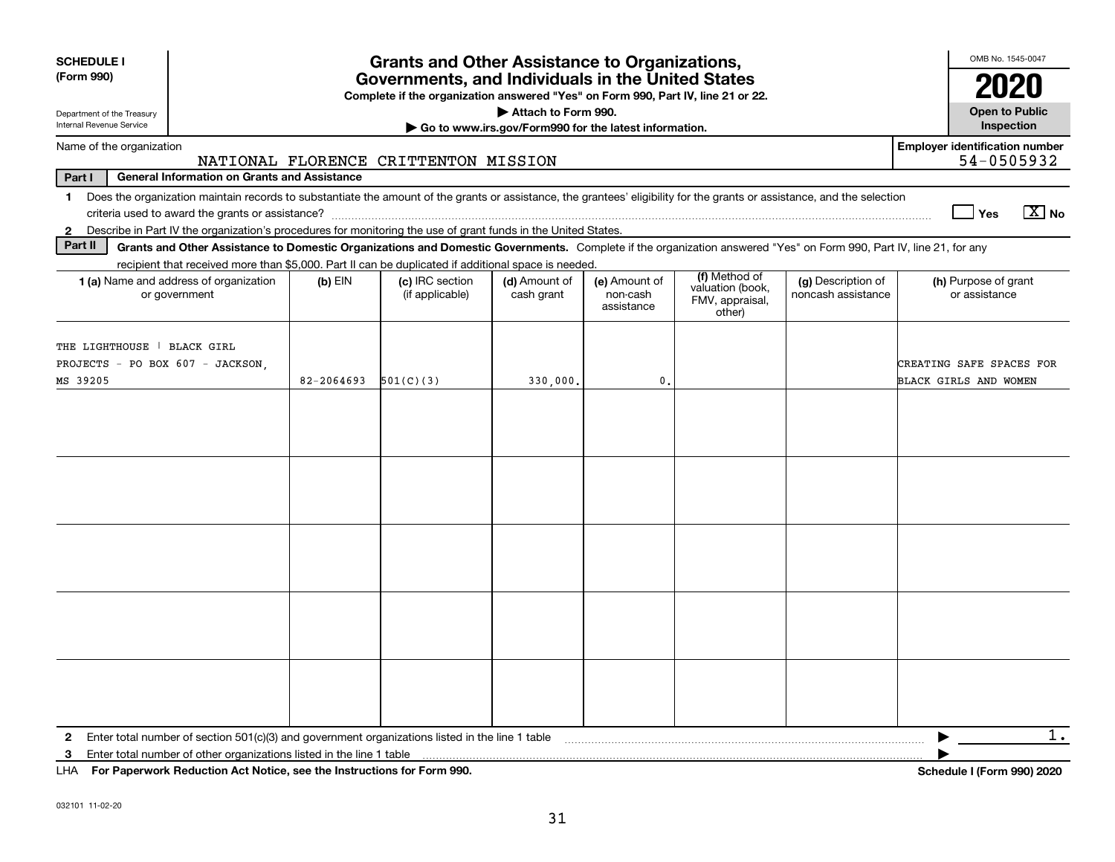| <b>SCHEDULE I</b><br>(Form 990)                                                                                                                                                                                                                           |            | <b>Grants and Other Assistance to Organizations,</b><br>Governments, and Individuals in the United States |                                                       |                                         |                                                                |                                          | OMB No. 1545-0047                                   |
|-----------------------------------------------------------------------------------------------------------------------------------------------------------------------------------------------------------------------------------------------------------|------------|-----------------------------------------------------------------------------------------------------------|-------------------------------------------------------|-----------------------------------------|----------------------------------------------------------------|------------------------------------------|-----------------------------------------------------|
|                                                                                                                                                                                                                                                           |            | Complete if the organization answered "Yes" on Form 990, Part IV, line 21 or 22.                          |                                                       |                                         |                                                                |                                          | 2020                                                |
| Department of the Treasury                                                                                                                                                                                                                                |            |                                                                                                           | Attach to Form 990.                                   |                                         |                                                                |                                          | <b>Open to Public</b>                               |
| Internal Revenue Service                                                                                                                                                                                                                                  |            |                                                                                                           | Go to www.irs.gov/Form990 for the latest information. |                                         |                                                                |                                          | Inspection                                          |
| Name of the organization                                                                                                                                                                                                                                  |            | NATIONAL FLORENCE CRITTENTON MISSION                                                                      |                                                       |                                         |                                                                |                                          | <b>Employer identification number</b><br>54-0505932 |
| Part I<br><b>General Information on Grants and Assistance</b>                                                                                                                                                                                             |            |                                                                                                           |                                                       |                                         |                                                                |                                          |                                                     |
| Does the organization maintain records to substantiate the amount of the grants or assistance, the grantees' eligibility for the grants or assistance, and the selection<br>1                                                                             |            |                                                                                                           |                                                       |                                         |                                                                |                                          | $\boxed{\text{X}}$ No<br>Yes                        |
| Describe in Part IV the organization's procedures for monitoring the use of grant funds in the United States.<br>$\mathbf{2}$                                                                                                                             |            |                                                                                                           |                                                       |                                         |                                                                |                                          |                                                     |
| Part II<br>Grants and Other Assistance to Domestic Organizations and Domestic Governments. Complete if the organization answered "Yes" on Form 990, Part IV, line 21, for any                                                                             |            |                                                                                                           |                                                       |                                         |                                                                |                                          |                                                     |
| recipient that received more than \$5,000. Part II can be duplicated if additional space is needed.<br>1 (a) Name and address of organization<br>or government                                                                                            | $(b)$ EIN  | (c) IRC section<br>(if applicable)                                                                        | (d) Amount of<br>cash grant                           | (e) Amount of<br>non-cash<br>assistance | (f) Method of<br>valuation (book,<br>FMV, appraisal,<br>other) | (g) Description of<br>noncash assistance | (h) Purpose of grant<br>or assistance               |
| THE LIGHTHOUSE   BLACK GIRL<br>PROJECTS - PO BOX 607 - JACKSON.<br>MS 39205                                                                                                                                                                               | 82-2064693 | 501(C)(3)                                                                                                 | 330,000.                                              | 0.                                      |                                                                |                                          | CREATING SAFE SPACES FOR<br>BLACK GIRLS AND WOMEN   |
|                                                                                                                                                                                                                                                           |            |                                                                                                           |                                                       |                                         |                                                                |                                          |                                                     |
| $\mathbf{2}$<br>3<br>$111A$ $E \sim R \sim 2$ and $1.5$ and $1.1$ and $1.1$ and $1.1$ and $1.1$ and $1.1$ and $1.1$ and $1.1$ and $1.1$ and $1.1$ and $1.1$ and $1.1$ and $1.1$ and $1.1$ and $1.1$ and $1.1$ and $1.1$ and $1.1$ and $1.1$ and $1.1$ and |            |                                                                                                           |                                                       |                                         |                                                                |                                          | $1$ .<br>▶                                          |

**For Paperwork Reduction Act Notice, see the Instructions for Form 990. Schedule I (Form 990) 2020** LHA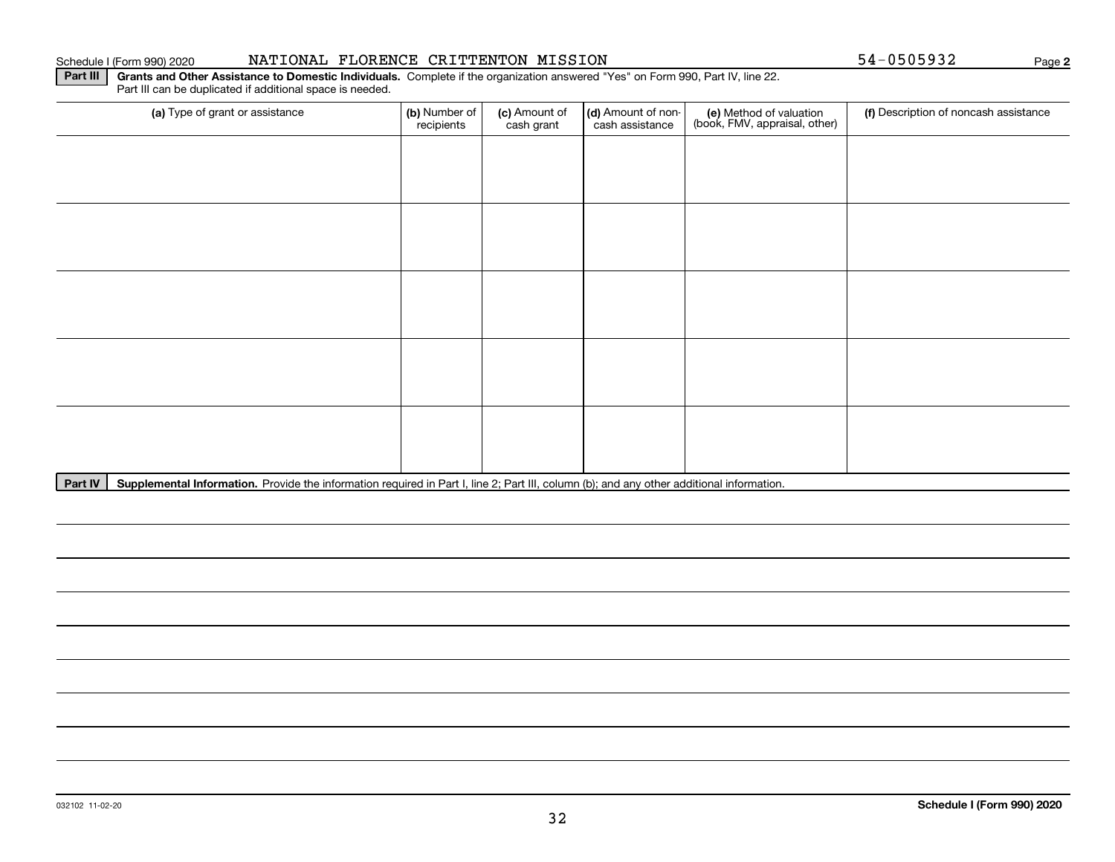#### Schedule I (Form 990) 2020 **NATIONAL FLORENCE CRITTENTON MISSION** 54-0505932 Page

**2**

**Part III** | Grants and Other Assistance to Domestic Individuals. Complete if the organization answered "Yes" on Form 990, Part IV, line 22. Part III can be duplicated if additional space is needed.

| (a) Type of grant or assistance | (b) Number of<br>recipients | (c) Amount of<br>cash grant | (d) Amount of non-<br>cash assistance | (e) Method of valuation<br>(book, FMV, appraisal, other) | (f) Description of noncash assistance |
|---------------------------------|-----------------------------|-----------------------------|---------------------------------------|----------------------------------------------------------|---------------------------------------|
|                                 |                             |                             |                                       |                                                          |                                       |
|                                 |                             |                             |                                       |                                                          |                                       |
|                                 |                             |                             |                                       |                                                          |                                       |
|                                 |                             |                             |                                       |                                                          |                                       |
|                                 |                             |                             |                                       |                                                          |                                       |
|                                 |                             |                             |                                       |                                                          |                                       |
|                                 |                             |                             |                                       |                                                          |                                       |
|                                 |                             |                             |                                       |                                                          |                                       |
|                                 |                             |                             |                                       |                                                          |                                       |
|                                 |                             |                             |                                       |                                                          |                                       |

Part IV | Supplemental Information. Provide the information required in Part I, line 2; Part III, column (b); and any other additional information.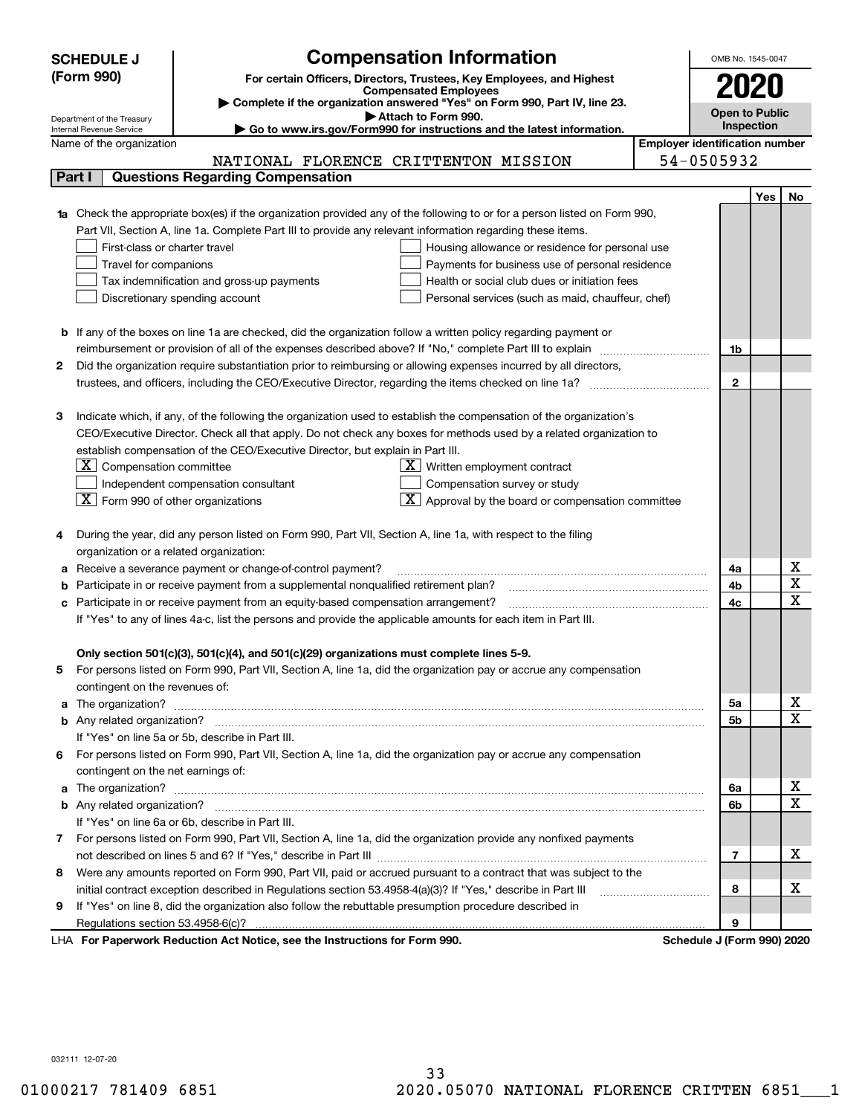|                                                                                     | <b>Compensation Information</b><br><b>SCHEDULE J</b>                                                                                                                                                                                 |                                       | OMB No. 1545-0047          |     |                         |
|-------------------------------------------------------------------------------------|--------------------------------------------------------------------------------------------------------------------------------------------------------------------------------------------------------------------------------------|---------------------------------------|----------------------------|-----|-------------------------|
| (Form 990)<br>For certain Officers, Directors, Trustees, Key Employees, and Highest |                                                                                                                                                                                                                                      |                                       | 2020                       |     |                         |
|                                                                                     | <b>Compensated Employees</b>                                                                                                                                                                                                         |                                       |                            |     |                         |
|                                                                                     | Complete if the organization answered "Yes" on Form 990, Part IV, line 23.                                                                                                                                                           |                                       | <b>Open to Public</b>      |     |                         |
|                                                                                     | Attach to Form 990.<br>Department of the Treasury<br>Go to www.irs.gov/Form990 for instructions and the latest information.<br>Internal Revenue Service                                                                              |                                       | <b>Inspection</b>          |     |                         |
|                                                                                     | Name of the organization                                                                                                                                                                                                             | <b>Employer identification number</b> |                            |     |                         |
|                                                                                     | NATIONAL FLORENCE CRITTENTON MISSION                                                                                                                                                                                                 |                                       | 54-0505932                 |     |                         |
|                                                                                     | <b>Questions Regarding Compensation</b><br>Part I                                                                                                                                                                                    |                                       |                            |     |                         |
|                                                                                     |                                                                                                                                                                                                                                      |                                       |                            | Yes | No                      |
|                                                                                     | 1a Check the appropriate box(es) if the organization provided any of the following to or for a person listed on Form 990,                                                                                                            |                                       |                            |     |                         |
|                                                                                     | Part VII, Section A, line 1a. Complete Part III to provide any relevant information regarding these items.                                                                                                                           |                                       |                            |     |                         |
|                                                                                     | First-class or charter travel<br>Housing allowance or residence for personal use                                                                                                                                                     |                                       |                            |     |                         |
|                                                                                     | Travel for companions<br>Payments for business use of personal residence                                                                                                                                                             |                                       |                            |     |                         |
|                                                                                     | Tax indemnification and gross-up payments<br>Health or social club dues or initiation fees                                                                                                                                           |                                       |                            |     |                         |
|                                                                                     | Discretionary spending account<br>Personal services (such as maid, chauffeur, chef)                                                                                                                                                  |                                       |                            |     |                         |
|                                                                                     |                                                                                                                                                                                                                                      |                                       |                            |     |                         |
|                                                                                     | <b>b</b> If any of the boxes on line 1a are checked, did the organization follow a written policy regarding payment or                                                                                                               |                                       |                            |     |                         |
|                                                                                     | reimbursement or provision of all of the expenses described above? If "No," complete Part III to explain                                                                                                                             |                                       | 1b                         |     |                         |
| 2                                                                                   | Did the organization require substantiation prior to reimbursing or allowing expenses incurred by all directors,                                                                                                                     |                                       |                            |     |                         |
|                                                                                     | trustees, and officers, including the CEO/Executive Director, regarding the items checked on line 1a?                                                                                                                                |                                       | $\mathbf{2}$               |     |                         |
|                                                                                     |                                                                                                                                                                                                                                      |                                       |                            |     |                         |
| з                                                                                   | Indicate which, if any, of the following the organization used to establish the compensation of the organization's                                                                                                                   |                                       |                            |     |                         |
|                                                                                     | CEO/Executive Director. Check all that apply. Do not check any boxes for methods used by a related organization to                                                                                                                   |                                       |                            |     |                         |
|                                                                                     | establish compensation of the CEO/Executive Director, but explain in Part III.                                                                                                                                                       |                                       |                            |     |                         |
|                                                                                     | $ \mathbf{X} $ Compensation committee<br>$X$ Written employment contract                                                                                                                                                             |                                       |                            |     |                         |
|                                                                                     | Independent compensation consultant<br>Compensation survey or study                                                                                                                                                                  |                                       |                            |     |                         |
|                                                                                     | $\boxed{\text{X}}$ Approval by the board or compensation committee<br>$\lfloor$ X $\rfloor$ Form 990 of other organizations                                                                                                          |                                       |                            |     |                         |
|                                                                                     |                                                                                                                                                                                                                                      |                                       |                            |     |                         |
|                                                                                     | During the year, did any person listed on Form 990, Part VII, Section A, line 1a, with respect to the filing                                                                                                                         |                                       |                            |     |                         |
|                                                                                     | organization or a related organization:                                                                                                                                                                                              |                                       |                            |     |                         |
| а                                                                                   |                                                                                                                                                                                                                                      |                                       | 4a                         |     | х                       |
| b                                                                                   | Receive a severance payment or change-of-control payment?<br>Participate in or receive payment from a supplemental nonqualified retirement plan?                                                                                     |                                       |                            |     | $\overline{\texttt{x}}$ |
|                                                                                     |                                                                                                                                                                                                                                      |                                       | 4b<br>4c                   |     | $\overline{\text{x}}$   |
|                                                                                     | Participate in or receive payment from an equity-based compensation arrangement?<br>с                                                                                                                                                |                                       |                            |     |                         |
|                                                                                     | If "Yes" to any of lines 4a-c, list the persons and provide the applicable amounts for each item in Part III.                                                                                                                        |                                       |                            |     |                         |
|                                                                                     | Only section 501(c)(3), 501(c)(4), and 501(c)(29) organizations must complete lines 5-9.                                                                                                                                             |                                       |                            |     |                         |
|                                                                                     | For persons listed on Form 990, Part VII, Section A, line 1a, did the organization pay or accrue any compensation                                                                                                                    |                                       |                            |     |                         |
|                                                                                     |                                                                                                                                                                                                                                      |                                       |                            |     |                         |
|                                                                                     | contingent on the revenues of:                                                                                                                                                                                                       |                                       | 5а                         |     | x                       |
|                                                                                     | a The organization? <b>Entitled Strategies and Strategies and Strategies and Strategies and Strategies and Strategies and Strategies and Strategies and Strategies and Strategies and Strategies and Strategies and Strategies a</b> |                                       | <b>5b</b>                  |     | $\overline{\text{x}}$   |
|                                                                                     | If "Yes" on line 5a or 5b, describe in Part III.                                                                                                                                                                                     |                                       |                            |     |                         |
|                                                                                     |                                                                                                                                                                                                                                      |                                       |                            |     |                         |
| 6.                                                                                  | For persons listed on Form 990, Part VII, Section A, line 1a, did the organization pay or accrue any compensation                                                                                                                    |                                       |                            |     |                         |
|                                                                                     | contingent on the net earnings of:                                                                                                                                                                                                   |                                       |                            |     | x                       |
|                                                                                     | a The organization? <b>Entitled Strategies and Strategies and Strategies and Strategies and Strategies and Strategies and Strategies and Strategies and Strategies and Strategies and Strategies and Strategies and Strategies a</b> |                                       | 6a                         |     | $\overline{\text{x}}$   |
|                                                                                     |                                                                                                                                                                                                                                      |                                       | 6b                         |     |                         |
|                                                                                     | If "Yes" on line 6a or 6b, describe in Part III.                                                                                                                                                                                     |                                       |                            |     |                         |
|                                                                                     | 7 For persons listed on Form 990, Part VII, Section A, line 1a, did the organization provide any nonfixed payments                                                                                                                   |                                       |                            |     | х                       |
|                                                                                     |                                                                                                                                                                                                                                      |                                       | 7                          |     |                         |
| 8                                                                                   | Were any amounts reported on Form 990, Part VII, paid or accrued pursuant to a contract that was subject to the                                                                                                                      |                                       |                            |     |                         |
|                                                                                     | initial contract exception described in Regulations section 53.4958-4(a)(3)? If "Yes," describe in Part III                                                                                                                          |                                       | 8                          |     | x                       |
| 9                                                                                   | If "Yes" on line 8, did the organization also follow the rebuttable presumption procedure described in                                                                                                                               |                                       |                            |     |                         |
|                                                                                     | Regulations section 53.4958-6(c)?                                                                                                                                                                                                    |                                       | 9                          |     |                         |
|                                                                                     | LHA For Paperwork Reduction Act Notice, see the Instructions for Form 990.                                                                                                                                                           |                                       | Schedule J (Form 990) 2020 |     |                         |

032111 12-07-20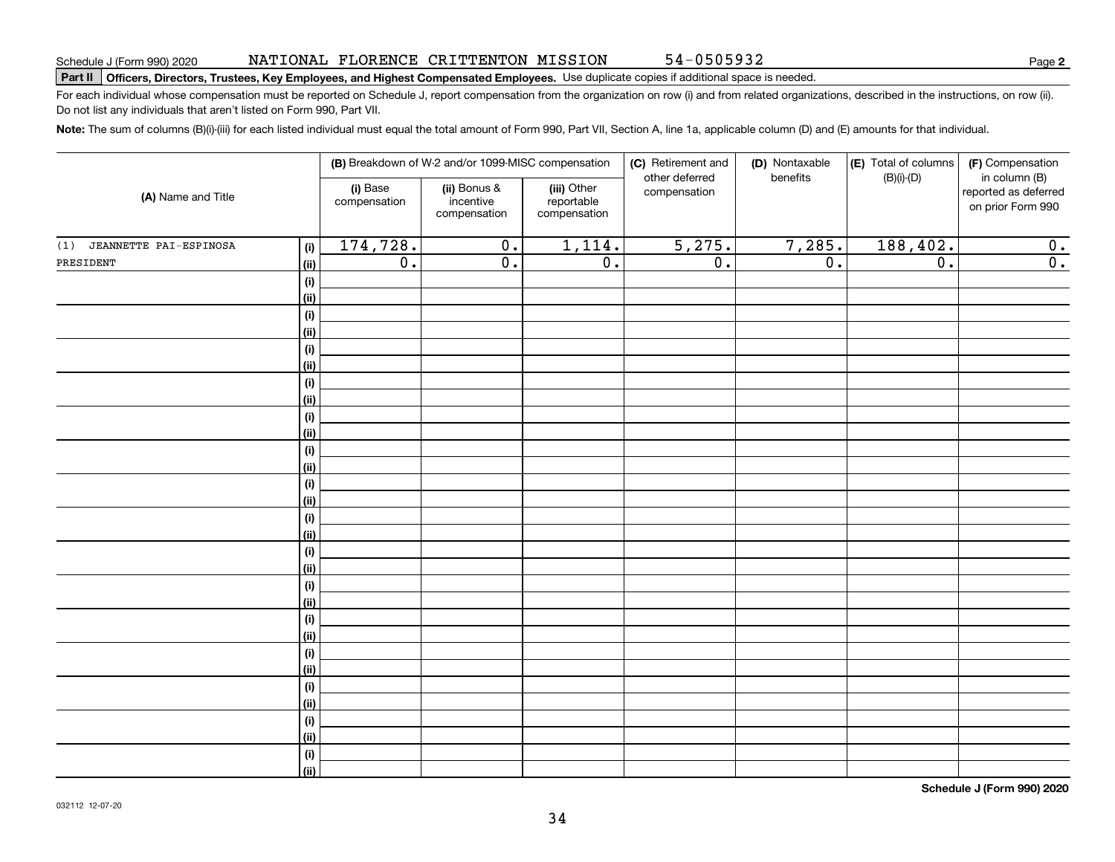#### NATIONAL FLORENCE CRITTENTON MISSION 54-0505932

**Part II Officers, Directors, Trustees, Key Employees, and Highest Compensated Employees.**  Schedule J (Form 990) 2020 Page Use duplicate copies if additional space is needed.

For each individual whose compensation must be reported on Schedule J, report compensation from the organization on row (i) and from related organizations, described in the instructions, on row (ii). Do not list any individuals that aren't listed on Form 990, Part VII.

**Note:**  The sum of columns (B)(i)-(iii) for each listed individual must equal the total amount of Form 990, Part VII, Section A, line 1a, applicable column (D) and (E) amounts for that individual.

|                               |              | (B) Breakdown of W-2 and/or 1099-MISC compensation |                                           |                                           | (C) Retirement and<br>(D) Nontaxable |                  | (E) Total of columns | (F) Compensation                                           |
|-------------------------------|--------------|----------------------------------------------------|-------------------------------------------|-------------------------------------------|--------------------------------------|------------------|----------------------|------------------------------------------------------------|
| (A) Name and Title            |              | (i) Base<br>compensation                           | (ii) Bonus &<br>incentive<br>compensation | (iii) Other<br>reportable<br>compensation | other deferred<br>compensation       | benefits         | $(B)(i)-(D)$         | in column (B)<br>reported as deferred<br>on prior Form 990 |
| (1)<br>JEANNETTE PAI-ESPINOSA | (i)          | 174,728.                                           | $\overline{0}$ .                          | 1,114.                                    | 5,275.                               | 7,285.           | 188, 402.            | 0.                                                         |
| PRESIDENT                     | <u>(ii)</u>  | $\overline{0}$ .                                   | $\overline{0}$ .                          | $\overline{0}$ .                          | $\overline{0}$ .                     | $\overline{0}$ . | $\overline{0}$ .     | $\overline{0}$ .                                           |
|                               | (i)          |                                                    |                                           |                                           |                                      |                  |                      |                                                            |
|                               | <u>(ii)</u>  |                                                    |                                           |                                           |                                      |                  |                      |                                                            |
|                               | (i)          |                                                    |                                           |                                           |                                      |                  |                      |                                                            |
|                               | <u>(ii)</u>  |                                                    |                                           |                                           |                                      |                  |                      |                                                            |
|                               | (i)          |                                                    |                                           |                                           |                                      |                  |                      |                                                            |
|                               | <u>(ii)</u>  |                                                    |                                           |                                           |                                      |                  |                      |                                                            |
|                               | (i)          |                                                    |                                           |                                           |                                      |                  |                      |                                                            |
|                               | <u>(ii)</u>  |                                                    |                                           |                                           |                                      |                  |                      |                                                            |
|                               | (i)          |                                                    |                                           |                                           |                                      |                  |                      |                                                            |
|                               | (ii)         |                                                    |                                           |                                           |                                      |                  |                      |                                                            |
|                               | (i)          |                                                    |                                           |                                           |                                      |                  |                      |                                                            |
|                               | (ii)         |                                                    |                                           |                                           |                                      |                  |                      |                                                            |
|                               | (i)          |                                                    |                                           |                                           |                                      |                  |                      |                                                            |
|                               | (ii)         |                                                    |                                           |                                           |                                      |                  |                      |                                                            |
|                               | (i)          |                                                    |                                           |                                           |                                      |                  |                      |                                                            |
|                               | <u>(ii)</u>  |                                                    |                                           |                                           |                                      |                  |                      |                                                            |
|                               | (i)          |                                                    |                                           |                                           |                                      |                  |                      |                                                            |
|                               | <u>(ii)</u>  |                                                    |                                           |                                           |                                      |                  |                      |                                                            |
|                               | (i)          |                                                    |                                           |                                           |                                      |                  |                      |                                                            |
|                               | <u>(ii)</u>  |                                                    |                                           |                                           |                                      |                  |                      |                                                            |
|                               | (i)          |                                                    |                                           |                                           |                                      |                  |                      |                                                            |
|                               | (ii)         |                                                    |                                           |                                           |                                      |                  |                      |                                                            |
|                               | $(\sf{i})$   |                                                    |                                           |                                           |                                      |                  |                      |                                                            |
|                               | <u>(ii)</u>  |                                                    |                                           |                                           |                                      |                  |                      |                                                            |
|                               | (i)          |                                                    |                                           |                                           |                                      |                  |                      |                                                            |
|                               | <u>(ii)</u>  |                                                    |                                           |                                           |                                      |                  |                      |                                                            |
|                               | $(\sf{i})$   |                                                    |                                           |                                           |                                      |                  |                      |                                                            |
|                               | <u>(ii)</u>  |                                                    |                                           |                                           |                                      |                  |                      |                                                            |
|                               | $(\sf{i})$   |                                                    |                                           |                                           |                                      |                  |                      |                                                            |
|                               | $\vert$ (ii) |                                                    |                                           |                                           |                                      |                  |                      |                                                            |

**Schedule J (Form 990) 2020**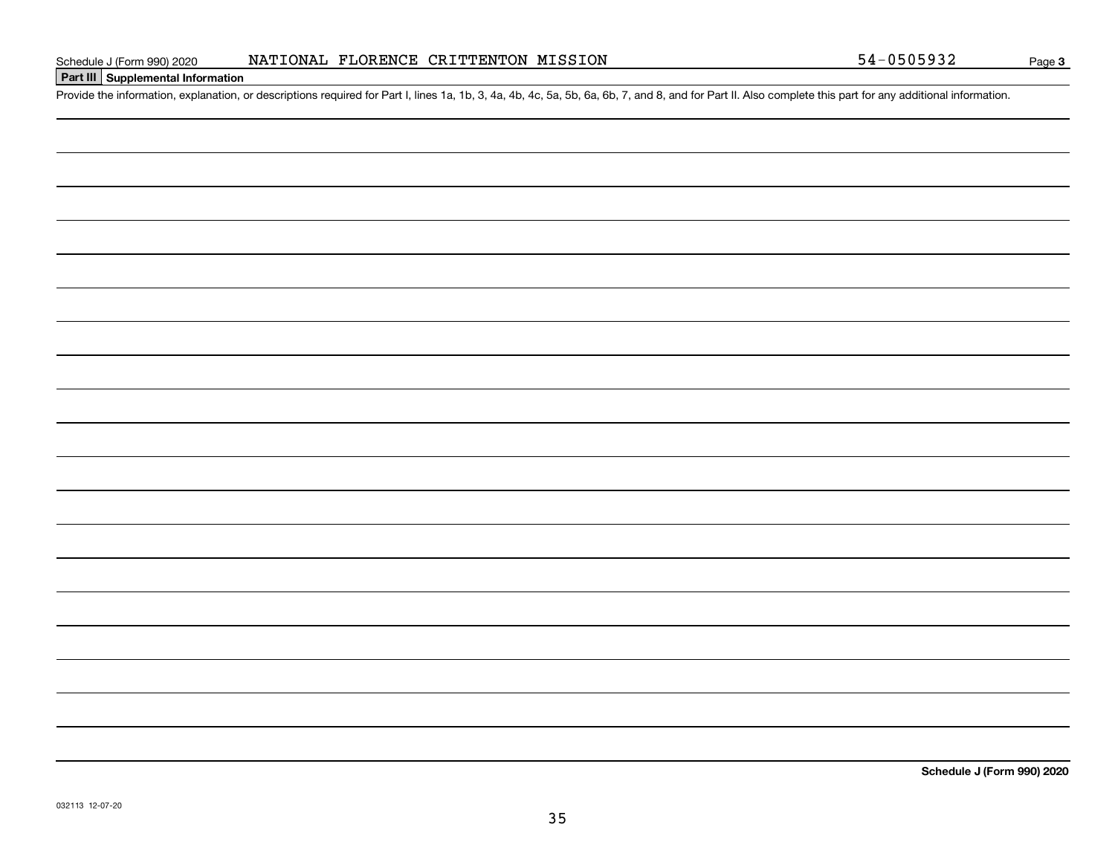### **Part III Supplemental Information**

Schedule J (Form 990) 2020 NATIONAL FLORENCE CRITTENTON MISSION 54-0505932<br>Part III Supplemental Information<br>Provide the information, explanation, or descriptions required for Part I, lines 1a, 1b, 3, 4a, 4b, 4c, 5a, 5b, 6

**Schedule J (Form 990) 2020**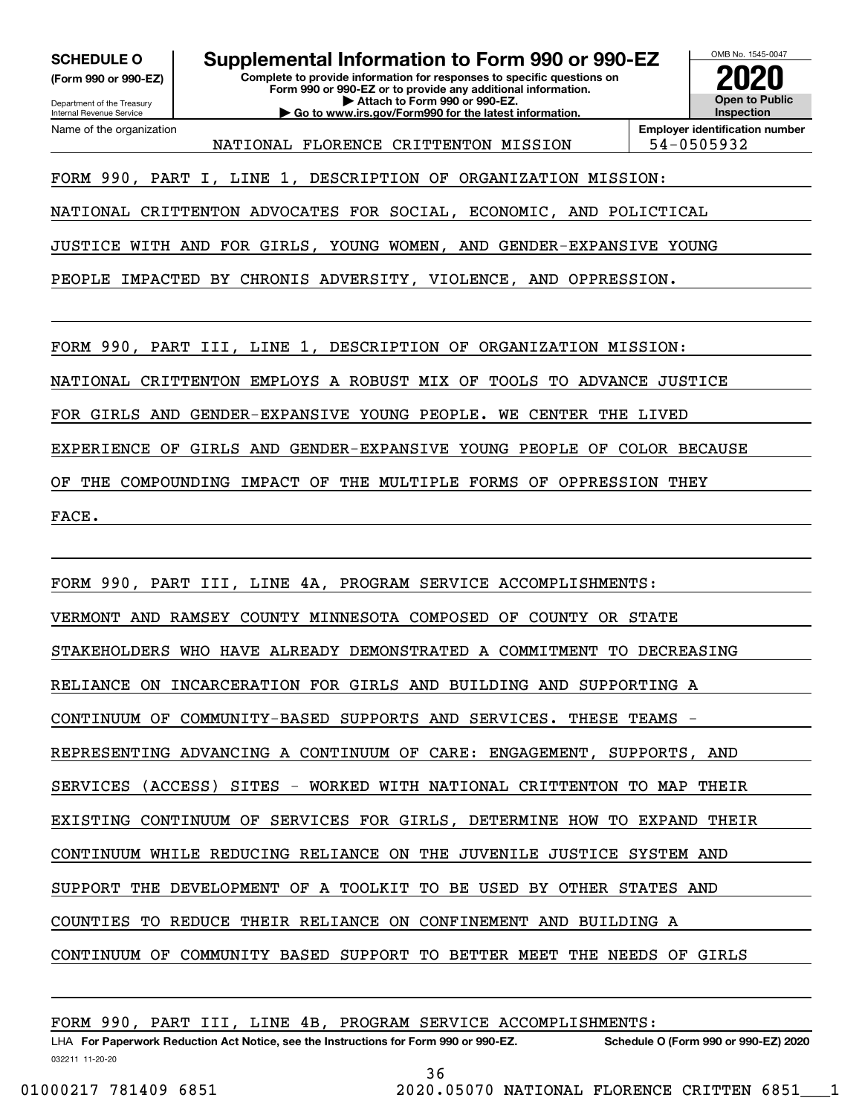**(Form 990 or 990-EZ)**

Department of the Treasury Internal Revenue Service Name of the organization

**SCHEDULE O Supplemental Information to Form 990 or 990-EZ**

**| Go to www.irs.gov/Form990 for the latest information.**

**Complete to provide information for responses to specific questions on Form 990 or 990-EZ or to provide any additional information. | Attach to Form 990 or 990-EZ.**

OMB No. 1545-0047 **Open to Public Inspection2020**

NATIONAL FLORENCE CRITTENTON MISSION 54-0505932

**Employer identification number**

FORM 990, PART I, LINE 1, DESCRIPTION OF ORGANIZATION MISSION:

NATIONAL CRITTENTON ADVOCATES FOR SOCIAL, ECONOMIC, AND POLICTICAL

JUSTICE WITH AND FOR GIRLS, YOUNG WOMEN, AND GENDER-EXPANSIVE YOUNG

PEOPLE IMPACTED BY CHRONIS ADVERSITY, VIOLENCE, AND OPPRESSION.

FORM 990, PART III, LINE 1, DESCRIPTION OF ORGANIZATION MISSION:

NATIONAL CRITTENTON EMPLOYS A ROBUST MIX OF TOOLS TO ADVANCE JUSTICE

FOR GIRLS AND GENDER-EXPANSIVE YOUNG PEOPLE. WE CENTER THE LIVED

EXPERIENCE OF GIRLS AND GENDER-EXPANSIVE YOUNG PEOPLE OF COLOR BECAUSE

OF THE COMPOUNDING IMPACT OF THE MULTIPLE FORMS OF OPPRESSION THEY

FACE.

FORM 990, PART III, LINE 4A, PROGRAM SERVICE ACCOMPLISHMENTS: VERMONT AND RAMSEY COUNTY MINNESOTA COMPOSED OF COUNTY OR STATE STAKEHOLDERS WHO HAVE ALREADY DEMONSTRATED A COMMITMENT TO DECREASING RELIANCE ON INCARCERATION FOR GIRLS AND BUILDING AND SUPPORTING A CONTINUUM OF COMMUNITY-BASED SUPPORTS AND SERVICES. THESE TEAMS REPRESENTING ADVANCING A CONTINUUM OF CARE: ENGAGEMENT, SUPPORTS, AND SERVICES (ACCESS) SITES - WORKED WITH NATIONAL CRITTENTON TO MAP THEIR EXISTING CONTINUUM OF SERVICES FOR GIRLS, DETERMINE HOW TO EXPAND THEIR CONTINUUM WHILE REDUCING RELIANCE ON THE JUVENILE JUSTICE SYSTEM AND SUPPORT THE DEVELOPMENT OF A TOOLKIT TO BE USED BY OTHER STATES AND COUNTIES TO REDUCE THEIR RELIANCE ON CONFINEMENT AND BUILDING A CONTINUUM OF COMMUNITY BASED SUPPORT TO BETTER MEET THE NEEDS OF GIRLS

FORM 990, PART III, LINE 4B, PROGRAM SERVICE ACCOMPLISHMENTS: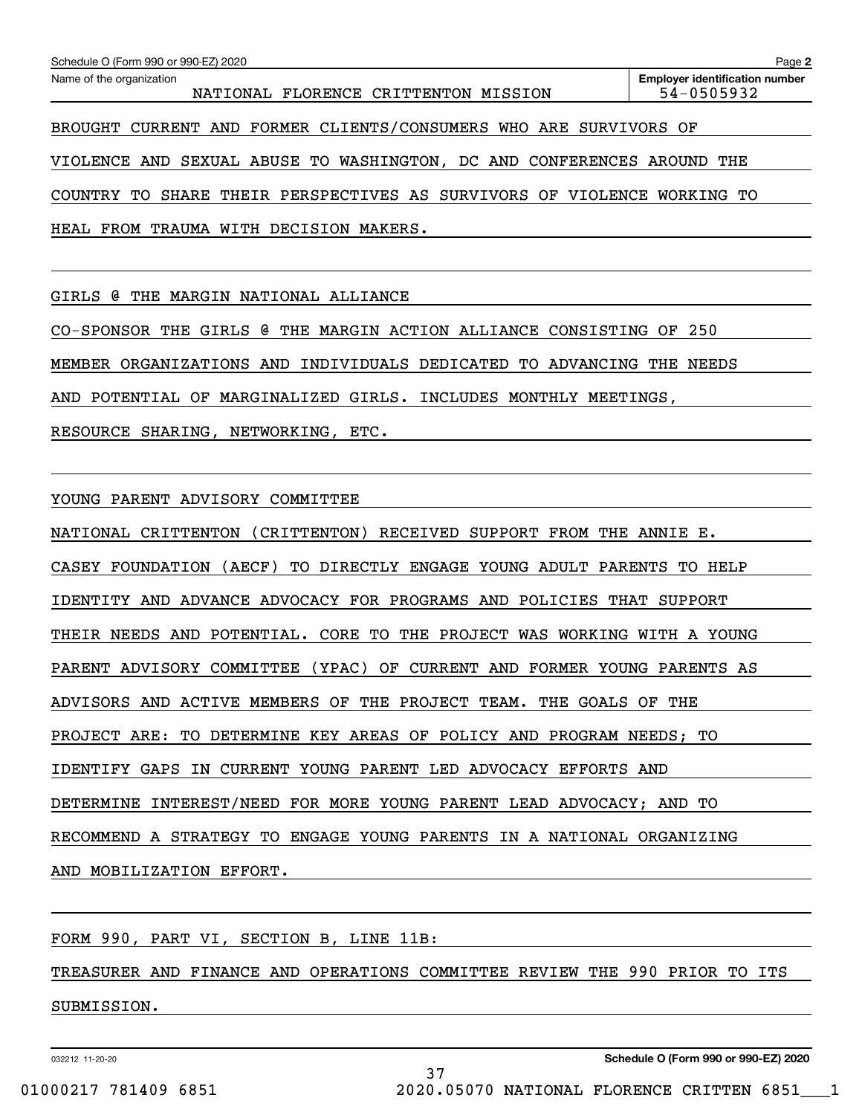| Schedule O (Form 990 or 990-EZ) 2020                                                                                       |  | Page 2 |  |  |  |
|----------------------------------------------------------------------------------------------------------------------------|--|--------|--|--|--|
| <b>Employer identification number</b><br>Name of the organization<br>54-0505932<br>NATIONAL FLORENCE CRITTENTON<br>MISSION |  |        |  |  |  |
| FORMER CLIENTS/CONSUMERS WHO ARE<br><b>BROUGHT</b><br>CURRENT<br>AND<br>SURVIVORS OF                                       |  |        |  |  |  |
| WASHINGTON, DC AND CONFERENCES<br>VIOLENCE<br>SEXUAL<br>ABUSE TO<br>THE<br>AND<br>AROUND                                   |  |        |  |  |  |
| THEIR PERSPECTIVES<br>AS<br><b>VIOLENCE</b><br><b>COUNTRY</b><br>TО<br>SHARE<br><b>SURVIVORS</b><br>OF<br>WORKING<br>TО    |  |        |  |  |  |
| WITH DECISION<br>FROM<br>TRAUMA<br>HEAL<br>MAKERS.                                                                         |  |        |  |  |  |
|                                                                                                                            |  |        |  |  |  |
| a<br>MARGIN<br>NATIONAL<br>GIRLS<br>THE<br>ALLIANCE                                                                        |  |        |  |  |  |
| 250<br>CO-SPONSOR<br><b>GIRLS</b><br><b>a</b><br>MARGIN<br>ACTION ALLIANCE<br>CONSISTING<br>THE<br>THE<br>OF               |  |        |  |  |  |
| MEMBER<br>ORGANIZATIONS<br>AND<br>INDIVIDUALS<br>DEDICATED<br>TО<br>ADVANCING<br><b>NEEDS</b><br>THE                       |  |        |  |  |  |
| MARGINALIZED<br>GIRLS.<br>POTENTIAL<br>OF.<br>INCLUDES<br>MONTHLY<br>MEETINGS,<br>AND                                      |  |        |  |  |  |

RESOURCE SHARING, NETWORKING, ETC.

YOUNG PARENT ADVISORY COMMITTEE

NATIONAL CRITTENTON (CRITTENTON) RECEIVED SUPPORT FROM THE ANNIE E. CASEY FOUNDATION (AECF) TO DIRECTLY ENGAGE YOUNG ADULT PARENTS TO HELP IDENTITY AND ADVANCE ADVOCACY FOR PROGRAMS AND POLICIES THAT SUPPORT THEIR NEEDS AND POTENTIAL. CORE TO THE PROJECT WAS WORKING WITH A YOUNG PARENT ADVISORY COMMITTEE (YPAC) OF CURRENT AND FORMER YOUNG PARENTS AS ADVISORS AND ACTIVE MEMBERS OF THE PROJECT TEAM. THE GOALS OF THE PROJECT ARE: TO DETERMINE KEY AREAS OF POLICY AND PROGRAM NEEDS; TO IDENTIFY GAPS IN CURRENT YOUNG PARENT LED ADVOCACY EFFORTS AND DETERMINE INTEREST/NEED FOR MORE YOUNG PARENT LEAD ADVOCACY; AND TO RECOMMEND A STRATEGY TO ENGAGE YOUNG PARENTS IN A NATIONAL ORGANIZING AND MOBILIZATION EFFORT.

FORM 990, PART VI, SECTION B, LINE 11B:

TREASURER AND FINANCE AND OPERATIONS COMMITTEE REVIEW THE 990 PRIOR TO ITS SUBMISSION.

37

032212 11-20-20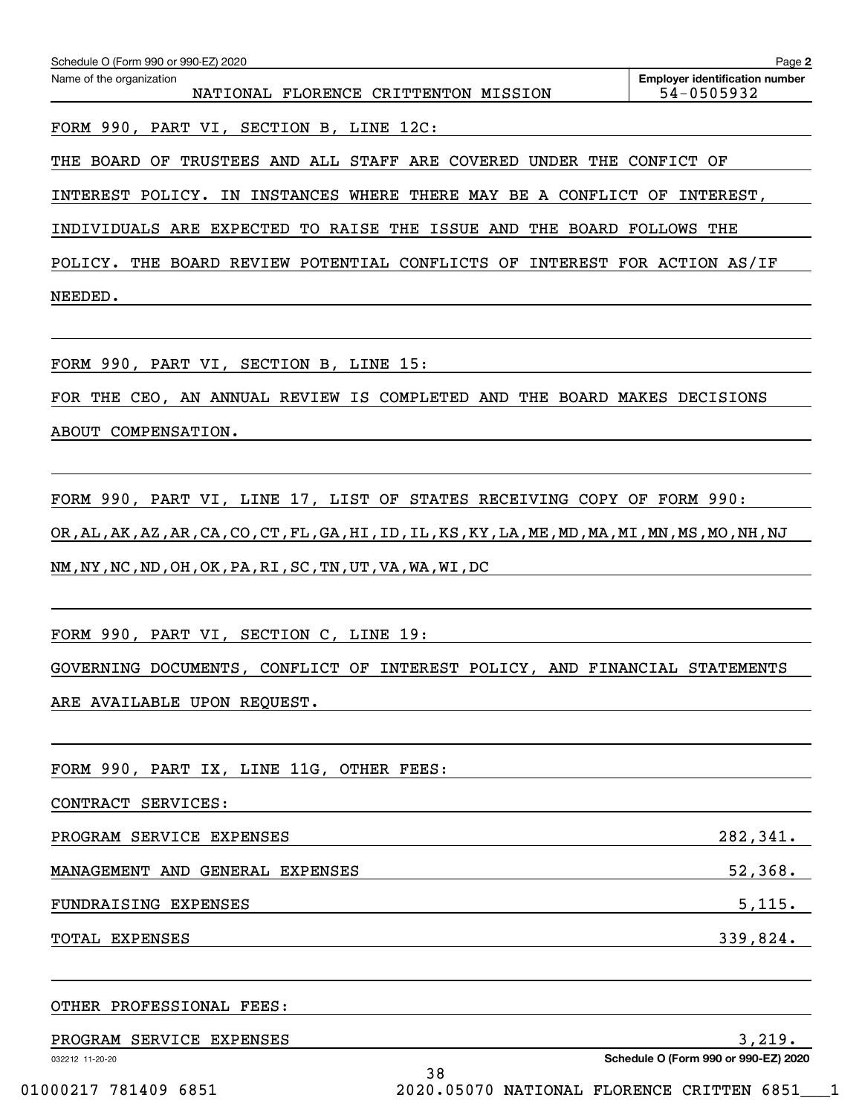| Schedule O (Form 990 or 990-EZ) 2020                                      | Page 2                                              |  |  |  |  |
|---------------------------------------------------------------------------|-----------------------------------------------------|--|--|--|--|
| Name of the organization<br>NATIONAL FLORENCE CRITTENTON MISSION          | <b>Employer identification number</b><br>54-0505932 |  |  |  |  |
|                                                                           |                                                     |  |  |  |  |
| FORM 990, PART VI, SECTION B, LINE 12C:                                   |                                                     |  |  |  |  |
| BOARD OF TRUSTEES AND ALL STAFF ARE COVERED UNDER THE CONFICT OF<br>THE   |                                                     |  |  |  |  |
| INTEREST POLICY. IN INSTANCES WHERE THERE MAY BE A CONFLICT OF INTEREST,  |                                                     |  |  |  |  |
| INDIVIDUALS ARE EXPECTED TO RAISE THE ISSUE AND THE BOARD FOLLOWS THE     |                                                     |  |  |  |  |
| POLICY. THE BOARD REVIEW POTENTIAL CONFLICTS OF INTEREST FOR ACTION AS/IF |                                                     |  |  |  |  |
| NEEDED.                                                                   |                                                     |  |  |  |  |
|                                                                           |                                                     |  |  |  |  |
| FORM 990, PART VI, SECTION B, LINE 15:                                    |                                                     |  |  |  |  |
| FOR THE CEO, AN ANNUAL REVIEW IS COMPLETED AND THE BOARD MAKES DECISIONS  |                                                     |  |  |  |  |
| COMPENSATION.<br><b>ABOUT</b>                                             |                                                     |  |  |  |  |

FORM 990, PART VI, LINE 17, LIST OF STATES RECEIVING COPY OF FORM 990: OR,AL,AK,AZ,AR,CA,CO,CT,FL,GA,HI,ID,IL,KS,KY,LA,ME,MD,MA,MI,MN,MS,MO,NH,NJ NM,NY,NC,ND,OH,OK,PA,RI,SC,TN,UT,VA,WA,WI,DC

FORM 990, PART VI, SECTION C, LINE 19:

GOVERNING DOCUMENTS, CONFLICT OF INTEREST POLICY, AND FINANCIAL STATEMENTS

ARE AVAILABLE UPON REQUEST.

FORM 990, PART IX, LINE 11G, OTHER FEES: CONTRACT SERVICES: PROGRAM SERVICE EXPENSES 282,341. MANAGEMENT AND GENERAL EXPENSES 52,368. FUNDRAISING EXPENSES 5,115. TOTAL EXPENSES 339,824.

032212 11-20-20 **Schedule O (Form 990 or 990-EZ) 2020** OTHER PROFESSIONAL FEES: PROGRAM SERVICE EXPENSES 3,219. 38 01000217 781409 6851 2020.05070 NATIONAL FLORENCE CRITTEN 6851 1